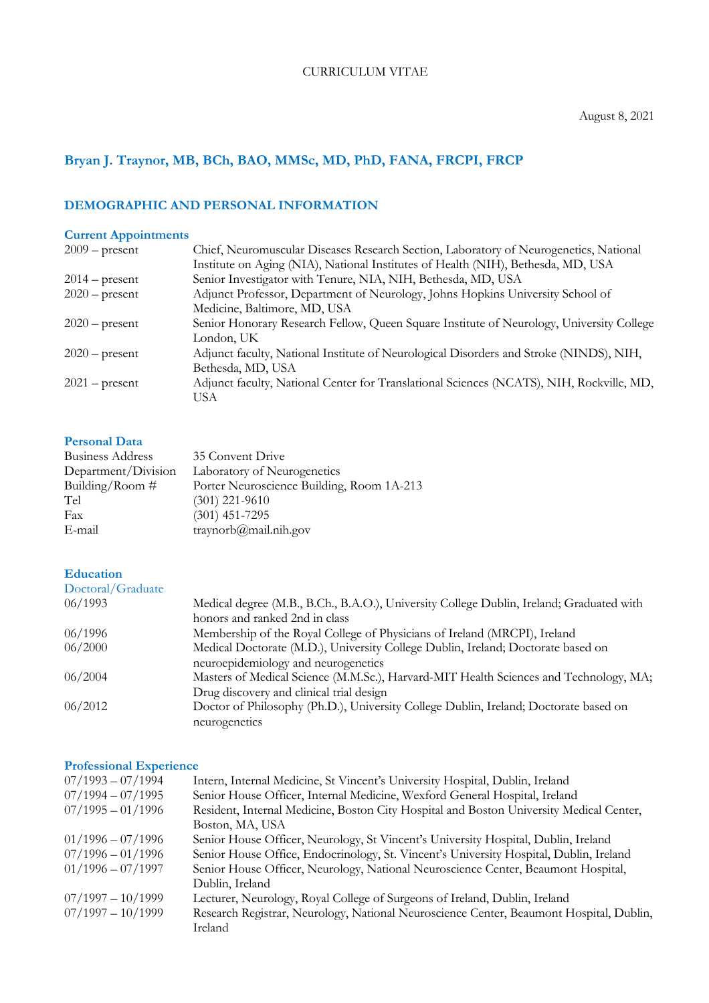## CURRICULUM VITAE

# **Bryan J. Traynor, MB, BCh, BAO, MMSc, MD, PhD, FANA, FRCPI, FRCP**

# **DEMOGRAPHIC AND PERSONAL INFORMATION**

### **Current Appointments**

| $2009$ – present | Chief, Neuromuscular Diseases Research Section, Laboratory of Neurogenetics, National    |
|------------------|------------------------------------------------------------------------------------------|
|                  | Institute on Aging (NIA), National Institutes of Health (NIH), Bethesda, MD, USA         |
| $2014$ – present | Senior Investigator with Tenure, NIA, NIH, Bethesda, MD, USA                             |
| $2020$ – present | Adjunct Professor, Department of Neurology, Johns Hopkins University School of           |
|                  | Medicine, Baltimore, MD, USA                                                             |
| $2020$ – present | Senior Honorary Research Fellow, Queen Square Institute of Neurology, University College |
|                  | London, UK                                                                               |
| $2020$ – present | Adjunct faculty, National Institute of Neurological Disorders and Stroke (NINDS), NIH,   |
|                  | Bethesda, MD, USA                                                                        |
| $2021$ – present | Adjunct faculty, National Center for Translational Sciences (NCATS), NIH, Rockville, MD, |
|                  | USA                                                                                      |

# **Personal Data**

| <b>Business Address</b> | 35 Convent Drive                          |
|-------------------------|-------------------------------------------|
| Department/Division     | Laboratory of Neurogenetics               |
| Building/Room $#$       | Porter Neuroscience Building, Room 1A-213 |
| Tel                     | $(301)$ 221-9610                          |
| Fax                     | $(301)$ 451-7295                          |
| E-mail                  | traynorb@mail.nih.gov                     |

#### **Education**

| Doctoral/Graduate |                                                                                          |
|-------------------|------------------------------------------------------------------------------------------|
| 06/1993           | Medical degree (M.B., B.Ch., B.A.O.), University College Dublin, Ireland; Graduated with |
|                   | honors and ranked 2nd in class                                                           |
| 06/1996           | Membership of the Royal College of Physicians of Ireland (MRCPI), Ireland                |
| 06/2000           | Medical Doctorate (M.D.), University College Dublin, Ireland; Doctorate based on         |
|                   | neuroepidemiology and neurogenetics                                                      |
| 06/2004           | Masters of Medical Science (M.M.Sc.), Harvard-MIT Health Sciences and Technology, MA;    |
|                   | Drug discovery and clinical trial design                                                 |
| 06/2012           | Doctor of Philosophy (Ph.D.), University College Dublin, Ireland; Doctorate based on     |
|                   | neurogenetics                                                                            |

## **Professional Experience**

| $07/1993 - 07/1994$ | Intern, Internal Medicine, St Vincent's University Hospital, Dublin, Ireland            |
|---------------------|-----------------------------------------------------------------------------------------|
| $07/1994 - 07/1995$ | Senior House Officer, Internal Medicine, Wexford General Hospital, Ireland              |
| $07/1995 - 01/1996$ | Resident, Internal Medicine, Boston City Hospital and Boston University Medical Center, |
|                     | Boston, MA, USA                                                                         |
| $01/1996 - 07/1996$ | Senior House Officer, Neurology, St Vincent's University Hospital, Dublin, Ireland      |
| $07/1996 - 01/1996$ | Senior House Office, Endocrinology, St. Vincent's University Hospital, Dublin, Ireland  |
| $01/1996 - 07/1997$ | Senior House Officer, Neurology, National Neuroscience Center, Beaumont Hospital,       |
|                     | Dublin, Ireland                                                                         |
| $07/1997 - 10/1999$ | Lecturer, Neurology, Royal College of Surgeons of Ireland, Dublin, Ireland              |
| $07/1997 - 10/1999$ | Research Registrar, Neurology, National Neuroscience Center, Beaumont Hospital, Dublin, |
|                     | Ireland                                                                                 |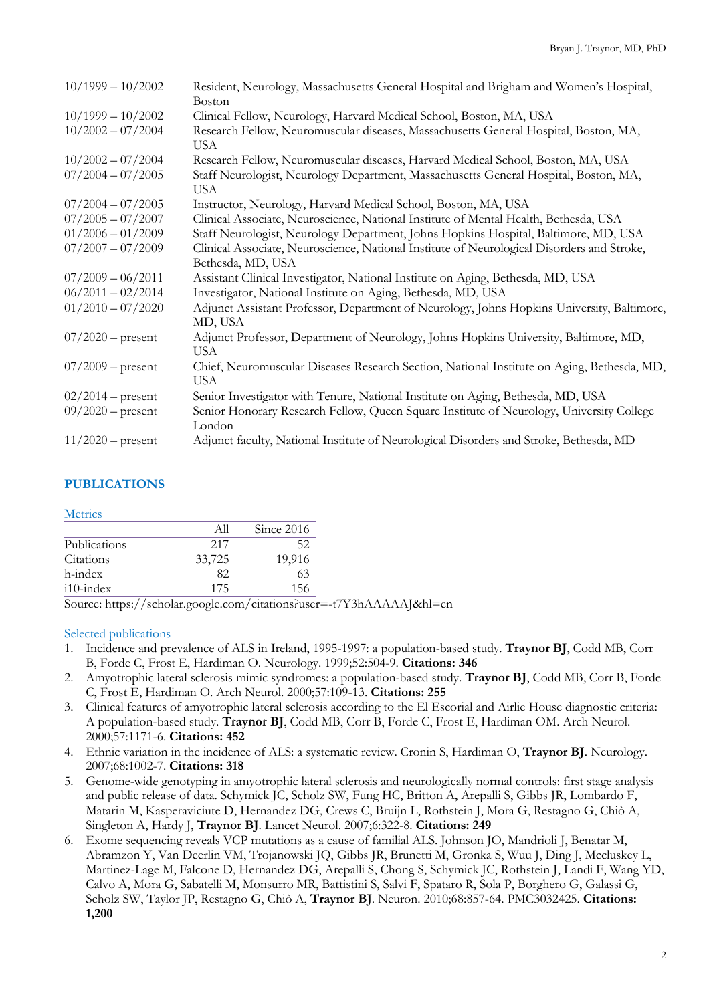| <b>Boston</b><br>$10/1999 - 10/2002$<br>Clinical Fellow, Neurology, Harvard Medical School, Boston, MA, USA<br>$10/2002 - 07/2004$<br>Research Fellow, Neuromuscular diseases, Massachusetts General Hospital, Boston, MA,<br>USA<br>$10/2002 - 07/2004$<br>Research Fellow, Neuromuscular diseases, Harvard Medical School, Boston, MA, USA<br>$07/2004 - 07/2005$<br>Staff Neurologist, Neurology Department, Massachusetts General Hospital, Boston, MA,<br><b>USA</b><br>$07/2004 - 07/2005$<br>Instructor, Neurology, Harvard Medical School, Boston, MA, USA<br>$07/2005 - 07/2007$<br>Clinical Associate, Neuroscience, National Institute of Mental Health, Bethesda, USA<br>$01/2006 - 01/2009$<br>Staff Neurologist, Neurology Department, Johns Hopkins Hospital, Baltimore, MD, USA<br>$07/2007 - 07/2009$<br>Clinical Associate, Neuroscience, National Institute of Neurological Disorders and Stroke,<br>Bethesda, MD, USA |
|-------------------------------------------------------------------------------------------------------------------------------------------------------------------------------------------------------------------------------------------------------------------------------------------------------------------------------------------------------------------------------------------------------------------------------------------------------------------------------------------------------------------------------------------------------------------------------------------------------------------------------------------------------------------------------------------------------------------------------------------------------------------------------------------------------------------------------------------------------------------------------------------------------------------------------------------|
|                                                                                                                                                                                                                                                                                                                                                                                                                                                                                                                                                                                                                                                                                                                                                                                                                                                                                                                                           |
|                                                                                                                                                                                                                                                                                                                                                                                                                                                                                                                                                                                                                                                                                                                                                                                                                                                                                                                                           |
|                                                                                                                                                                                                                                                                                                                                                                                                                                                                                                                                                                                                                                                                                                                                                                                                                                                                                                                                           |
|                                                                                                                                                                                                                                                                                                                                                                                                                                                                                                                                                                                                                                                                                                                                                                                                                                                                                                                                           |
|                                                                                                                                                                                                                                                                                                                                                                                                                                                                                                                                                                                                                                                                                                                                                                                                                                                                                                                                           |
|                                                                                                                                                                                                                                                                                                                                                                                                                                                                                                                                                                                                                                                                                                                                                                                                                                                                                                                                           |
|                                                                                                                                                                                                                                                                                                                                                                                                                                                                                                                                                                                                                                                                                                                                                                                                                                                                                                                                           |
|                                                                                                                                                                                                                                                                                                                                                                                                                                                                                                                                                                                                                                                                                                                                                                                                                                                                                                                                           |
|                                                                                                                                                                                                                                                                                                                                                                                                                                                                                                                                                                                                                                                                                                                                                                                                                                                                                                                                           |
|                                                                                                                                                                                                                                                                                                                                                                                                                                                                                                                                                                                                                                                                                                                                                                                                                                                                                                                                           |
| $07/2009 - 06/2011$<br>Assistant Clinical Investigator, National Institute on Aging, Bethesda, MD, USA                                                                                                                                                                                                                                                                                                                                                                                                                                                                                                                                                                                                                                                                                                                                                                                                                                    |
| $06/2011 - 02/2014$<br>Investigator, National Institute on Aging, Bethesda, MD, USA                                                                                                                                                                                                                                                                                                                                                                                                                                                                                                                                                                                                                                                                                                                                                                                                                                                       |
| $01/2010 - 07/2020$<br>Adjunct Assistant Professor, Department of Neurology, Johns Hopkins University, Baltimore,<br>MD, USA                                                                                                                                                                                                                                                                                                                                                                                                                                                                                                                                                                                                                                                                                                                                                                                                              |
| Adjunct Professor, Department of Neurology, Johns Hopkins University, Baltimore, MD,<br>$07/2020$ – present<br><b>USA</b>                                                                                                                                                                                                                                                                                                                                                                                                                                                                                                                                                                                                                                                                                                                                                                                                                 |
| Chief, Neuromuscular Diseases Research Section, National Institute on Aging, Bethesda, MD,<br>$07/2009$ – present<br><b>USA</b>                                                                                                                                                                                                                                                                                                                                                                                                                                                                                                                                                                                                                                                                                                                                                                                                           |
| $02/2014$ – present<br>Senior Investigator with Tenure, National Institute on Aging, Bethesda, MD, USA                                                                                                                                                                                                                                                                                                                                                                                                                                                                                                                                                                                                                                                                                                                                                                                                                                    |
| $09/2020$ – present<br>Senior Honorary Research Fellow, Queen Square Institute of Neurology, University College<br>London                                                                                                                                                                                                                                                                                                                                                                                                                                                                                                                                                                                                                                                                                                                                                                                                                 |
| Adjunct faculty, National Institute of Neurological Disorders and Stroke, Bethesda, MD<br>$11/2020$ – present                                                                                                                                                                                                                                                                                                                                                                                                                                                                                                                                                                                                                                                                                                                                                                                                                             |

# **PUBLICATIONS**

#### **Metrics**

|                     | AII    | Since $2016$ |                |
|---------------------|--------|--------------|----------------|
| Publications        | 217    | 52           |                |
| Citations           | 33,725 | 19,916       |                |
| h-index             | 82     | 63           |                |
| $i10$ -index        | 175    | 156          |                |
| $C = 1.1 / 1 1 1 1$ |        |              | $.75771$ A A A |

Source: https://scholar.google.com/citations?user=-t7Y3hAAAAAJ&hl=en

### Selected publications

- 1. Incidence and prevalence of ALS in Ireland, 1995-1997: a population-based study. **Traynor BJ**, Codd MB, Corr B, Forde C, Frost E, Hardiman O. Neurology. 1999;52:504-9. **Citations: 346**
- 2. Amyotrophic lateral sclerosis mimic syndromes: a population-based study. **Traynor BJ**, Codd MB, Corr B, Forde C, Frost E, Hardiman O. Arch Neurol. 2000;57:109-13. **Citations: 255**
- 3. Clinical features of amyotrophic lateral sclerosis according to the El Escorial and Airlie House diagnostic criteria: A population-based study. **Traynor BJ**, Codd MB, Corr B, Forde C, Frost E, Hardiman OM. Arch Neurol. 2000;57:1171-6. **Citations: 452**
- 4. Ethnic variation in the incidence of ALS: a systematic review. Cronin S, Hardiman O, **Traynor BJ**. Neurology. 2007;68:1002-7. **Citations: 318**
- 5. Genome-wide genotyping in amyotrophic lateral sclerosis and neurologically normal controls: first stage analysis and public release of data. Schymick JC, Scholz SW, Fung HC, Britton A, Arepalli S, Gibbs JR, Lombardo F, Matarin M, Kasperaviciute D, Hernandez DG, Crews C, Bruijn L, Rothstein J, Mora G, Restagno G, Chiò A, Singleton A, Hardy J, **Traynor BJ**. Lancet Neurol. 2007;6:322-8. **Citations: 249**
- 6. Exome sequencing reveals VCP mutations as a cause of familial ALS. Johnson JO, Mandrioli J, Benatar M, Abramzon Y, Van Deerlin VM, Trojanowski JQ, Gibbs JR, Brunetti M, Gronka S, Wuu J, Ding J, Mccluskey L, Martinez-Lage M, Falcone D, Hernandez DG, Arepalli S, Chong S, Schymick JC, Rothstein J, Landi F, Wang YD, Calvo A, Mora G, Sabatelli M, Monsurro MR, Battistini S, Salvi F, Spataro R, Sola P, Borghero G, Galassi G, Scholz SW, Taylor JP, Restagno G, Chiò A, **Traynor BJ**. Neuron. 2010;68:857-64. PMC3032425. **Citations: 1,200**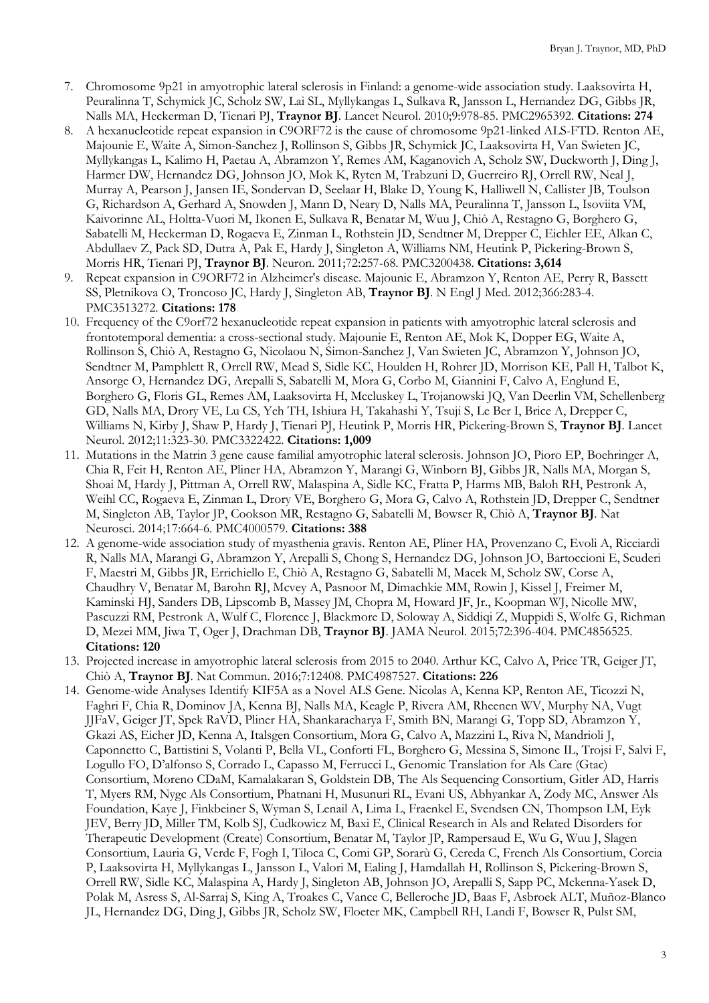- 7. Chromosome 9p21 in amyotrophic lateral sclerosis in Finland: a genome-wide association study. Laaksovirta H, Peuralinna T, Schymick JC, Scholz SW, Lai SL, Myllykangas L, Sulkava R, Jansson L, Hernandez DG, Gibbs JR, Nalls MA, Heckerman D, Tienari PJ, **Traynor BJ**. Lancet Neurol. 2010;9:978-85. PMC2965392. **Citations: 274**
- 8. A hexanucleotide repeat expansion in C9ORF72 is the cause of chromosome 9p21-linked ALS-FTD. Renton AE, Majounie E, Waite A, Simon-Sanchez J, Rollinson S, Gibbs JR, Schymick JC, Laaksovirta H, Van Swieten JC, Myllykangas L, Kalimo H, Paetau A, Abramzon Y, Remes AM, Kaganovich A, Scholz SW, Duckworth J, Ding J, Harmer DW, Hernandez DG, Johnson JO, Mok K, Ryten M, Trabzuni D, Guerreiro RJ, Orrell RW, Neal J, Murray A, Pearson J, Jansen IE, Sondervan D, Seelaar H, Blake D, Young K, Halliwell N, Callister JB, Toulson G, Richardson A, Gerhard A, Snowden J, Mann D, Neary D, Nalls MA, Peuralinna T, Jansson L, Isoviita VM, Kaivorinne AL, Holtta-Vuori M, Ikonen E, Sulkava R, Benatar M, Wuu J, Chiò A, Restagno G, Borghero G, Sabatelli M, Heckerman D, Rogaeva E, Zinman L, Rothstein JD, Sendtner M, Drepper C, Eichler EE, Alkan C, Abdullaev Z, Pack SD, Dutra A, Pak E, Hardy J, Singleton A, Williams NM, Heutink P, Pickering-Brown S, Morris HR, Tienari PJ, **Traynor BJ**. Neuron. 2011;72:257-68. PMC3200438. **Citations: 3,614**
- 9. Repeat expansion in C9ORF72 in Alzheimer's disease. Majounie E, Abramzon Y, Renton AE, Perry R, Bassett SS, Pletnikova O, Troncoso JC, Hardy J, Singleton AB, **Traynor BJ**. N Engl J Med. 2012;366:283-4. PMC3513272. **Citations: 178**
- 10. Frequency of the C9orf72 hexanucleotide repeat expansion in patients with amyotrophic lateral sclerosis and frontotemporal dementia: a cross-sectional study. Majounie E, Renton AE, Mok K, Dopper EG, Waite A, Rollinson S, Chiò A, Restagno G, Nicolaou N, Simon-Sanchez J, Van Swieten JC, Abramzon Y, Johnson JO, Sendtner M, Pamphlett R, Orrell RW, Mead S, Sidle KC, Houlden H, Rohrer JD, Morrison KE, Pall H, Talbot K, Ansorge O, Hernandez DG, Arepalli S, Sabatelli M, Mora G, Corbo M, Giannini F, Calvo A, Englund E, Borghero G, Floris GL, Remes AM, Laaksovirta H, Mccluskey L, Trojanowski JQ, Van Deerlin VM, Schellenberg GD, Nalls MA, Drory VE, Lu CS, Yeh TH, Ishiura H, Takahashi Y, Tsuji S, Le Ber I, Brice A, Drepper C, Williams N, Kirby J, Shaw P, Hardy J, Tienari PJ, Heutink P, Morris HR, Pickering-Brown S, **Traynor BJ**. Lancet Neurol. 2012;11:323-30. PMC3322422. **Citations: 1,009**
- 11. Mutations in the Matrin 3 gene cause familial amyotrophic lateral sclerosis. Johnson JO, Pioro EP, Boehringer A, Chia R, Feit H, Renton AE, Pliner HA, Abramzon Y, Marangi G, Winborn BJ, Gibbs JR, Nalls MA, Morgan S, Shoai M, Hardy J, Pittman A, Orrell RW, Malaspina A, Sidle KC, Fratta P, Harms MB, Baloh RH, Pestronk A, Weihl CC, Rogaeva E, Zinman L, Drory VE, Borghero G, Mora G, Calvo A, Rothstein JD, Drepper C, Sendtner M, Singleton AB, Taylor JP, Cookson MR, Restagno G, Sabatelli M, Bowser R, Chiò A, **Traynor BJ**. Nat Neurosci. 2014;17:664-6. PMC4000579. **Citations: 388**
- 12. A genome-wide association study of myasthenia gravis. Renton AE, Pliner HA, Provenzano C, Evoli A, Ricciardi R, Nalls MA, Marangi G, Abramzon Y, Arepalli S, Chong S, Hernandez DG, Johnson JO, Bartoccioni E, Scuderi F, Maestri M, Gibbs JR, Errichiello E, Chiò A, Restagno G, Sabatelli M, Macek M, Scholz SW, Corse A, Chaudhry V, Benatar M, Barohn RJ, Mcvey A, Pasnoor M, Dimachkie MM, Rowin J, Kissel J, Freimer M, Kaminski HJ, Sanders DB, Lipscomb B, Massey JM, Chopra M, Howard JF, Jr., Koopman WJ, Nicolle MW, Pascuzzi RM, Pestronk A, Wulf C, Florence J, Blackmore D, Soloway A, Siddiqi Z, Muppidi S, Wolfe G, Richman D, Mezei MM, Jiwa T, Oger J, Drachman DB, **Traynor BJ**. JAMA Neurol. 2015;72:396-404. PMC4856525. **Citations: 120**
- 13. Projected increase in amyotrophic lateral sclerosis from 2015 to 2040. Arthur KC, Calvo A, Price TR, Geiger JT, Chiò A, **Traynor BJ**. Nat Commun. 2016;7:12408. PMC4987527. **Citations: 226**
- 14. Genome-wide Analyses Identify KIF5A as a Novel ALS Gene. Nicolas A, Kenna KP, Renton AE, Ticozzi N, Faghri F, Chia R, Dominov JA, Kenna BJ, Nalls MA, Keagle P, Rivera AM, Rheenen WV, Murphy NA, Vugt JJFaV, Geiger JT, Spek RaVD, Pliner HA, Shankaracharya F, Smith BN, Marangi G, Topp SD, Abramzon Y, Gkazi AS, Eicher JD, Kenna A, Italsgen Consortium, Mora G, Calvo A, Mazzini L, Riva N, Mandrioli J, Caponnetto C, Battistini S, Volanti P, Bella VL, Conforti FL, Borghero G, Messina S, Simone IL, Trojsi F, Salvi F, Logullo FO, D'alfonso S, Corrado L, Capasso M, Ferrucci L, Genomic Translation for Als Care (Gtac) Consortium, Moreno CDaM, Kamalakaran S, Goldstein DB, The Als Sequencing Consortium, Gitler AD, Harris T, Myers RM, Nygc Als Consortium, Phatnani H, Musunuri RL, Evani US, Abhyankar A, Zody MC, Answer Als Foundation, Kaye J, Finkbeiner S, Wyman S, Lenail A, Lima L, Fraenkel E, Svendsen CN, Thompson LM, Eyk JEV, Berry JD, Miller TM, Kolb SJ, Cudkowicz M, Baxi E, Clinical Research in Als and Related Disorders for Therapeutic Development (Create) Consortium, Benatar M, Taylor JP, Rampersaud E, Wu G, Wuu J, Slagen Consortium, Lauria G, Verde F, Fogh I, Tiloca C, Comi GP, Sorarù G, Cereda C, French Als Consortium, Corcia P, Laaksovirta H, Myllykangas L, Jansson L, Valori M, Ealing J, Hamdallah H, Rollinson S, Pickering-Brown S, Orrell RW, Sidle KC, Malaspina A, Hardy J, Singleton AB, Johnson JO, Arepalli S, Sapp PC, Mckenna-Yasek D, Polak M, Asress S, Al-Sarraj S, King A, Troakes C, Vance C, Belleroche JD, Baas F, Asbroek ALT, Muñoz-Blanco JL, Hernandez DG, Ding J, Gibbs JR, Scholz SW, Floeter MK, Campbell RH, Landi F, Bowser R, Pulst SM,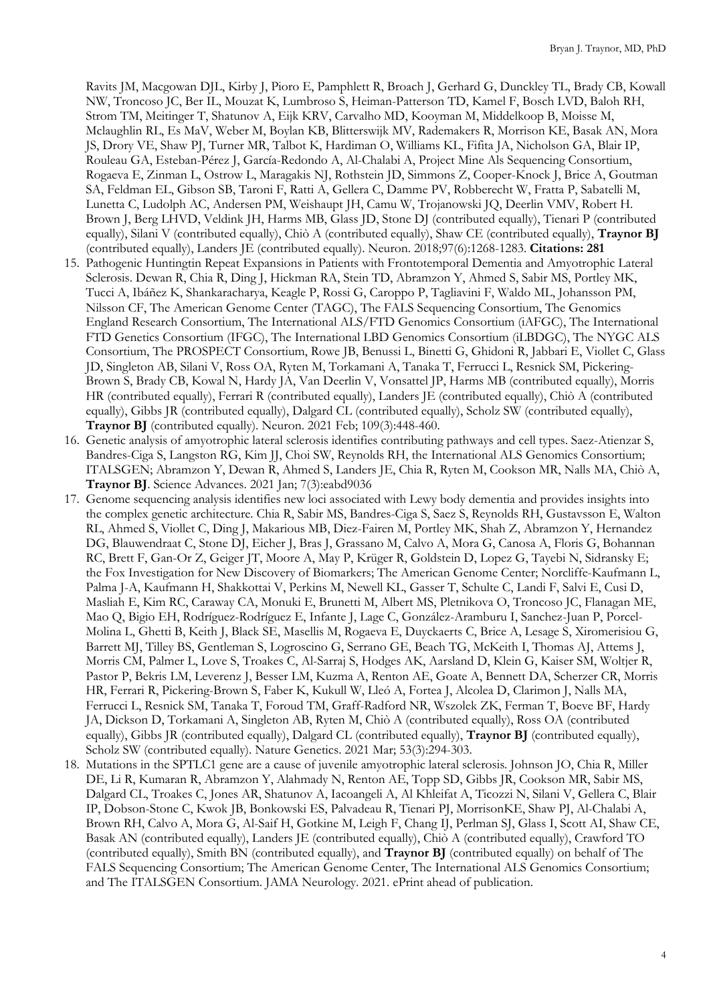Ravits JM, Macgowan DJL, Kirby J, Pioro E, Pamphlett R, Broach J, Gerhard G, Dunckley TL, Brady CB, Kowall NW, Troncoso JC, Ber IL, Mouzat K, Lumbroso S, Heiman-Patterson TD, Kamel F, Bosch LVD, Baloh RH, Strom TM, Meitinger T, Shatunov A, Eijk KRV, Carvalho MD, Kooyman M, Middelkoop B, Moisse M, Mclaughlin RL, Es MaV, Weber M, Boylan KB, Blitterswijk MV, Rademakers R, Morrison KE, Basak AN, Mora JS, Drory VE, Shaw PJ, Turner MR, Talbot K, Hardiman O, Williams KL, Fifita JA, Nicholson GA, Blair IP, Rouleau GA, Esteban-Pérez J, García-Redondo A, Al-Chalabi A, Project Mine Als Sequencing Consortium, Rogaeva E, Zinman L, Ostrow L, Maragakis NJ, Rothstein JD, Simmons Z, Cooper-Knock J, Brice A, Goutman SA, Feldman EL, Gibson SB, Taroni F, Ratti A, Gellera C, Damme PV, Robberecht W, Fratta P, Sabatelli M, Lunetta C, Ludolph AC, Andersen PM, Weishaupt JH, Camu W, Trojanowski JQ, Deerlin VMV, Robert H. Brown J, Berg LHVD, Veldink JH, Harms MB, Glass JD, Stone DJ (contributed equally), Tienari P (contributed equally), Silani V (contributed equally), Chiò A (contributed equally), Shaw CE (contributed equally), **Traynor BJ** (contributed equally), Landers JE (contributed equally). Neuron. 2018;97(6):1268-1283. **Citations: 281**

- 15. Pathogenic Huntingtin Repeat Expansions in Patients with Frontotemporal Dementia and Amyotrophic Lateral Sclerosis. Dewan R, Chia R, Ding J, Hickman RA, Stein TD, Abramzon Y, Ahmed S, Sabir MS, Portley MK, Tucci A, Ibáñez K, Shankaracharya, Keagle P, Rossi G, Caroppo P, Tagliavini F, Waldo ML, Johansson PM, Nilsson CF, The American Genome Center (TAGC), The FALS Sequencing Consortium, The Genomics England Research Consortium, The International ALS/FTD Genomics Consortium (iAFGC), The International FTD Genetics Consortium (IFGC), The International LBD Genomics Consortium (iLBDGC), The NYGC ALS Consortium, The PROSPECT Consortium, Rowe JB, Benussi L, Binetti G, Ghidoni R, Jabbari E, Viollet C, Glass JD, Singleton AB, Silani V, Ross OA, Ryten M, Torkamani A, Tanaka T, Ferrucci L, Resnick SM, Pickering-Brown S, Brady CB, Kowal N, Hardy JA, Van Deerlin V, Vonsattel JP, Harms MB (contributed equally), Morris HR (contributed equally), Ferrari R (contributed equally), Landers JE (contributed equally), Chiò A (contributed equally), Gibbs JR (contributed equally), Dalgard CL (contributed equally), Scholz SW (contributed equally), **Traynor BJ** (contributed equally). Neuron. 2021 Feb; 109(3):448-460.
- 16. Genetic analysis of amyotrophic lateral sclerosis identifies contributing pathways and cell types. Saez-Atienzar S, Bandres-Ciga S, Langston RG, Kim JJ, Choi SW, Reynolds RH, the International ALS Genomics Consortium; ITALSGEN; Abramzon Y, Dewan R, Ahmed S, Landers JE, Chia R, Ryten M, Cookson MR, Nalls MA, Chiò A, **Traynor BJ**. Science Advances. 2021 Jan; 7(3):eabd9036
- 17. Genome sequencing analysis identifies new loci associated with Lewy body dementia and provides insights into the complex genetic architecture. Chia R, Sabir MS, Bandres-Ciga S, Saez S, Reynolds RH, Gustavsson E, Walton RL, Ahmed S, Viollet C, Ding J, Makarious MB, Diez-Fairen M, Portley MK, Shah Z, Abramzon Y, Hernandez DG, Blauwendraat C, Stone DJ, Eicher J, Bras J, Grassano M, Calvo A, Mora G, Canosa A, Floris G, Bohannan RC, Brett F, Gan-Or Z, Geiger JT, Moore A, May P, Krüger R, Goldstein D, Lopez G, Tayebi N, Sidransky E; the Fox Investigation for New Discovery of Biomarkers; The American Genome Center; Norcliffe-Kaufmann L, Palma J-A, Kaufmann H, Shakkottai V, Perkins M, Newell KL, Gasser T, Schulte C, Landi F, Salvi E, Cusi D, Masliah E, Kim RC, Caraway CA, Monuki E, Brunetti M, Albert MS, Pletnikova O, Troncoso JC, Flanagan ME, Mao Q, Bigio EH, Rodríguez-Rodríguez E, Infante J, Lage C, González-Aramburu I, Sanchez-Juan P, Porcel-Molina L, Ghetti B, Keith J, Black SE, Masellis M, Rogaeva E, Duyckaerts C, Brice A, Lesage S, Xiromerisiou G, Barrett MJ, Tilley BS, Gentleman S, Logroscino G, Serrano GE, Beach TG, McKeith I, Thomas AJ, Attems J, Morris CM, Palmer L, Love S, Troakes C, Al-Sarraj S, Hodges AK, Aarsland D, Klein G, Kaiser SM, Woltjer R, Pastor P, Bekris LM, Leverenz J, Besser LM, Kuzma A, Renton AE, Goate A, Bennett DA, Scherzer CR, Morris HR, Ferrari R, Pickering-Brown S, Faber K, Kukull W, Lleó A, Fortea J, Alcolea D, Clarimon J, Nalls MA, Ferrucci L, Resnick SM, Tanaka T, Foroud TM, Graff-Radford NR, Wszolek ZK, Ferman T, Boeve BF, Hardy JA, Dickson D, Torkamani A, Singleton AB, Ryten M, Chiò A (contributed equally), Ross OA (contributed equally), Gibbs JR (contributed equally), Dalgard CL (contributed equally), **Traynor BJ** (contributed equally), Scholz SW (contributed equally). Nature Genetics. 2021 Mar; 53(3):294-303.
- 18. Mutations in the SPTLC1 gene are a cause of juvenile amyotrophic lateral sclerosis. Johnson JO, Chia R, Miller DE, Li R, Kumaran R, Abramzon Y, Alahmady N, Renton AE, Topp SD, Gibbs JR, Cookson MR, Sabir MS, Dalgard CL, Troakes C, Jones AR, Shatunov A, Iacoangeli A, Al Khleifat A, Ticozzi N, Silani V, Gellera C, Blair IP, Dobson-Stone C, Kwok JB, Bonkowski ES, Palvadeau R, Tienari PJ, MorrisonKE, Shaw PJ, Al-Chalabi A, Brown RH, Calvo A, Mora G, Al-Saif H, Gotkine M, Leigh F, Chang IJ, Perlman SJ, Glass I, Scott AI, Shaw CE, Basak AN (contributed equally), Landers JE (contributed equally), Chiò A (contributed equally), Crawford TO (contributed equally), Smith BN (contributed equally), and **Traynor BJ** (contributed equally) on behalf of The FALS Sequencing Consortium; The American Genome Center, The International ALS Genomics Consortium; and The ITALSGEN Consortium. JAMA Neurology. 2021. ePrint ahead of publication.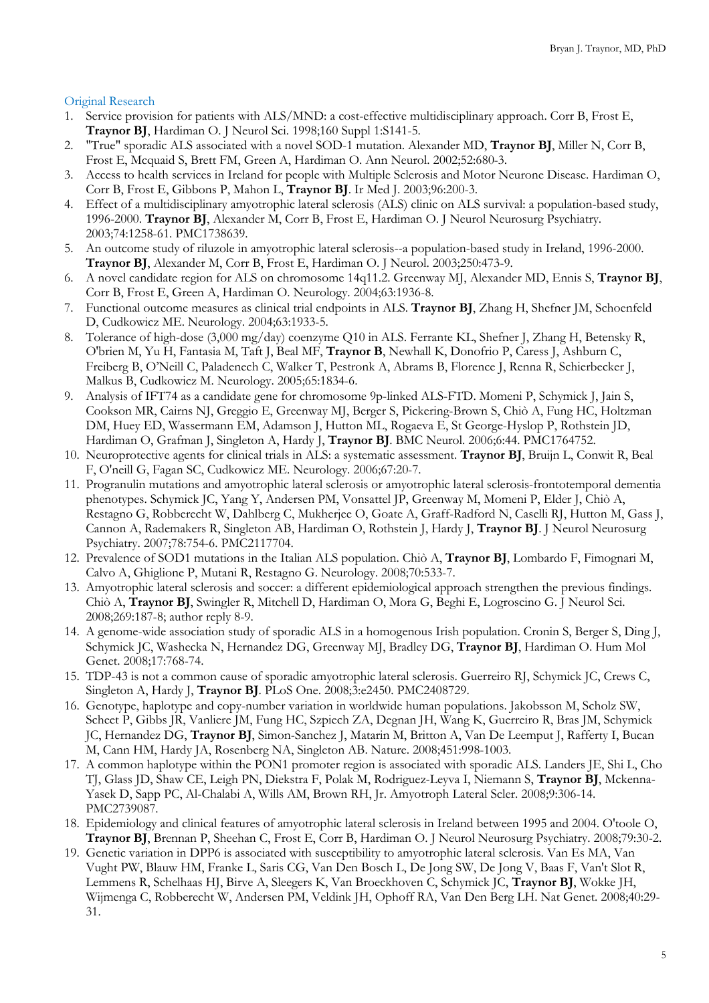### Original Research

- 1. Service provision for patients with ALS/MND: a cost-effective multidisciplinary approach. Corr B, Frost E, **Traynor BJ**, Hardiman O. J Neurol Sci. 1998;160 Suppl 1:S141-5.
- 2. "True" sporadic ALS associated with a novel SOD-1 mutation. Alexander MD, **Traynor BJ**, Miller N, Corr B, Frost E, Mcquaid S, Brett FM, Green A, Hardiman O. Ann Neurol. 2002;52:680-3.
- 3. Access to health services in Ireland for people with Multiple Sclerosis and Motor Neurone Disease. Hardiman O, Corr B, Frost E, Gibbons P, Mahon L, **Traynor BJ**. Ir Med J. 2003;96:200-3.
- 4. Effect of a multidisciplinary amyotrophic lateral sclerosis (ALS) clinic on ALS survival: a population-based study, 1996-2000. **Traynor BJ**, Alexander M, Corr B, Frost E, Hardiman O. J Neurol Neurosurg Psychiatry. 2003;74:1258-61. PMC1738639.
- 5. An outcome study of riluzole in amyotrophic lateral sclerosis--a population-based study in Ireland, 1996-2000. **Traynor BJ**, Alexander M, Corr B, Frost E, Hardiman O. J Neurol. 2003;250:473-9.
- 6. A novel candidate region for ALS on chromosome 14q11.2. Greenway MJ, Alexander MD, Ennis S, **Traynor BJ**, Corr B, Frost E, Green A, Hardiman O. Neurology. 2004;63:1936-8.
- 7. Functional outcome measures as clinical trial endpoints in ALS. **Traynor BJ**, Zhang H, Shefner JM, Schoenfeld D, Cudkowicz ME. Neurology. 2004;63:1933-5.
- 8. Tolerance of high-dose (3,000 mg/day) coenzyme Q10 in ALS. Ferrante KL, Shefner J, Zhang H, Betensky R, O'brien M, Yu H, Fantasia M, Taft J, Beal MF, **Traynor B**, Newhall K, Donofrio P, Caress J, Ashburn C, Freiberg B, O'Neill C, Paladenech C, Walker T, Pestronk A, Abrams B, Florence J, Renna R, Schierbecker J, Malkus B, Cudkowicz M. Neurology. 2005;65:1834-6.
- 9. Analysis of IFT74 as a candidate gene for chromosome 9p-linked ALS-FTD. Momeni P, Schymick J, Jain S, Cookson MR, Cairns NJ, Greggio E, Greenway MJ, Berger S, Pickering-Brown S, Chiò A, Fung HC, Holtzman DM, Huey ED, Wassermann EM, Adamson J, Hutton ML, Rogaeva E, St George-Hyslop P, Rothstein JD, Hardiman O, Grafman J, Singleton A, Hardy J, **Traynor BJ**. BMC Neurol. 2006;6:44. PMC1764752.
- 10. Neuroprotective agents for clinical trials in ALS: a systematic assessment. **Traynor BJ**, Bruijn L, Conwit R, Beal F, O'neill G, Fagan SC, Cudkowicz ME. Neurology. 2006;67:20-7.
- 11. Progranulin mutations and amyotrophic lateral sclerosis or amyotrophic lateral sclerosis-frontotemporal dementia phenotypes. Schymick JC, Yang Y, Andersen PM, Vonsattel JP, Greenway M, Momeni P, Elder J, Chiò A, Restagno G, Robberecht W, Dahlberg C, Mukherjee O, Goate A, Graff-Radford N, Caselli RJ, Hutton M, Gass J, Cannon A, Rademakers R, Singleton AB, Hardiman O, Rothstein J, Hardy J, **Traynor BJ**. J Neurol Neurosurg Psychiatry. 2007;78:754-6. PMC2117704.
- 12. Prevalence of SOD1 mutations in the Italian ALS population. Chiò A, **Traynor BJ**, Lombardo F, Fimognari M, Calvo A, Ghiglione P, Mutani R, Restagno G. Neurology. 2008;70:533-7.
- 13. Amyotrophic lateral sclerosis and soccer: a different epidemiological approach strengthen the previous findings. Chiò A, **Traynor BJ**, Swingler R, Mitchell D, Hardiman O, Mora G, Beghi E, Logroscino G. J Neurol Sci. 2008;269:187-8; author reply 8-9.
- 14. A genome-wide association study of sporadic ALS in a homogenous Irish population. Cronin S, Berger S, Ding J, Schymick JC, Washecka N, Hernandez DG, Greenway MJ, Bradley DG, **Traynor BJ**, Hardiman O. Hum Mol Genet. 2008;17:768-74.
- 15. TDP-43 is not a common cause of sporadic amyotrophic lateral sclerosis. Guerreiro RJ, Schymick JC, Crews C, Singleton A, Hardy J, **Traynor BJ**. PLoS One. 2008;3:e2450. PMC2408729.
- 16. Genotype, haplotype and copy-number variation in worldwide human populations. Jakobsson M, Scholz SW, Scheet P, Gibbs JR, Vanliere JM, Fung HC, Szpiech ZA, Degnan JH, Wang K, Guerreiro R, Bras JM, Schymick JC, Hernandez DG, **Traynor BJ**, Simon-Sanchez J, Matarin M, Britton A, Van De Leemput J, Rafferty I, Bucan M, Cann HM, Hardy JA, Rosenberg NA, Singleton AB. Nature. 2008;451:998-1003.
- 17. A common haplotype within the PON1 promoter region is associated with sporadic ALS. Landers JE, Shi L, Cho TJ, Glass JD, Shaw CE, Leigh PN, Diekstra F, Polak M, Rodriguez-Leyva I, Niemann S, **Traynor BJ**, Mckenna-Yasek D, Sapp PC, Al-Chalabi A, Wills AM, Brown RH, Jr. Amyotroph Lateral Scler. 2008;9:306-14. PMC2739087.
- 18. Epidemiology and clinical features of amyotrophic lateral sclerosis in Ireland between 1995 and 2004. O'toole O, **Traynor BJ**, Brennan P, Sheehan C, Frost E, Corr B, Hardiman O. J Neurol Neurosurg Psychiatry. 2008;79:30-2.
- 19. Genetic variation in DPP6 is associated with susceptibility to amyotrophic lateral sclerosis. Van Es MA, Van Vught PW, Blauw HM, Franke L, Saris CG, Van Den Bosch L, De Jong SW, De Jong V, Baas F, Van't Slot R, Lemmens R, Schelhaas HJ, Birve A, Sleegers K, Van Broeckhoven C, Schymick JC, **Traynor BJ**, Wokke JH, Wijmenga C, Robberecht W, Andersen PM, Veldink JH, Ophoff RA, Van Den Berg LH. Nat Genet. 2008;40:29- 31.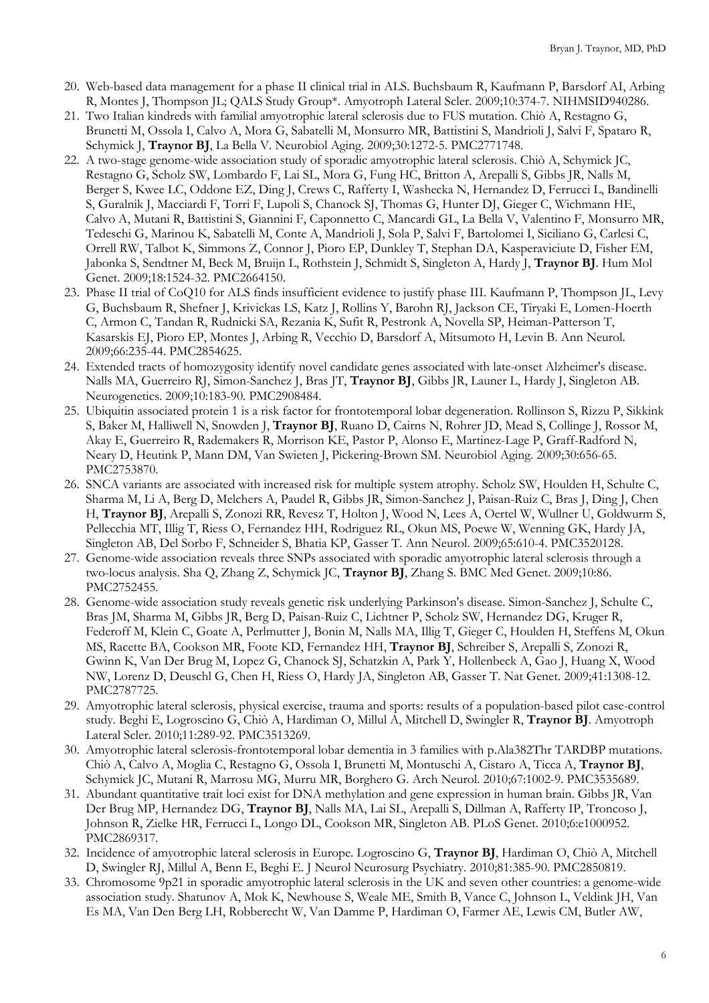- 20. Web-based data management for a phase II clinical trial in ALS. Buchsbaum R, Kaufmann P, Barsdorf AI, Arbing R, Montes J, Thompson JL; QALS Study Group\*. Amyotroph Lateral Scler. 2009;10:374-7. NIHMSID940286.
- 21. Two Italian kindreds with familial amyotrophic lateral sclerosis due to FUS mutation. Chiò A, Restagno G, Brunetti M, Ossola I, Calvo A, Mora G, Sabatelli M, Monsurro MR, Battistini S, Mandrioli J, Salvi F, Spataro R, Schymick J, **Traynor BJ**, La Bella V. Neurobiol Aging. 2009;30:1272-5. PMC2771748.
- 22. A two-stage genome-wide association study of sporadic amyotrophic lateral sclerosis. Chiò A, Schymick JC, Restagno G, Scholz SW, Lombardo F, Lai SL, Mora G, Fung HC, Britton A, Arepalli S, Gibbs JR, Nalls M, Berger S, Kwee LC, Oddone EZ, Ding J, Crews C, Rafferty I, Washecka N, Hernandez D, Ferrucci L, Bandinelli S, Guralnik J, Macciardi F, Torri F, Lupoli S, Chanock SJ, Thomas G, Hunter DJ, Gieger C, Wichmann HE, Calvo A, Mutani R, Battistini S, Giannini F, Caponnetto C, Mancardi GL, La Bella V, Valentino F, Monsurro MR, Tedeschi G, Marinou K, Sabatelli M, Conte A, Mandrioli J, Sola P, Salvi F, Bartolomei I, Siciliano G, Carlesi C, Orrell RW, Talbot K, Simmons Z, Connor J, Pioro EP, Dunkley T, Stephan DA, Kasperaviciute D, Fisher EM, Jabonka S, Sendtner M, Beck M, Bruijn L, Rothstein J, Schmidt S, Singleton A, Hardy J, **Traynor BJ**. Hum Mol Genet. 2009;18:1524-32. PMC2664150.
- 23. Phase II trial of CoQ10 for ALS finds insufficient evidence to justify phase III. Kaufmann P, Thompson JL, Levy G, Buchsbaum R, Shefner J, Krivickas LS, Katz J, Rollins Y, Barohn RJ, Jackson CE, Tiryaki E, Lomen-Hoerth C, Armon C, Tandan R, Rudnicki SA, Rezania K, Sufit R, Pestronk A, Novella SP, Heiman-Patterson T, Kasarskis EJ, Pioro EP, Montes J, Arbing R, Vecchio D, Barsdorf A, Mitsumoto H, Levin B. Ann Neurol. 2009;66:235-44. PMC2854625.
- 24. Extended tracts of homozygosity identify novel candidate genes associated with late-onset Alzheimer's disease. Nalls MA, Guerreiro RJ, Simon-Sanchez J, Bras JT, **Traynor BJ**, Gibbs JR, Launer L, Hardy J, Singleton AB. Neurogenetics. 2009;10:183-90. PMC2908484.
- 25. Ubiquitin associated protein 1 is a risk factor for frontotemporal lobar degeneration. Rollinson S, Rizzu P, Sikkink S, Baker M, Halliwell N, Snowden J, **Traynor BJ**, Ruano D, Cairns N, Rohrer JD, Mead S, Collinge J, Rossor M, Akay E, Guerreiro R, Rademakers R, Morrison KE, Pastor P, Alonso E, Martinez-Lage P, Graff-Radford N, Neary D, Heutink P, Mann DM, Van Swieten J, Pickering-Brown SM. Neurobiol Aging. 2009;30:656-65. PMC2753870.
- 26. SNCA variants are associated with increased risk for multiple system atrophy. Scholz SW, Houlden H, Schulte C, Sharma M, Li A, Berg D, Melchers A, Paudel R, Gibbs JR, Simon-Sanchez J, Paisan-Ruiz C, Bras J, Ding J, Chen H, **Traynor BJ**, Arepalli S, Zonozi RR, Revesz T, Holton J, Wood N, Lees A, Oertel W, Wullner U, Goldwurm S, Pellecchia MT, Illig T, Riess O, Fernandez HH, Rodriguez RL, Okun MS, Poewe W, Wenning GK, Hardy JA, Singleton AB, Del Sorbo F, Schneider S, Bhatia KP, Gasser T. Ann Neurol. 2009;65:610-4. PMC3520128.
- 27. Genome-wide association reveals three SNPs associated with sporadic amyotrophic lateral sclerosis through a two-locus analysis. Sha Q, Zhang Z, Schymick JC, **Traynor BJ**, Zhang S. BMC Med Genet. 2009;10:86. PMC2752455.
- 28. Genome-wide association study reveals genetic risk underlying Parkinson's disease. Simon-Sanchez J, Schulte C, Bras JM, Sharma M, Gibbs JR, Berg D, Paisan-Ruiz C, Lichtner P, Scholz SW, Hernandez DG, Kruger R, Federoff M, Klein C, Goate A, Perlmutter J, Bonin M, Nalls MA, Illig T, Gieger C, Houlden H, Steffens M, Okun MS, Racette BA, Cookson MR, Foote KD, Fernandez HH, **Traynor BJ**, Schreiber S, Arepalli S, Zonozi R, Gwinn K, Van Der Brug M, Lopez G, Chanock SJ, Schatzkin A, Park Y, Hollenbeck A, Gao J, Huang X, Wood NW, Lorenz D, Deuschl G, Chen H, Riess O, Hardy JA, Singleton AB, Gasser T. Nat Genet. 2009;41:1308-12. PMC2787725.
- 29. Amyotrophic lateral sclerosis, physical exercise, trauma and sports: results of a population-based pilot case-control study. Beghi E, Logroscino G, Chiò A, Hardiman O, Millul A, Mitchell D, Swingler R, **Traynor BJ**. Amyotroph Lateral Scler. 2010;11:289-92. PMC3513269.
- 30. Amyotrophic lateral sclerosis-frontotemporal lobar dementia in 3 families with p.Ala382Thr TARDBP mutations. Chiò A, Calvo A, Moglia C, Restagno G, Ossola I, Brunetti M, Montuschi A, Cistaro A, Ticca A, **Traynor BJ**, Schymick JC, Mutani R, Marrosu MG, Murru MR, Borghero G. Arch Neurol. 2010;67:1002-9. PMC3535689.
- 31. Abundant quantitative trait loci exist for DNA methylation and gene expression in human brain. Gibbs JR, Van Der Brug MP, Hernandez DG, **Traynor BJ**, Nalls MA, Lai SL, Arepalli S, Dillman A, Rafferty IP, Troncoso J, Johnson R, Zielke HR, Ferrucci L, Longo DL, Cookson MR, Singleton AB. PLoS Genet. 2010;6:e1000952. PMC2869317.
- 32. Incidence of amyotrophic lateral sclerosis in Europe. Logroscino G, **Traynor BJ**, Hardiman O, Chiò A, Mitchell D, Swingler RJ, Millul A, Benn E, Beghi E. J Neurol Neurosurg Psychiatry. 2010;81:385-90. PMC2850819.
- 33. Chromosome 9p21 in sporadic amyotrophic lateral sclerosis in the UK and seven other countries: a genome-wide association study. Shatunov A, Mok K, Newhouse S, Weale ME, Smith B, Vance C, Johnson L, Veldink JH, Van Es MA, Van Den Berg LH, Robberecht W, Van Damme P, Hardiman O, Farmer AE, Lewis CM, Butler AW,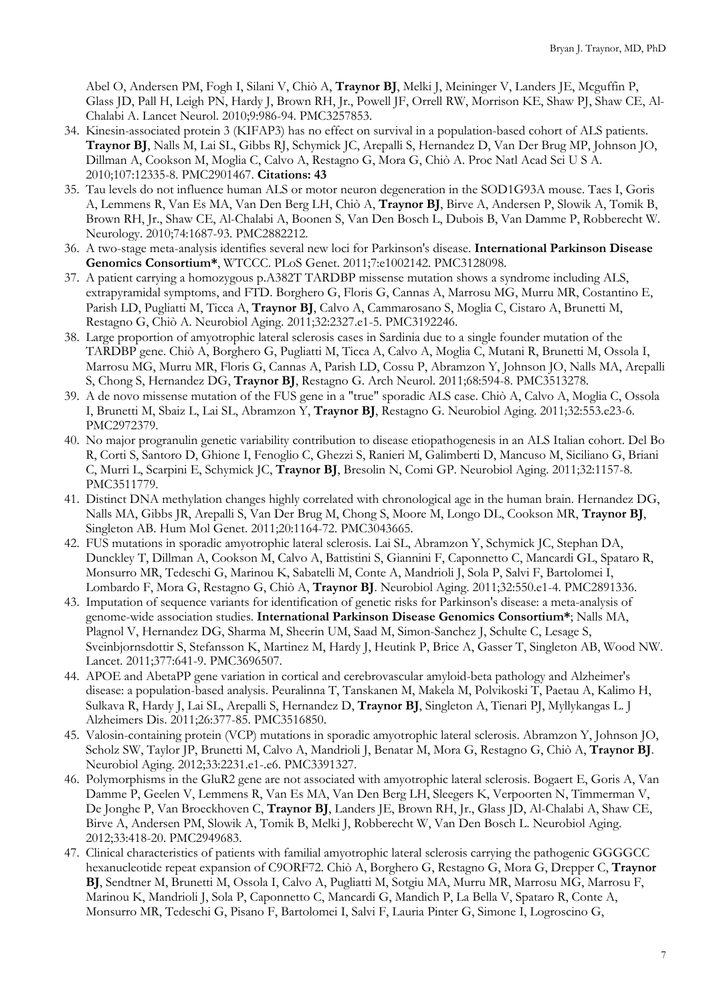Abel O, Andersen PM, Fogh I, Silani V, Chiò A, **Traynor BJ**, Melki J, Meininger V, Landers JE, Mcguffin P, Glass JD, Pall H, Leigh PN, Hardy J, Brown RH, Jr., Powell JF, Orrell RW, Morrison KE, Shaw PJ, Shaw CE, Al-Chalabi A. Lancet Neurol. 2010;9:986-94. PMC3257853.

- 34. Kinesin-associated protein 3 (KIFAP3) has no effect on survival in a population-based cohort of ALS patients. **Traynor BJ**, Nalls M, Lai SL, Gibbs RJ, Schymick JC, Arepalli S, Hernandez D, Van Der Brug MP, Johnson JO, Dillman A, Cookson M, Moglia C, Calvo A, Restagno G, Mora G, Chiò A. Proc Natl Acad Sci U S A. 2010;107:12335-8. PMC2901467. **Citations: 43**
- 35. Tau levels do not influence human ALS or motor neuron degeneration in the SOD1G93A mouse. Taes I, Goris A, Lemmens R, Van Es MA, Van Den Berg LH, Chiò A, **Traynor BJ**, Birve A, Andersen P, Slowik A, Tomik B, Brown RH, Jr., Shaw CE, Al-Chalabi A, Boonen S, Van Den Bosch L, Dubois B, Van Damme P, Robberecht W. Neurology. 2010;74:1687-93. PMC2882212.
- 36. A two-stage meta-analysis identifies several new loci for Parkinson's disease. **International Parkinson Disease Genomics Consortium\***, WTCCC. PLoS Genet. 2011;7:e1002142. PMC3128098.
- 37. A patient carrying a homozygous p.A382T TARDBP missense mutation shows a syndrome including ALS, extrapyramidal symptoms, and FTD. Borghero G, Floris G, Cannas A, Marrosu MG, Murru MR, Costantino E, Parish LD, Pugliatti M, Ticca A, **Traynor BJ**, Calvo A, Cammarosano S, Moglia C, Cistaro A, Brunetti M, Restagno G, Chiò A. Neurobiol Aging. 2011;32:2327.e1-5. PMC3192246.
- 38. Large proportion of amyotrophic lateral sclerosis cases in Sardinia due to a single founder mutation of the TARDBP gene. Chiò A, Borghero G, Pugliatti M, Ticca A, Calvo A, Moglia C, Mutani R, Brunetti M, Ossola I, Marrosu MG, Murru MR, Floris G, Cannas A, Parish LD, Cossu P, Abramzon Y, Johnson JO, Nalls MA, Arepalli S, Chong S, Hernandez DG, **Traynor BJ**, Restagno G. Arch Neurol. 2011;68:594-8. PMC3513278.
- 39. A de novo missense mutation of the FUS gene in a "true" sporadic ALS case. Chiò A, Calvo A, Moglia C, Ossola I, Brunetti M, Sbaiz L, Lai SL, Abramzon Y, **Traynor BJ**, Restagno G. Neurobiol Aging. 2011;32:553.e23-6. PMC2972379.
- 40. No major progranulin genetic variability contribution to disease etiopathogenesis in an ALS Italian cohort. Del Bo R, Corti S, Santoro D, Ghione I, Fenoglio C, Ghezzi S, Ranieri M, Galimberti D, Mancuso M, Siciliano G, Briani C, Murri L, Scarpini E, Schymick JC, **Traynor BJ**, Bresolin N, Comi GP. Neurobiol Aging. 2011;32:1157-8. PMC3511779.
- 41. Distinct DNA methylation changes highly correlated with chronological age in the human brain. Hernandez DG, Nalls MA, Gibbs JR, Arepalli S, Van Der Brug M, Chong S, Moore M, Longo DL, Cookson MR, **Traynor BJ**, Singleton AB. Hum Mol Genet. 2011;20:1164-72. PMC3043665.
- 42. FUS mutations in sporadic amyotrophic lateral sclerosis. Lai SL, Abramzon Y, Schymick JC, Stephan DA, Dunckley T, Dillman A, Cookson M, Calvo A, Battistini S, Giannini F, Caponnetto C, Mancardi GL, Spataro R, Monsurro MR, Tedeschi G, Marinou K, Sabatelli M, Conte A, Mandrioli J, Sola P, Salvi F, Bartolomei I, Lombardo F, Mora G, Restagno G, Chiò A, **Traynor BJ**. Neurobiol Aging. 2011;32:550.e1-4. PMC2891336.
- 43. Imputation of sequence variants for identification of genetic risks for Parkinson's disease: a meta-analysis of genome-wide association studies. **International Parkinson Disease Genomics Consortium\***; Nalls MA, Plagnol V, Hernandez DG, Sharma M, Sheerin UM, Saad M, Simon-Sanchez J, Schulte C, Lesage S, Sveinbjornsdottir S, Stefansson K, Martinez M, Hardy J, Heutink P, Brice A, Gasser T, Singleton AB, Wood NW. Lancet. 2011;377:641-9. PMC3696507.
- 44. APOE and AbetaPP gene variation in cortical and cerebrovascular amyloid-beta pathology and Alzheimer's disease: a population-based analysis. Peuralinna T, Tanskanen M, Makela M, Polvikoski T, Paetau A, Kalimo H, Sulkava R, Hardy J, Lai SL, Arepalli S, Hernandez D, **Traynor BJ**, Singleton A, Tienari PJ, Myllykangas L. J Alzheimers Dis. 2011;26:377-85. PMC3516850.
- 45. Valosin-containing protein (VCP) mutations in sporadic amyotrophic lateral sclerosis. Abramzon Y, Johnson JO, Scholz SW, Taylor JP, Brunetti M, Calvo A, Mandrioli J, Benatar M, Mora G, Restagno G, Chiò A, **Traynor BJ**. Neurobiol Aging. 2012;33:2231.e1-.e6. PMC3391327.
- 46. Polymorphisms in the GluR2 gene are not associated with amyotrophic lateral sclerosis. Bogaert E, Goris A, Van Damme P, Geelen V, Lemmens R, Van Es MA, Van Den Berg LH, Sleegers K, Verpoorten N, Timmerman V, De Jonghe P, Van Broeckhoven C, **Traynor BJ**, Landers JE, Brown RH, Jr., Glass JD, Al-Chalabi A, Shaw CE, Birve A, Andersen PM, Slowik A, Tomik B, Melki J, Robberecht W, Van Den Bosch L. Neurobiol Aging. 2012;33:418-20. PMC2949683.
- 47. Clinical characteristics of patients with familial amyotrophic lateral sclerosis carrying the pathogenic GGGGCC hexanucleotide repeat expansion of C9ORF72. Chiò A, Borghero G, Restagno G, Mora G, Drepper C, **Traynor BJ**, Sendtner M, Brunetti M, Ossola I, Calvo A, Pugliatti M, Sotgiu MA, Murru MR, Marrosu MG, Marrosu F, Marinou K, Mandrioli J, Sola P, Caponnetto C, Mancardi G, Mandich P, La Bella V, Spataro R, Conte A, Monsurro MR, Tedeschi G, Pisano F, Bartolomei I, Salvi F, Lauria Pinter G, Simone I, Logroscino G,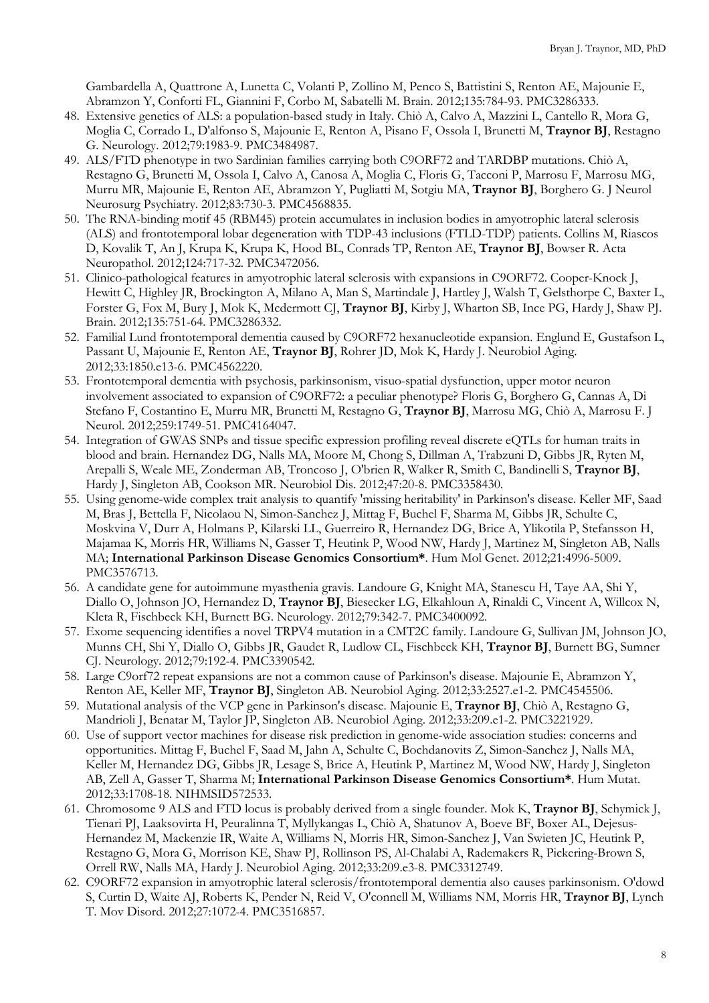Gambardella A, Quattrone A, Lunetta C, Volanti P, Zollino M, Penco S, Battistini S, Renton AE, Majounie E, Abramzon Y, Conforti FL, Giannini F, Corbo M, Sabatelli M. Brain. 2012;135:784-93. PMC3286333.

- 48. Extensive genetics of ALS: a population-based study in Italy. Chiò A, Calvo A, Mazzini L, Cantello R, Mora G, Moglia C, Corrado L, D'alfonso S, Majounie E, Renton A, Pisano F, Ossola I, Brunetti M, **Traynor BJ**, Restagno G. Neurology. 2012;79:1983-9. PMC3484987.
- 49. ALS/FTD phenotype in two Sardinian families carrying both C9ORF72 and TARDBP mutations. Chiò A, Restagno G, Brunetti M, Ossola I, Calvo A, Canosa A, Moglia C, Floris G, Tacconi P, Marrosu F, Marrosu MG, Murru MR, Majounie E, Renton AE, Abramzon Y, Pugliatti M, Sotgiu MA, **Traynor BJ**, Borghero G. J Neurol Neurosurg Psychiatry. 2012;83:730-3. PMC4568835.
- 50. The RNA-binding motif 45 (RBM45) protein accumulates in inclusion bodies in amyotrophic lateral sclerosis (ALS) and frontotemporal lobar degeneration with TDP-43 inclusions (FTLD-TDP) patients. Collins M, Riascos D, Kovalik T, An J, Krupa K, Krupa K, Hood BL, Conrads TP, Renton AE, **Traynor BJ**, Bowser R. Acta Neuropathol. 2012;124:717-32. PMC3472056.
- 51. Clinico-pathological features in amyotrophic lateral sclerosis with expansions in C9ORF72. Cooper-Knock J, Hewitt C, Highley JR, Brockington A, Milano A, Man S, Martindale J, Hartley J, Walsh T, Gelsthorpe C, Baxter L, Forster G, Fox M, Bury J, Mok K, Mcdermott CJ, **Traynor BJ**, Kirby J, Wharton SB, Ince PG, Hardy J, Shaw PJ. Brain. 2012;135:751-64. PMC3286332.
- 52. Familial Lund frontotemporal dementia caused by C9ORF72 hexanucleotide expansion. Englund E, Gustafson L, Passant U, Majounie E, Renton AE, **Traynor BJ**, Rohrer JD, Mok K, Hardy J. Neurobiol Aging. 2012;33:1850.e13-6. PMC4562220.
- 53. Frontotemporal dementia with psychosis, parkinsonism, visuo-spatial dysfunction, upper motor neuron involvement associated to expansion of C9ORF72: a peculiar phenotype? Floris G, Borghero G, Cannas A, Di Stefano F, Costantino E, Murru MR, Brunetti M, Restagno G, **Traynor BJ**, Marrosu MG, Chiò A, Marrosu F. J Neurol. 2012;259:1749-51. PMC4164047.
- 54. Integration of GWAS SNPs and tissue specific expression profiling reveal discrete eQTLs for human traits in blood and brain. Hernandez DG, Nalls MA, Moore M, Chong S, Dillman A, Trabzuni D, Gibbs JR, Ryten M, Arepalli S, Weale ME, Zonderman AB, Troncoso J, O'brien R, Walker R, Smith C, Bandinelli S, **Traynor BJ**, Hardy J, Singleton AB, Cookson MR. Neurobiol Dis. 2012;47:20-8. PMC3358430.
- 55. Using genome-wide complex trait analysis to quantify 'missing heritability' in Parkinson's disease. Keller MF, Saad M, Bras J, Bettella F, Nicolaou N, Simon-Sanchez J, Mittag F, Buchel F, Sharma M, Gibbs JR, Schulte C, Moskvina V, Durr A, Holmans P, Kilarski LL, Guerreiro R, Hernandez DG, Brice A, Ylikotila P, Stefansson H, Majamaa K, Morris HR, Williams N, Gasser T, Heutink P, Wood NW, Hardy J, Martinez M, Singleton AB, Nalls MA; **International Parkinson Disease Genomics Consortium\***. Hum Mol Genet. 2012;21:4996-5009. PMC3576713.
- 56. A candidate gene for autoimmune myasthenia gravis. Landoure G, Knight MA, Stanescu H, Taye AA, Shi Y, Diallo O, Johnson JO, Hernandez D, **Traynor BJ**, Biesecker LG, Elkahloun A, Rinaldi C, Vincent A, Willcox N, Kleta R, Fischbeck KH, Burnett BG. Neurology. 2012;79:342-7. PMC3400092.
- 57. Exome sequencing identifies a novel TRPV4 mutation in a CMT2C family. Landoure G, Sullivan JM, Johnson JO, Munns CH, Shi Y, Diallo O, Gibbs JR, Gaudet R, Ludlow CL, Fischbeck KH, **Traynor BJ**, Burnett BG, Sumner CJ. Neurology. 2012;79:192-4. PMC3390542.
- 58. Large C9orf72 repeat expansions are not a common cause of Parkinson's disease. Majounie E, Abramzon Y, Renton AE, Keller MF, **Traynor BJ**, Singleton AB. Neurobiol Aging. 2012;33:2527.e1-2. PMC4545506.
- 59. Mutational analysis of the VCP gene in Parkinson's disease. Majounie E, **Traynor BJ**, Chiò A, Restagno G, Mandrioli J, Benatar M, Taylor JP, Singleton AB. Neurobiol Aging. 2012;33:209.e1-2. PMC3221929.
- 60. Use of support vector machines for disease risk prediction in genome-wide association studies: concerns and opportunities. Mittag F, Buchel F, Saad M, Jahn A, Schulte C, Bochdanovits Z, Simon-Sanchez J, Nalls MA, Keller M, Hernandez DG, Gibbs JR, Lesage S, Brice A, Heutink P, Martinez M, Wood NW, Hardy J, Singleton AB, Zell A, Gasser T, Sharma M; **International Parkinson Disease Genomics Consortium\***. Hum Mutat. 2012;33:1708-18. NIHMSID572533.
- 61. Chromosome 9 ALS and FTD locus is probably derived from a single founder. Mok K, **Traynor BJ**, Schymick J, Tienari PJ, Laaksovirta H, Peuralinna T, Myllykangas L, Chiò A, Shatunov A, Boeve BF, Boxer AL, Dejesus-Hernandez M, Mackenzie IR, Waite A, Williams N, Morris HR, Simon-Sanchez J, Van Swieten JC, Heutink P, Restagno G, Mora G, Morrison KE, Shaw PJ, Rollinson PS, Al-Chalabi A, Rademakers R, Pickering-Brown S, Orrell RW, Nalls MA, Hardy J. Neurobiol Aging. 2012;33:209.e3-8. PMC3312749.
- 62. C9ORF72 expansion in amyotrophic lateral sclerosis/frontotemporal dementia also causes parkinsonism. O'dowd S, Curtin D, Waite AJ, Roberts K, Pender N, Reid V, O'connell M, Williams NM, Morris HR, **Traynor BJ**, Lynch T. Mov Disord. 2012;27:1072-4. PMC3516857.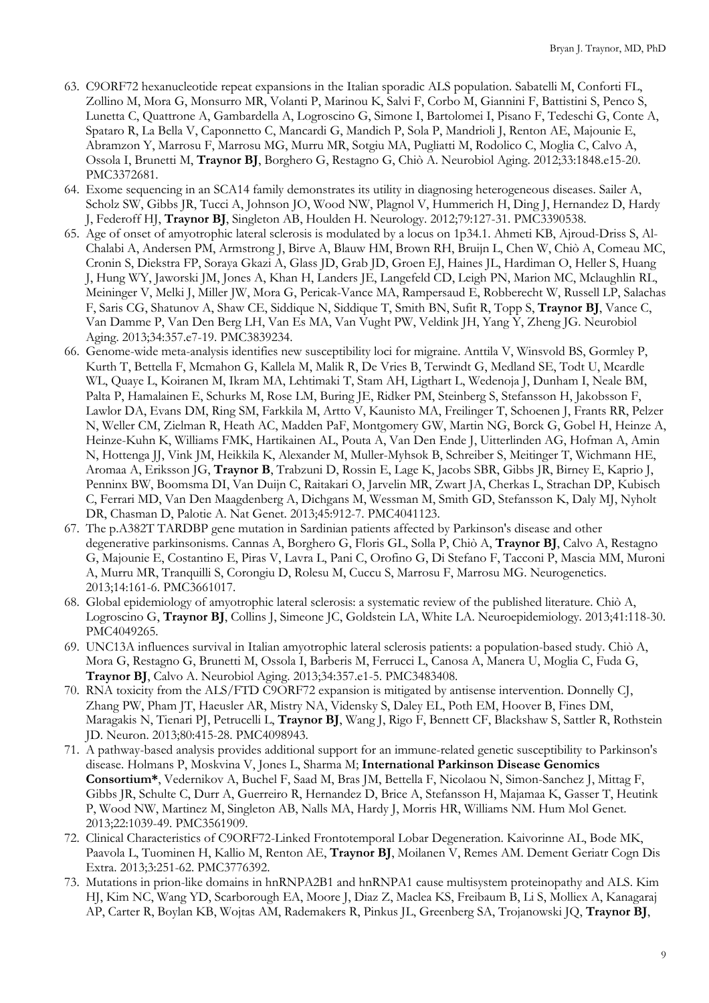- 63. C9ORF72 hexanucleotide repeat expansions in the Italian sporadic ALS population. Sabatelli M, Conforti FL, Zollino M, Mora G, Monsurro MR, Volanti P, Marinou K, Salvi F, Corbo M, Giannini F, Battistini S, Penco S, Lunetta C, Quattrone A, Gambardella A, Logroscino G, Simone I, Bartolomei I, Pisano F, Tedeschi G, Conte A, Spataro R, La Bella V, Caponnetto C, Mancardi G, Mandich P, Sola P, Mandrioli J, Renton AE, Majounie E, Abramzon Y, Marrosu F, Marrosu MG, Murru MR, Sotgiu MA, Pugliatti M, Rodolico C, Moglia C, Calvo A, Ossola I, Brunetti M, **Traynor BJ**, Borghero G, Restagno G, Chiò A. Neurobiol Aging. 2012;33:1848.e15-20. PMC3372681.
- 64. Exome sequencing in an SCA14 family demonstrates its utility in diagnosing heterogeneous diseases. Sailer A, Scholz SW, Gibbs JR, Tucci A, Johnson JO, Wood NW, Plagnol V, Hummerich H, Ding J, Hernandez D, Hardy J, Federoff HJ, **Traynor BJ**, Singleton AB, Houlden H. Neurology. 2012;79:127-31. PMC3390538.
- 65. Age of onset of amyotrophic lateral sclerosis is modulated by a locus on 1p34.1. Ahmeti KB, Ajroud-Driss S, Al-Chalabi A, Andersen PM, Armstrong J, Birve A, Blauw HM, Brown RH, Bruijn L, Chen W, Chiò A, Comeau MC, Cronin S, Diekstra FP, Soraya Gkazi A, Glass JD, Grab JD, Groen EJ, Haines JL, Hardiman O, Heller S, Huang J, Hung WY, Jaworski JM, Jones A, Khan H, Landers JE, Langefeld CD, Leigh PN, Marion MC, Mclaughlin RL, Meininger V, Melki J, Miller JW, Mora G, Pericak-Vance MA, Rampersaud E, Robberecht W, Russell LP, Salachas F, Saris CG, Shatunov A, Shaw CE, Siddique N, Siddique T, Smith BN, Sufit R, Topp S, **Traynor BJ**, Vance C, Van Damme P, Van Den Berg LH, Van Es MA, Van Vught PW, Veldink JH, Yang Y, Zheng JG. Neurobiol Aging. 2013;34:357.e7-19. PMC3839234.
- 66. Genome-wide meta-analysis identifies new susceptibility loci for migraine. Anttila V, Winsvold BS, Gormley P, Kurth T, Bettella F, Mcmahon G, Kallela M, Malik R, De Vries B, Terwindt G, Medland SE, Todt U, Mcardle WL, Quaye L, Koiranen M, Ikram MA, Lehtimaki T, Stam AH, Ligthart L, Wedenoja J, Dunham I, Neale BM, Palta P, Hamalainen E, Schurks M, Rose LM, Buring JE, Ridker PM, Steinberg S, Stefansson H, Jakobsson F, Lawlor DA, Evans DM, Ring SM, Farkkila M, Artto V, Kaunisto MA, Freilinger T, Schoenen J, Frants RR, Pelzer N, Weller CM, Zielman R, Heath AC, Madden PaF, Montgomery GW, Martin NG, Borck G, Gobel H, Heinze A, Heinze-Kuhn K, Williams FMK, Hartikainen AL, Pouta A, Van Den Ende J, Uitterlinden AG, Hofman A, Amin N, Hottenga JJ, Vink JM, Heikkila K, Alexander M, Muller-Myhsok B, Schreiber S, Meitinger T, Wichmann HE, Aromaa A, Eriksson JG, **Traynor B**, Trabzuni D, Rossin E, Lage K, Jacobs SBR, Gibbs JR, Birney E, Kaprio J, Penninx BW, Boomsma DI, Van Duijn C, Raitakari O, Jarvelin MR, Zwart JA, Cherkas L, Strachan DP, Kubisch C, Ferrari MD, Van Den Maagdenberg A, Dichgans M, Wessman M, Smith GD, Stefansson K, Daly MJ, Nyholt DR, Chasman D, Palotie A. Nat Genet. 2013;45:912-7. PMC4041123.
- 67. The p.A382T TARDBP gene mutation in Sardinian patients affected by Parkinson's disease and other degenerative parkinsonisms. Cannas A, Borghero G, Floris GL, Solla P, Chiò A, **Traynor BJ**, Calvo A, Restagno G, Majounie E, Costantino E, Piras V, Lavra L, Pani C, Orofino G, Di Stefano F, Tacconi P, Mascia MM, Muroni A, Murru MR, Tranquilli S, Corongiu D, Rolesu M, Cuccu S, Marrosu F, Marrosu MG. Neurogenetics. 2013;14:161-6. PMC3661017.
- 68. Global epidemiology of amyotrophic lateral sclerosis: a systematic review of the published literature. Chiò A, Logroscino G, **Traynor BJ**, Collins J, Simeone JC, Goldstein LA, White LA. Neuroepidemiology. 2013;41:118-30. PMC4049265.
- 69. UNC13A influences survival in Italian amyotrophic lateral sclerosis patients: a population-based study. Chiò A, Mora G, Restagno G, Brunetti M, Ossola I, Barberis M, Ferrucci L, Canosa A, Manera U, Moglia C, Fuda G, **Traynor BJ**, Calvo A. Neurobiol Aging. 2013;34:357.e1-5. PMC3483408.
- 70. RNA toxicity from the ALS/FTD C9ORF72 expansion is mitigated by antisense intervention. Donnelly CJ, Zhang PW, Pham JT, Haeusler AR, Mistry NA, Vidensky S, Daley EL, Poth EM, Hoover B, Fines DM, Maragakis N, Tienari PJ, Petrucelli L, **Traynor BJ**, Wang J, Rigo F, Bennett CF, Blackshaw S, Sattler R, Rothstein JD. Neuron. 2013;80:415-28. PMC4098943.
- 71. A pathway-based analysis provides additional support for an immune-related genetic susceptibility to Parkinson's disease. Holmans P, Moskvina V, Jones L, Sharma M; **International Parkinson Disease Genomics Consortium\***, Vedernikov A, Buchel F, Saad M, Bras JM, Bettella F, Nicolaou N, Simon-Sanchez J, Mittag F, Gibbs JR, Schulte C, Durr A, Guerreiro R, Hernandez D, Brice A, Stefansson H, Majamaa K, Gasser T, Heutink P, Wood NW, Martinez M, Singleton AB, Nalls MA, Hardy J, Morris HR, Williams NM. Hum Mol Genet. 2013;22:1039-49. PMC3561909.
- 72. Clinical Characteristics of C9ORF72-Linked Frontotemporal Lobar Degeneration. Kaivorinne AL, Bode MK, Paavola L, Tuominen H, Kallio M, Renton AE, **Traynor BJ**, Moilanen V, Remes AM. Dement Geriatr Cogn Dis Extra. 2013;3:251-62. PMC3776392.
- 73. Mutations in prion-like domains in hnRNPA2B1 and hnRNPA1 cause multisystem proteinopathy and ALS. Kim HJ, Kim NC, Wang YD, Scarborough EA, Moore J, Diaz Z, Maclea KS, Freibaum B, Li S, Molliex A, Kanagaraj AP, Carter R, Boylan KB, Wojtas AM, Rademakers R, Pinkus JL, Greenberg SA, Trojanowski JQ, **Traynor BJ**,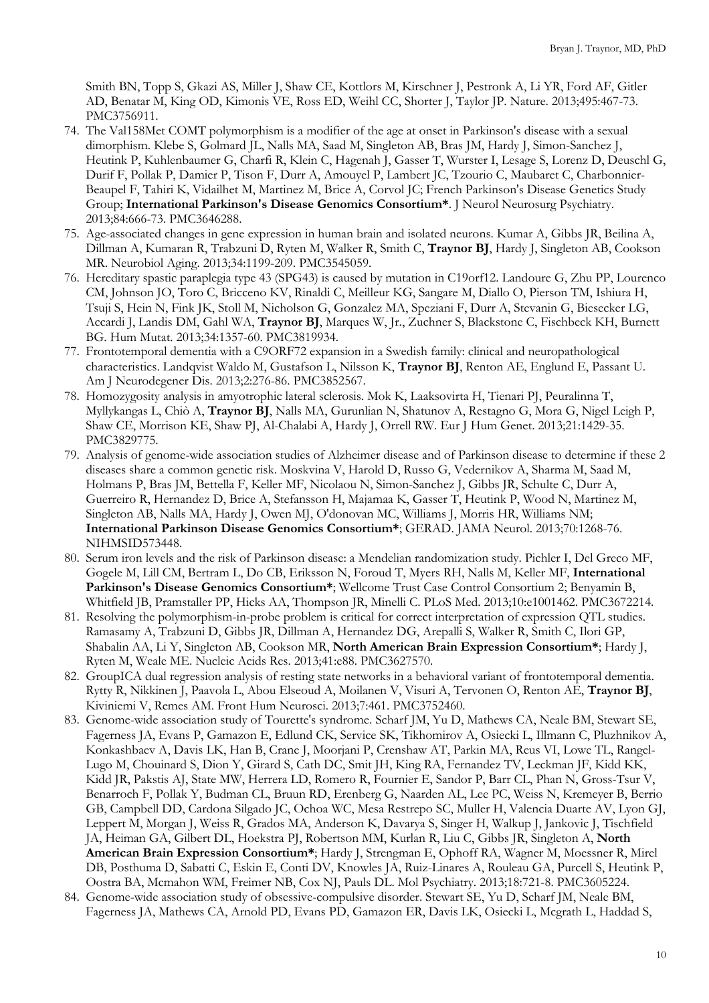Smith BN, Topp S, Gkazi AS, Miller J, Shaw CE, Kottlors M, Kirschner J, Pestronk A, Li YR, Ford AF, Gitler AD, Benatar M, King OD, Kimonis VE, Ross ED, Weihl CC, Shorter J, Taylor JP. Nature. 2013;495:467-73. PMC3756911.

- 74. The Val158Met COMT polymorphism is a modifier of the age at onset in Parkinson's disease with a sexual dimorphism. Klebe S, Golmard JL, Nalls MA, Saad M, Singleton AB, Bras JM, Hardy J, Simon-Sanchez J, Heutink P, Kuhlenbaumer G, Charfi R, Klein C, Hagenah J, Gasser T, Wurster I, Lesage S, Lorenz D, Deuschl G, Durif F, Pollak P, Damier P, Tison F, Durr A, Amouyel P, Lambert JC, Tzourio C, Maubaret C, Charbonnier-Beaupel F, Tahiri K, Vidailhet M, Martinez M, Brice A, Corvol JC; French Parkinson's Disease Genetics Study Group; **International Parkinson's Disease Genomics Consortium\***. J Neurol Neurosurg Psychiatry. 2013;84:666-73. PMC3646288.
- 75. Age-associated changes in gene expression in human brain and isolated neurons. Kumar A, Gibbs JR, Beilina A, Dillman A, Kumaran R, Trabzuni D, Ryten M, Walker R, Smith C, **Traynor BJ**, Hardy J, Singleton AB, Cookson MR. Neurobiol Aging. 2013;34:1199-209. PMC3545059.
- 76. Hereditary spastic paraplegia type 43 (SPG43) is caused by mutation in C19orf12. Landoure G, Zhu PP, Lourenco CM, Johnson JO, Toro C, Bricceno KV, Rinaldi C, Meilleur KG, Sangare M, Diallo O, Pierson TM, Ishiura H, Tsuji S, Hein N, Fink JK, Stoll M, Nicholson G, Gonzalez MA, Speziani F, Durr A, Stevanin G, Biesecker LG, Accardi J, Landis DM, Gahl WA, **Traynor BJ**, Marques W, Jr., Zuchner S, Blackstone C, Fischbeck KH, Burnett BG. Hum Mutat. 2013;34:1357-60. PMC3819934.
- 77. Frontotemporal dementia with a C9ORF72 expansion in a Swedish family: clinical and neuropathological characteristics. Landqvist Waldo M, Gustafson L, Nilsson K, **Traynor BJ**, Renton AE, Englund E, Passant U. Am J Neurodegener Dis. 2013;2:276-86. PMC3852567.
- 78. Homozygosity analysis in amyotrophic lateral sclerosis. Mok K, Laaksovirta H, Tienari PJ, Peuralinna T, Myllykangas L, Chiò A, **Traynor BJ**, Nalls MA, Gurunlian N, Shatunov A, Restagno G, Mora G, Nigel Leigh P, Shaw CE, Morrison KE, Shaw PJ, Al-Chalabi A, Hardy J, Orrell RW. Eur J Hum Genet. 2013;21:1429-35. PMC3829775.
- 79. Analysis of genome-wide association studies of Alzheimer disease and of Parkinson disease to determine if these 2 diseases share a common genetic risk. Moskvina V, Harold D, Russo G, Vedernikov A, Sharma M, Saad M, Holmans P, Bras JM, Bettella F, Keller MF, Nicolaou N, Simon-Sanchez J, Gibbs JR, Schulte C, Durr A, Guerreiro R, Hernandez D, Brice A, Stefansson H, Majamaa K, Gasser T, Heutink P, Wood N, Martinez M, Singleton AB, Nalls MA, Hardy J, Owen MJ, O'donovan MC, Williams J, Morris HR, Williams NM; **International Parkinson Disease Genomics Consortium\***; GERAD. JAMA Neurol. 2013;70:1268-76. NIHMSID573448.
- 80. Serum iron levels and the risk of Parkinson disease: a Mendelian randomization study. Pichler I, Del Greco MF, Gogele M, Lill CM, Bertram L, Do CB, Eriksson N, Foroud T, Myers RH, Nalls M, Keller MF, **International Parkinson's Disease Genomics Consortium\***; Wellcome Trust Case Control Consortium 2; Benyamin B, Whitfield JB, Pramstaller PP, Hicks AA, Thompson JR, Minelli C. PLoS Med. 2013;10:e1001462. PMC3672214.
- 81. Resolving the polymorphism-in-probe problem is critical for correct interpretation of expression QTL studies. Ramasamy A, Trabzuni D, Gibbs JR, Dillman A, Hernandez DG, Arepalli S, Walker R, Smith C, Ilori GP, Shabalin AA, Li Y, Singleton AB, Cookson MR, **North American Brain Expression Consortium\***; Hardy J, Ryten M, Weale ME. Nucleic Acids Res. 2013;41:e88. PMC3627570.
- 82. GroupICA dual regression analysis of resting state networks in a behavioral variant of frontotemporal dementia. Rytty R, Nikkinen J, Paavola L, Abou Elseoud A, Moilanen V, Visuri A, Tervonen O, Renton AE, **Traynor BJ**, Kiviniemi V, Remes AM. Front Hum Neurosci. 2013;7:461. PMC3752460.
- 83. Genome-wide association study of Tourette's syndrome. Scharf JM, Yu D, Mathews CA, Neale BM, Stewart SE, Fagerness JA, Evans P, Gamazon E, Edlund CK, Service SK, Tikhomirov A, Osiecki L, Illmann C, Pluzhnikov A, Konkashbaev A, Davis LK, Han B, Crane J, Moorjani P, Crenshaw AT, Parkin MA, Reus VI, Lowe TL, Rangel-Lugo M, Chouinard S, Dion Y, Girard S, Cath DC, Smit JH, King RA, Fernandez TV, Leckman JF, Kidd KK, Kidd JR, Pakstis AJ, State MW, Herrera LD, Romero R, Fournier E, Sandor P, Barr CL, Phan N, Gross-Tsur V, Benarroch F, Pollak Y, Budman CL, Bruun RD, Erenberg G, Naarden AL, Lee PC, Weiss N, Kremeyer B, Berrio GB, Campbell DD, Cardona Silgado JC, Ochoa WC, Mesa Restrepo SC, Muller H, Valencia Duarte AV, Lyon GJ, Leppert M, Morgan J, Weiss R, Grados MA, Anderson K, Davarya S, Singer H, Walkup J, Jankovic J, Tischfield JA, Heiman GA, Gilbert DL, Hoekstra PJ, Robertson MM, Kurlan R, Liu C, Gibbs JR, Singleton A, **North American Brain Expression Consortium\***; Hardy J, Strengman E, Ophoff RA, Wagner M, Moessner R, Mirel DB, Posthuma D, Sabatti C, Eskin E, Conti DV, Knowles JA, Ruiz-Linares A, Rouleau GA, Purcell S, Heutink P, Oostra BA, Mcmahon WM, Freimer NB, Cox NJ, Pauls DL. Mol Psychiatry. 2013;18:721-8. PMC3605224.
- 84. Genome-wide association study of obsessive-compulsive disorder. Stewart SE, Yu D, Scharf JM, Neale BM, Fagerness JA, Mathews CA, Arnold PD, Evans PD, Gamazon ER, Davis LK, Osiecki L, Mcgrath L, Haddad S,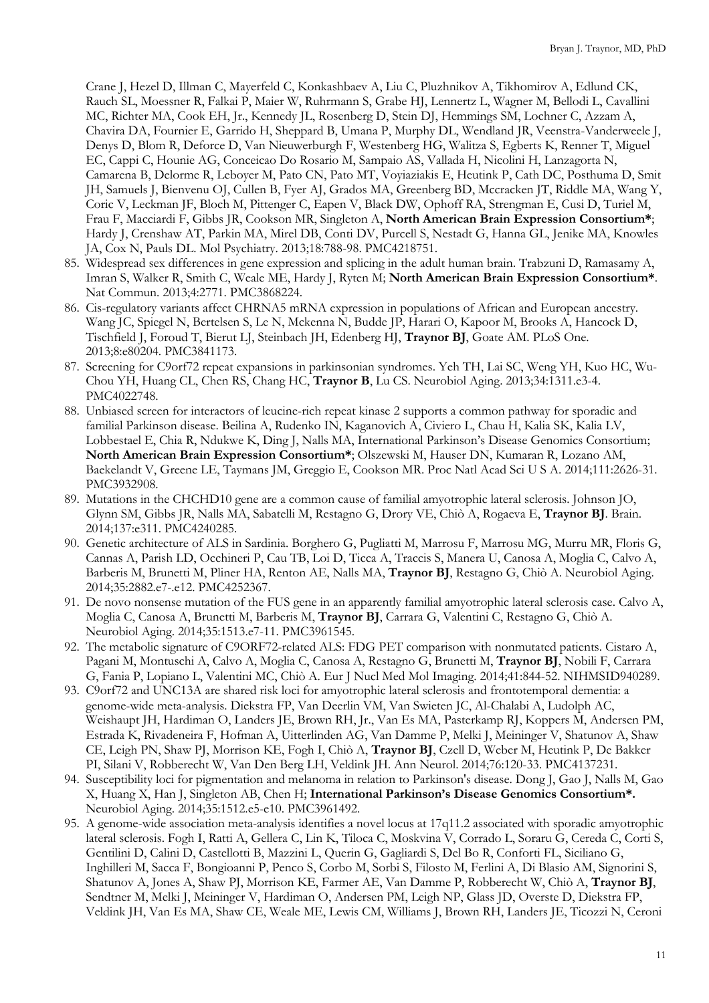Crane J, Hezel D, Illman C, Mayerfeld C, Konkashbaev A, Liu C, Pluzhnikov A, Tikhomirov A, Edlund CK, Rauch SL, Moessner R, Falkai P, Maier W, Ruhrmann S, Grabe HJ, Lennertz L, Wagner M, Bellodi L, Cavallini MC, Richter MA, Cook EH, Jr., Kennedy JL, Rosenberg D, Stein DJ, Hemmings SM, Lochner C, Azzam A, Chavira DA, Fournier E, Garrido H, Sheppard B, Umana P, Murphy DL, Wendland JR, Veenstra-Vanderweele J, Denys D, Blom R, Deforce D, Van Nieuwerburgh F, Westenberg HG, Walitza S, Egberts K, Renner T, Miguel EC, Cappi C, Hounie AG, Conceicao Do Rosario M, Sampaio AS, Vallada H, Nicolini H, Lanzagorta N, Camarena B, Delorme R, Leboyer M, Pato CN, Pato MT, Voyiaziakis E, Heutink P, Cath DC, Posthuma D, Smit JH, Samuels J, Bienvenu OJ, Cullen B, Fyer AJ, Grados MA, Greenberg BD, Mccracken JT, Riddle MA, Wang Y, Coric V, Leckman JF, Bloch M, Pittenger C, Eapen V, Black DW, Ophoff RA, Strengman E, Cusi D, Turiel M, Frau F, Macciardi F, Gibbs JR, Cookson MR, Singleton A, **North American Brain Expression Consortium\***; Hardy J, Crenshaw AT, Parkin MA, Mirel DB, Conti DV, Purcell S, Nestadt G, Hanna GL, Jenike MA, Knowles JA, Cox N, Pauls DL. Mol Psychiatry. 2013;18:788-98. PMC4218751.

- 85. Widespread sex differences in gene expression and splicing in the adult human brain. Trabzuni D, Ramasamy A, Imran S, Walker R, Smith C, Weale ME, Hardy J, Ryten M; **North American Brain Expression Consortium\***. Nat Commun. 2013;4:2771. PMC3868224.
- 86. Cis-regulatory variants affect CHRNA5 mRNA expression in populations of African and European ancestry. Wang JC, Spiegel N, Bertelsen S, Le N, Mckenna N, Budde JP, Harari O, Kapoor M, Brooks A, Hancock D, Tischfield J, Foroud T, Bierut LJ, Steinbach JH, Edenberg HJ, **Traynor BJ**, Goate AM. PLoS One. 2013;8:e80204. PMC3841173.
- 87. Screening for C9orf72 repeat expansions in parkinsonian syndromes. Yeh TH, Lai SC, Weng YH, Kuo HC, Wu-Chou YH, Huang CL, Chen RS, Chang HC, **Traynor B**, Lu CS. Neurobiol Aging. 2013;34:1311.e3-4. PMC4022748.
- 88. Unbiased screen for interactors of leucine-rich repeat kinase 2 supports a common pathway for sporadic and familial Parkinson disease. Beilina A, Rudenko IN, Kaganovich A, Civiero L, Chau H, Kalia SK, Kalia LV, Lobbestael E, Chia R, Ndukwe K, Ding J, Nalls MA, International Parkinson's Disease Genomics Consortium; **North American Brain Expression Consortium\***; Olszewski M, Hauser DN, Kumaran R, Lozano AM, Baekelandt V, Greene LE, Taymans JM, Greggio E, Cookson MR. Proc Natl Acad Sci U S A. 2014;111:2626-31. PMC3932908.
- 89. Mutations in the CHCHD10 gene are a common cause of familial amyotrophic lateral sclerosis. Johnson JO, Glynn SM, Gibbs JR, Nalls MA, Sabatelli M, Restagno G, Drory VE, Chiò A, Rogaeva E, **Traynor BJ**. Brain. 2014;137:e311. PMC4240285.
- 90. Genetic architecture of ALS in Sardinia. Borghero G, Pugliatti M, Marrosu F, Marrosu MG, Murru MR, Floris G, Cannas A, Parish LD, Occhineri P, Cau TB, Loi D, Ticca A, Traccis S, Manera U, Canosa A, Moglia C, Calvo A, Barberis M, Brunetti M, Pliner HA, Renton AE, Nalls MA, **Traynor BJ**, Restagno G, Chiò A. Neurobiol Aging. 2014;35:2882.e7-.e12. PMC4252367.
- 91. De novo nonsense mutation of the FUS gene in an apparently familial amyotrophic lateral sclerosis case. Calvo A, Moglia C, Canosa A, Brunetti M, Barberis M, **Traynor BJ**, Carrara G, Valentini C, Restagno G, Chiò A. Neurobiol Aging. 2014;35:1513.e7-11. PMC3961545.
- 92. The metabolic signature of C9ORF72-related ALS: FDG PET comparison with nonmutated patients. Cistaro A, Pagani M, Montuschi A, Calvo A, Moglia C, Canosa A, Restagno G, Brunetti M, **Traynor BJ**, Nobili F, Carrara G, Fania P, Lopiano L, Valentini MC, Chiò A. Eur J Nucl Med Mol Imaging. 2014;41:844-52. NIHMSID940289.
- 93. C9orf72 and UNC13A are shared risk loci for amyotrophic lateral sclerosis and frontotemporal dementia: a genome-wide meta-analysis. Diekstra FP, Van Deerlin VM, Van Swieten JC, Al-Chalabi A, Ludolph AC, Weishaupt JH, Hardiman O, Landers JE, Brown RH, Jr., Van Es MA, Pasterkamp RJ, Koppers M, Andersen PM, Estrada K, Rivadeneira F, Hofman A, Uitterlinden AG, Van Damme P, Melki J, Meininger V, Shatunov A, Shaw CE, Leigh PN, Shaw PJ, Morrison KE, Fogh I, Chiò A, **Traynor BJ**, Czell D, Weber M, Heutink P, De Bakker PI, Silani V, Robberecht W, Van Den Berg LH, Veldink JH. Ann Neurol. 2014;76:120-33. PMC4137231.
- 94. Susceptibility loci for pigmentation and melanoma in relation to Parkinson's disease. Dong J, Gao J, Nalls M, Gao X, Huang X, Han J, Singleton AB, Chen H; **International Parkinson's Disease Genomics Consortium\*.** Neurobiol Aging. 2014;35:1512.e5-e10. PMC3961492.
- 95. A genome-wide association meta-analysis identifies a novel locus at 17q11.2 associated with sporadic amyotrophic lateral sclerosis. Fogh I, Ratti A, Gellera C, Lin K, Tiloca C, Moskvina V, Corrado L, Soraru G, Cereda C, Corti S, Gentilini D, Calini D, Castellotti B, Mazzini L, Querin G, Gagliardi S, Del Bo R, Conforti FL, Siciliano G, Inghilleri M, Sacca F, Bongioanni P, Penco S, Corbo M, Sorbi S, Filosto M, Ferlini A, Di Blasio AM, Signorini S, Shatunov A, Jones A, Shaw PJ, Morrison KE, Farmer AE, Van Damme P, Robberecht W, Chiò A, **Traynor BJ**, Sendtner M, Melki J, Meininger V, Hardiman O, Andersen PM, Leigh NP, Glass JD, Overste D, Diekstra FP, Veldink JH, Van Es MA, Shaw CE, Weale ME, Lewis CM, Williams J, Brown RH, Landers JE, Ticozzi N, Ceroni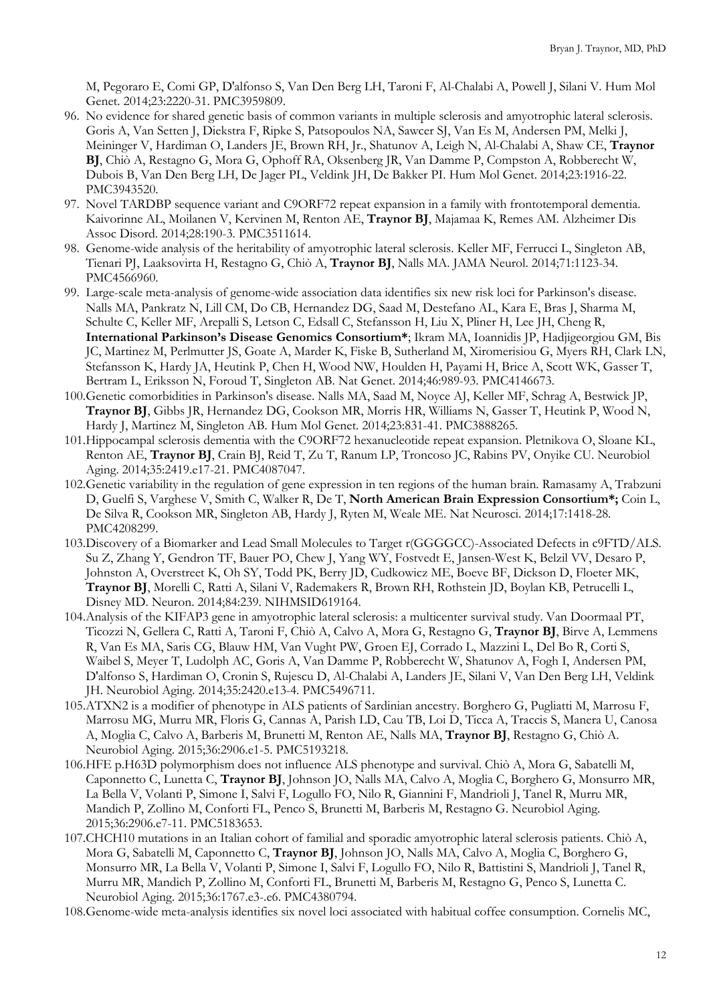M, Pegoraro E, Comi GP, D'alfonso S, Van Den Berg LH, Taroni F, Al-Chalabi A, Powell J, Silani V. Hum Mol Genet. 2014;23:2220-31. PMC3959809.

- 96. No evidence for shared genetic basis of common variants in multiple sclerosis and amyotrophic lateral sclerosis. Goris A, Van Setten J, Diekstra F, Ripke S, Patsopoulos NA, Sawcer SJ, Van Es M, Andersen PM, Melki J, Meininger V, Hardiman O, Landers JE, Brown RH, Jr., Shatunov A, Leigh N, Al-Chalabi A, Shaw CE, **Traynor BJ**, Chiò A, Restagno G, Mora G, Ophoff RA, Oksenberg JR, Van Damme P, Compston A, Robberecht W, Dubois B, Van Den Berg LH, De Jager PL, Veldink JH, De Bakker PI. Hum Mol Genet. 2014;23:1916-22. PMC3943520.
- 97. Novel TARDBP sequence variant and C9ORF72 repeat expansion in a family with frontotemporal dementia. Kaivorinne AL, Moilanen V, Kervinen M, Renton AE, **Traynor BJ**, Majamaa K, Remes AM. Alzheimer Dis Assoc Disord. 2014;28:190-3. PMC3511614.
- 98. Genome-wide analysis of the heritability of amyotrophic lateral sclerosis. Keller MF, Ferrucci L, Singleton AB, Tienari PJ, Laaksovirta H, Restagno G, Chiò A, **Traynor BJ**, Nalls MA. JAMA Neurol. 2014;71:1123-34. PMC4566960.
- 99. Large-scale meta-analysis of genome-wide association data identifies six new risk loci for Parkinson's disease. Nalls MA, Pankratz N, Lill CM, Do CB, Hernandez DG, Saad M, Destefano AL, Kara E, Bras J, Sharma M, Schulte C, Keller MF, Arepalli S, Letson C, Edsall C, Stefansson H, Liu X, Pliner H, Lee JH, Cheng R, **International Parkinson's Disease Genomics Consortium\***; Ikram MA, Ioannidis JP, Hadjigeorgiou GM, Bis JC, Martinez M, Perlmutter JS, Goate A, Marder K, Fiske B, Sutherland M, Xiromerisiou G, Myers RH, Clark LN, Stefansson K, Hardy JA, Heutink P, Chen H, Wood NW, Houlden H, Payami H, Brice A, Scott WK, Gasser T, Bertram L, Eriksson N, Foroud T, Singleton AB. Nat Genet. 2014;46:989-93. PMC4146673.
- 100.Genetic comorbidities in Parkinson's disease. Nalls MA, Saad M, Noyce AJ, Keller MF, Schrag A, Bestwick JP, **Traynor BJ**, Gibbs JR, Hernandez DG, Cookson MR, Morris HR, Williams N, Gasser T, Heutink P, Wood N, Hardy J, Martinez M, Singleton AB. Hum Mol Genet. 2014;23:831-41. PMC3888265.
- 101.Hippocampal sclerosis dementia with the C9ORF72 hexanucleotide repeat expansion. Pletnikova O, Sloane KL, Renton AE, **Traynor BJ**, Crain BJ, Reid T, Zu T, Ranum LP, Troncoso JC, Rabins PV, Onyike CU. Neurobiol Aging. 2014;35:2419.e17-21. PMC4087047.
- 102.Genetic variability in the regulation of gene expression in ten regions of the human brain. Ramasamy A, Trabzuni D, Guelfi S, Varghese V, Smith C, Walker R, De T, **North American Brain Expression Consortium\*;** Coin L, De Silva R, Cookson MR, Singleton AB, Hardy J, Ryten M, Weale ME. Nat Neurosci. 2014;17:1418-28. PMC4208299.
- 103.Discovery of a Biomarker and Lead Small Molecules to Target r(GGGGCC)-Associated Defects in c9FTD/ALS. Su Z, Zhang Y, Gendron TF, Bauer PO, Chew J, Yang WY, Fostvedt E, Jansen-West K, Belzil VV, Desaro P, Johnston A, Overstreet K, Oh SY, Todd PK, Berry JD, Cudkowicz ME, Boeve BF, Dickson D, Floeter MK, **Traynor BJ**, Morelli C, Ratti A, Silani V, Rademakers R, Brown RH, Rothstein JD, Boylan KB, Petrucelli L, Disney MD. Neuron. 2014;84:239. NIHMSID619164.
- 104.Analysis of the KIFAP3 gene in amyotrophic lateral sclerosis: a multicenter survival study. Van Doormaal PT, Ticozzi N, Gellera C, Ratti A, Taroni F, Chiò A, Calvo A, Mora G, Restagno G, **Traynor BJ**, Birve A, Lemmens R, Van Es MA, Saris CG, Blauw HM, Van Vught PW, Groen EJ, Corrado L, Mazzini L, Del Bo R, Corti S, Waibel S, Meyer T, Ludolph AC, Goris A, Van Damme P, Robberecht W, Shatunov A, Fogh I, Andersen PM, D'alfonso S, Hardiman O, Cronin S, Rujescu D, Al-Chalabi A, Landers JE, Silani V, Van Den Berg LH, Veldink JH. Neurobiol Aging. 2014;35:2420.e13-4. PMC5496711.
- 105.ATXN2 is a modifier of phenotype in ALS patients of Sardinian ancestry. Borghero G, Pugliatti M, Marrosu F, Marrosu MG, Murru MR, Floris G, Cannas A, Parish LD, Cau TB, Loi D, Ticca A, Traccis S, Manera U, Canosa A, Moglia C, Calvo A, Barberis M, Brunetti M, Renton AE, Nalls MA, **Traynor BJ**, Restagno G, Chiò A. Neurobiol Aging. 2015;36:2906.e1-5. PMC5193218.
- 106.HFE p.H63D polymorphism does not influence ALS phenotype and survival. Chiò A, Mora G, Sabatelli M, Caponnetto C, Lunetta C, **Traynor BJ**, Johnson JO, Nalls MA, Calvo A, Moglia C, Borghero G, Monsurro MR, La Bella V, Volanti P, Simone I, Salvi F, Logullo FO, Nilo R, Giannini F, Mandrioli J, Tanel R, Murru MR, Mandich P, Zollino M, Conforti FL, Penco S, Brunetti M, Barberis M, Restagno G. Neurobiol Aging. 2015;36:2906.e7-11. PMC5183653.
- 107.CHCH10 mutations in an Italian cohort of familial and sporadic amyotrophic lateral sclerosis patients. Chiò A, Mora G, Sabatelli M, Caponnetto C, **Traynor BJ**, Johnson JO, Nalls MA, Calvo A, Moglia C, Borghero G, Monsurro MR, La Bella V, Volanti P, Simone I, Salvi F, Logullo FO, Nilo R, Battistini S, Mandrioli J, Tanel R, Murru MR, Mandich P, Zollino M, Conforti FL, Brunetti M, Barberis M, Restagno G, Penco S, Lunetta C. Neurobiol Aging. 2015;36:1767.e3-.e6. PMC4380794.
- 108.Genome-wide meta-analysis identifies six novel loci associated with habitual coffee consumption. Cornelis MC,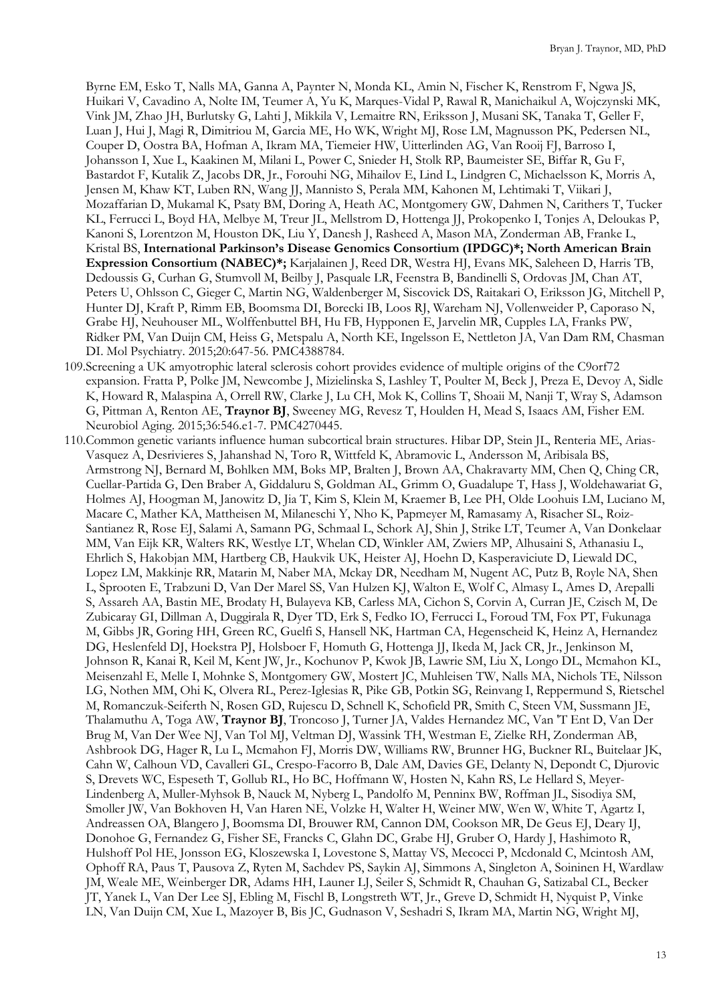Byrne EM, Esko T, Nalls MA, Ganna A, Paynter N, Monda KL, Amin N, Fischer K, Renstrom F, Ngwa JS, Huikari V, Cavadino A, Nolte IM, Teumer A, Yu K, Marques-Vidal P, Rawal R, Manichaikul A, Wojczynski MK, Vink JM, Zhao JH, Burlutsky G, Lahti J, Mikkila V, Lemaitre RN, Eriksson J, Musani SK, Tanaka T, Geller F, Luan J, Hui J, Magi R, Dimitriou M, Garcia ME, Ho WK, Wright MJ, Rose LM, Magnusson PK, Pedersen NL, Couper D, Oostra BA, Hofman A, Ikram MA, Tiemeier HW, Uitterlinden AG, Van Rooij FJ, Barroso I, Johansson I, Xue L, Kaakinen M, Milani L, Power C, Snieder H, Stolk RP, Baumeister SE, Biffar R, Gu F, Bastardot F, Kutalik Z, Jacobs DR, Jr., Forouhi NG, Mihailov E, Lind L, Lindgren C, Michaelsson K, Morris A, Jensen M, Khaw KT, Luben RN, Wang JJ, Mannisto S, Perala MM, Kahonen M, Lehtimaki T, Viikari J, Mozaffarian D, Mukamal K, Psaty BM, Doring A, Heath AC, Montgomery GW, Dahmen N, Carithers T, Tucker KL, Ferrucci L, Boyd HA, Melbye M, Treur JL, Mellstrom D, Hottenga JJ, Prokopenko I, Tonjes A, Deloukas P, Kanoni S, Lorentzon M, Houston DK, Liu Y, Danesh J, Rasheed A, Mason MA, Zonderman AB, Franke L, Kristal BS, **International Parkinson's Disease Genomics Consortium (IPDGC)\*; North American Brain Expression Consortium (NABEC)\*;** Karjalainen J, Reed DR, Westra HJ, Evans MK, Saleheen D, Harris TB, Dedoussis G, Curhan G, Stumvoll M, Beilby J, Pasquale LR, Feenstra B, Bandinelli S, Ordovas JM, Chan AT, Peters U, Ohlsson C, Gieger C, Martin NG, Waldenberger M, Siscovick DS, Raitakari O, Eriksson JG, Mitchell P, Hunter DJ, Kraft P, Rimm EB, Boomsma DI, Borecki IB, Loos RJ, Wareham NJ, Vollenweider P, Caporaso N, Grabe HJ, Neuhouser ML, Wolffenbuttel BH, Hu FB, Hypponen E, Jarvelin MR, Cupples LA, Franks PW, Ridker PM, Van Duijn CM, Heiss G, Metspalu A, North KE, Ingelsson E, Nettleton JA, Van Dam RM, Chasman DI. Mol Psychiatry. 2015;20:647-56. PMC4388784.

- 109.Screening a UK amyotrophic lateral sclerosis cohort provides evidence of multiple origins of the C9orf72 expansion. Fratta P, Polke JM, Newcombe J, Mizielinska S, Lashley T, Poulter M, Beck J, Preza E, Devoy A, Sidle K, Howard R, Malaspina A, Orrell RW, Clarke J, Lu CH, Mok K, Collins T, Shoaii M, Nanji T, Wray S, Adamson G, Pittman A, Renton AE, **Traynor BJ**, Sweeney MG, Revesz T, Houlden H, Mead S, Isaacs AM, Fisher EM. Neurobiol Aging. 2015;36:546.e1-7. PMC4270445.
- 110.Common genetic variants influence human subcortical brain structures. Hibar DP, Stein JL, Renteria ME, Arias-Vasquez A, Desrivieres S, Jahanshad N, Toro R, Wittfeld K, Abramovic L, Andersson M, Aribisala BS, Armstrong NJ, Bernard M, Bohlken MM, Boks MP, Bralten J, Brown AA, Chakravarty MM, Chen Q, Ching CR, Cuellar-Partida G, Den Braber A, Giddaluru S, Goldman AL, Grimm O, Guadalupe T, Hass J, Woldehawariat G, Holmes AJ, Hoogman M, Janowitz D, Jia T, Kim S, Klein M, Kraemer B, Lee PH, Olde Loohuis LM, Luciano M, Macare C, Mather KA, Mattheisen M, Milaneschi Y, Nho K, Papmeyer M, Ramasamy A, Risacher SL, Roiz-Santianez R, Rose EJ, Salami A, Samann PG, Schmaal L, Schork AJ, Shin J, Strike LT, Teumer A, Van Donkelaar MM, Van Eijk KR, Walters RK, Westlye LT, Whelan CD, Winkler AM, Zwiers MP, Alhusaini S, Athanasiu L, Ehrlich S, Hakobjan MM, Hartberg CB, Haukvik UK, Heister AJ, Hoehn D, Kasperaviciute D, Liewald DC, Lopez LM, Makkinje RR, Matarin M, Naber MA, Mckay DR, Needham M, Nugent AC, Putz B, Royle NA, Shen L, Sprooten E, Trabzuni D, Van Der Marel SS, Van Hulzen KJ, Walton E, Wolf C, Almasy L, Ames D, Arepalli S, Assareh AA, Bastin ME, Brodaty H, Bulayeva KB, Carless MA, Cichon S, Corvin A, Curran JE, Czisch M, De Zubicaray GI, Dillman A, Duggirala R, Dyer TD, Erk S, Fedko IO, Ferrucci L, Foroud TM, Fox PT, Fukunaga M, Gibbs JR, Goring HH, Green RC, Guelfi S, Hansell NK, Hartman CA, Hegenscheid K, Heinz A, Hernandez DG, Heslenfeld DJ, Hoekstra PJ, Holsboer F, Homuth G, Hottenga JJ, Ikeda M, Jack CR, Jr., Jenkinson M, Johnson R, Kanai R, Keil M, Kent JW, Jr., Kochunov P, Kwok JB, Lawrie SM, Liu X, Longo DL, Mcmahon KL, Meisenzahl E, Melle I, Mohnke S, Montgomery GW, Mostert JC, Muhleisen TW, Nalls MA, Nichols TE, Nilsson LG, Nothen MM, Ohi K, Olvera RL, Perez-Iglesias R, Pike GB, Potkin SG, Reinvang I, Reppermund S, Rietschel M, Romanczuk-Seiferth N, Rosen GD, Rujescu D, Schnell K, Schofield PR, Smith C, Steen VM, Sussmann JE, Thalamuthu A, Toga AW, **Traynor BJ**, Troncoso J, Turner JA, Valdes Hernandez MC, Van 'T Ent D, Van Der Brug M, Van Der Wee NJ, Van Tol MJ, Veltman DJ, Wassink TH, Westman E, Zielke RH, Zonderman AB, Ashbrook DG, Hager R, Lu L, Mcmahon FJ, Morris DW, Williams RW, Brunner HG, Buckner RL, Buitelaar JK, Cahn W, Calhoun VD, Cavalleri GL, Crespo-Facorro B, Dale AM, Davies GE, Delanty N, Depondt C, Djurovic S, Drevets WC, Espeseth T, Gollub RL, Ho BC, Hoffmann W, Hosten N, Kahn RS, Le Hellard S, Meyer-Lindenberg A, Muller-Myhsok B, Nauck M, Nyberg L, Pandolfo M, Penninx BW, Roffman JL, Sisodiya SM, Smoller JW, Van Bokhoven H, Van Haren NE, Volzke H, Walter H, Weiner MW, Wen W, White T, Agartz I, Andreassen OA, Blangero J, Boomsma DI, Brouwer RM, Cannon DM, Cookson MR, De Geus EJ, Deary IJ, Donohoe G, Fernandez G, Fisher SE, Francks C, Glahn DC, Grabe HJ, Gruber O, Hardy J, Hashimoto R, Hulshoff Pol HE, Jonsson EG, Kloszewska I, Lovestone S, Mattay VS, Mecocci P, Mcdonald C, Mcintosh AM, Ophoff RA, Paus T, Pausova Z, Ryten M, Sachdev PS, Saykin AJ, Simmons A, Singleton A, Soininen H, Wardlaw JM, Weale ME, Weinberger DR, Adams HH, Launer LJ, Seiler S, Schmidt R, Chauhan G, Satizabal CL, Becker JT, Yanek L, Van Der Lee SJ, Ebling M, Fischl B, Longstreth WT, Jr., Greve D, Schmidt H, Nyquist P, Vinke LN, Van Duijn CM, Xue L, Mazoyer B, Bis JC, Gudnason V, Seshadri S, Ikram MA, Martin NG, Wright MJ,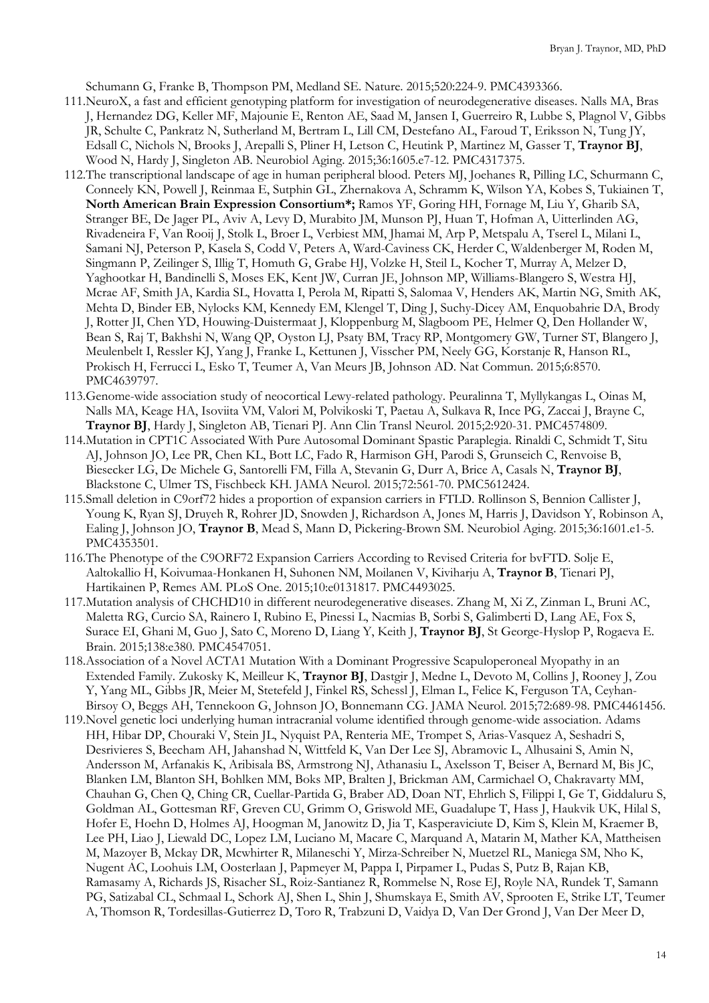Schumann G, Franke B, Thompson PM, Medland SE. Nature. 2015;520:224-9. PMC4393366.

- 111.NeuroX, a fast and efficient genotyping platform for investigation of neurodegenerative diseases. Nalls MA, Bras J, Hernandez DG, Keller MF, Majounie E, Renton AE, Saad M, Jansen I, Guerreiro R, Lubbe S, Plagnol V, Gibbs JR, Schulte C, Pankratz N, Sutherland M, Bertram L, Lill CM, Destefano AL, Faroud T, Eriksson N, Tung JY, Edsall C, Nichols N, Brooks J, Arepalli S, Pliner H, Letson C, Heutink P, Martinez M, Gasser T, **Traynor BJ**, Wood N, Hardy J, Singleton AB. Neurobiol Aging. 2015;36:1605.e7-12. PMC4317375.
- 112.The transcriptional landscape of age in human peripheral blood. Peters MJ, Joehanes R, Pilling LC, Schurmann C, Conneely KN, Powell J, Reinmaa E, Sutphin GL, Zhernakova A, Schramm K, Wilson YA, Kobes S, Tukiainen T, **North American Brain Expression Consortium\*;** Ramos YF, Goring HH, Fornage M, Liu Y, Gharib SA, Stranger BE, De Jager PL, Aviv A, Levy D, Murabito JM, Munson PJ, Huan T, Hofman A, Uitterlinden AG, Rivadeneira F, Van Rooij J, Stolk L, Broer L, Verbiest MM, Jhamai M, Arp P, Metspalu A, Tserel L, Milani L, Samani NJ, Peterson P, Kasela S, Codd V, Peters A, Ward-Caviness CK, Herder C, Waldenberger M, Roden M, Singmann P, Zeilinger S, Illig T, Homuth G, Grabe HJ, Volzke H, Steil L, Kocher T, Murray A, Melzer D, Yaghootkar H, Bandinelli S, Moses EK, Kent JW, Curran JE, Johnson MP, Williams-Blangero S, Westra HJ, Mcrae AF, Smith JA, Kardia SL, Hovatta I, Perola M, Ripatti S, Salomaa V, Henders AK, Martin NG, Smith AK, Mehta D, Binder EB, Nylocks KM, Kennedy EM, Klengel T, Ding J, Suchy-Dicey AM, Enquobahrie DA, Brody J, Rotter JI, Chen YD, Houwing-Duistermaat J, Kloppenburg M, Slagboom PE, Helmer Q, Den Hollander W, Bean S, Raj T, Bakhshi N, Wang QP, Oyston LJ, Psaty BM, Tracy RP, Montgomery GW, Turner ST, Blangero J, Meulenbelt I, Ressler KJ, Yang J, Franke L, Kettunen J, Visscher PM, Neely GG, Korstanje R, Hanson RL, Prokisch H, Ferrucci L, Esko T, Teumer A, Van Meurs JB, Johnson AD. Nat Commun. 2015;6:8570. PMC4639797.
- 113.Genome-wide association study of neocortical Lewy-related pathology. Peuralinna T, Myllykangas L, Oinas M, Nalls MA, Keage HA, Isoviita VM, Valori M, Polvikoski T, Paetau A, Sulkava R, Ince PG, Zaccai J, Brayne C, **Traynor BJ**, Hardy J, Singleton AB, Tienari PJ. Ann Clin Transl Neurol. 2015;2:920-31. PMC4574809.
- 114.Mutation in CPT1C Associated With Pure Autosomal Dominant Spastic Paraplegia. Rinaldi C, Schmidt T, Situ AJ, Johnson JO, Lee PR, Chen KL, Bott LC, Fado R, Harmison GH, Parodi S, Grunseich C, Renvoise B, Biesecker LG, De Michele G, Santorelli FM, Filla A, Stevanin G, Durr A, Brice A, Casals N, **Traynor BJ**, Blackstone C, Ulmer TS, Fischbeck KH. JAMA Neurol. 2015;72:561-70. PMC5612424.
- 115.Small deletion in C9orf72 hides a proportion of expansion carriers in FTLD. Rollinson S, Bennion Callister J, Young K, Ryan SJ, Druyeh R, Rohrer JD, Snowden J, Richardson A, Jones M, Harris J, Davidson Y, Robinson A, Ealing J, Johnson JO, **Traynor B**, Mead S, Mann D, Pickering-Brown SM. Neurobiol Aging. 2015;36:1601.e1-5. PMC4353501.
- 116.The Phenotype of the C9ORF72 Expansion Carriers According to Revised Criteria for bvFTD. Solje E, Aaltokallio H, Koivumaa-Honkanen H, Suhonen NM, Moilanen V, Kiviharju A, **Traynor B**, Tienari PJ, Hartikainen P, Remes AM. PLoS One. 2015;10:e0131817. PMC4493025.
- 117.Mutation analysis of CHCHD10 in different neurodegenerative diseases. Zhang M, Xi Z, Zinman L, Bruni AC, Maletta RG, Curcio SA, Rainero I, Rubino E, Pinessi L, Nacmias B, Sorbi S, Galimberti D, Lang AE, Fox S, Surace EI, Ghani M, Guo J, Sato C, Moreno D, Liang Y, Keith J, **Traynor BJ**, St George-Hyslop P, Rogaeva E. Brain. 2015;138:e380. PMC4547051.
- 118.Association of a Novel ACTA1 Mutation With a Dominant Progressive Scapuloperoneal Myopathy in an Extended Family. Zukosky K, Meilleur K, **Traynor BJ**, Dastgir J, Medne L, Devoto M, Collins J, Rooney J, Zou Y, Yang ML, Gibbs JR, Meier M, Stetefeld J, Finkel RS, Schessl J, Elman L, Felice K, Ferguson TA, Ceyhan-Birsoy O, Beggs AH, Tennekoon G, Johnson JO, Bonnemann CG. JAMA Neurol. 2015;72:689-98. PMC4461456.
- 119.Novel genetic loci underlying human intracranial volume identified through genome-wide association. Adams HH, Hibar DP, Chouraki V, Stein JL, Nyquist PA, Renteria ME, Trompet S, Arias-Vasquez A, Seshadri S, Desrivieres S, Beecham AH, Jahanshad N, Wittfeld K, Van Der Lee SJ, Abramovic L, Alhusaini S, Amin N, Andersson M, Arfanakis K, Aribisala BS, Armstrong NJ, Athanasiu L, Axelsson T, Beiser A, Bernard M, Bis JC, Blanken LM, Blanton SH, Bohlken MM, Boks MP, Bralten J, Brickman AM, Carmichael O, Chakravarty MM, Chauhan G, Chen Q, Ching CR, Cuellar-Partida G, Braber AD, Doan NT, Ehrlich S, Filippi I, Ge T, Giddaluru S, Goldman AL, Gottesman RF, Greven CU, Grimm O, Griswold ME, Guadalupe T, Hass J, Haukvik UK, Hilal S, Hofer E, Hoehn D, Holmes AJ, Hoogman M, Janowitz D, Jia T, Kasperaviciute D, Kim S, Klein M, Kraemer B, Lee PH, Liao J, Liewald DC, Lopez LM, Luciano M, Macare C, Marquand A, Matarin M, Mather KA, Mattheisen M, Mazoyer B, Mckay DR, Mcwhirter R, Milaneschi Y, Mirza-Schreiber N, Muetzel RL, Maniega SM, Nho K, Nugent AC, Loohuis LM, Oosterlaan J, Papmeyer M, Pappa I, Pirpamer L, Pudas S, Putz B, Rajan KB, Ramasamy A, Richards JS, Risacher SL, Roiz-Santianez R, Rommelse N, Rose EJ, Royle NA, Rundek T, Samann PG, Satizabal CL, Schmaal L, Schork AJ, Shen L, Shin J, Shumskaya E, Smith AV, Sprooten E, Strike LT, Teumer A, Thomson R, Tordesillas-Gutierrez D, Toro R, Trabzuni D, Vaidya D, Van Der Grond J, Van Der Meer D,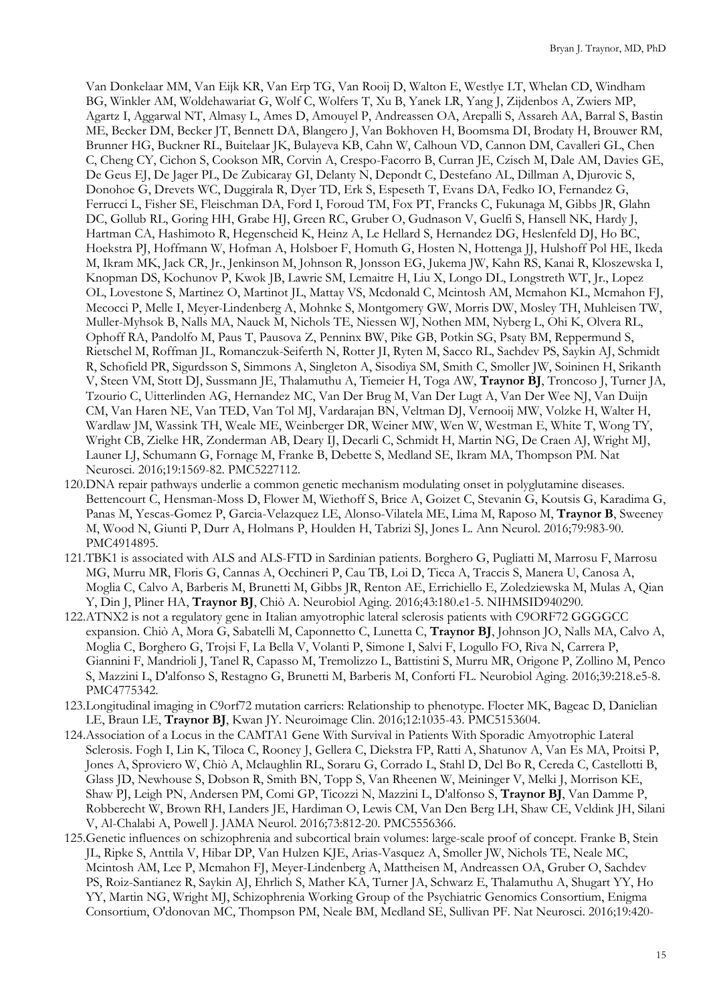Van Donkelaar MM, Van Eijk KR, Van Erp TG, Van Rooij D, Walton E, Westlye LT, Whelan CD, Windham BG, Winkler AM, Woldehawariat G, Wolf C, Wolfers T, Xu B, Yanek LR, Yang J, Zijdenbos A, Zwiers MP, Agartz I, Aggarwal NT, Almasy L, Ames D, Amouyel P, Andreassen OA, Arepalli S, Assareh AA, Barral S, Bastin ME, Becker DM, Becker JT, Bennett DA, Blangero J, Van Bokhoven H, Boomsma DI, Brodaty H, Brouwer RM, Brunner HG, Buckner RL, Buitelaar JK, Bulayeva KB, Cahn W, Calhoun VD, Cannon DM, Cavalleri GL, Chen C, Cheng CY, Cichon S, Cookson MR, Corvin A, Crespo-Facorro B, Curran JE, Czisch M, Dale AM, Davies GE, De Geus EJ, De Jager PL, De Zubicaray GI, Delanty N, Depondt C, Destefano AL, Dillman A, Djurovic S, Donohoe G, Drevets WC, Duggirala R, Dyer TD, Erk S, Espeseth T, Evans DA, Fedko IO, Fernandez G, Ferrucci L, Fisher SE, Fleischman DA, Ford I, Foroud TM, Fox PT, Francks C, Fukunaga M, Gibbs JR, Glahn DC, Gollub RL, Goring HH, Grabe HJ, Green RC, Gruber O, Gudnason V, Guelfi S, Hansell NK, Hardy J, Hartman CA, Hashimoto R, Hegenscheid K, Heinz A, Le Hellard S, Hernandez DG, Heslenfeld DJ, Ho BC, Hoekstra PJ, Hoffmann W, Hofman A, Holsboer F, Homuth G, Hosten N, Hottenga JJ, Hulshoff Pol HE, Ikeda M, Ikram MK, Jack CR, Jr., Jenkinson M, Johnson R, Jonsson EG, Jukema JW, Kahn RS, Kanai R, Kloszewska I, Knopman DS, Kochunov P, Kwok JB, Lawrie SM, Lemaitre H, Liu X, Longo DL, Longstreth WT, Jr., Lopez OL, Lovestone S, Martinez O, Martinot JL, Mattay VS, Mcdonald C, Mcintosh AM, Mcmahon KL, Mcmahon FJ, Mecocci P, Melle I, Meyer-Lindenberg A, Mohnke S, Montgomery GW, Morris DW, Mosley TH, Muhleisen TW, Muller-Myhsok B, Nalls MA, Nauck M, Nichols TE, Niessen WJ, Nothen MM, Nyberg L, Ohi K, Olvera RL, Ophoff RA, Pandolfo M, Paus T, Pausova Z, Penninx BW, Pike GB, Potkin SG, Psaty BM, Reppermund S, Rietschel M, Roffman JL, Romanczuk-Seiferth N, Rotter JI, Ryten M, Sacco RL, Sachdev PS, Saykin AJ, Schmidt R, Schofield PR, Sigurdsson S, Simmons A, Singleton A, Sisodiya SM, Smith C, Smoller JW, Soininen H, Srikanth V, Steen VM, Stott DJ, Sussmann JE, Thalamuthu A, Tiemeier H, Toga AW, **Traynor BJ**, Troncoso J, Turner JA, Tzourio C, Uitterlinden AG, Hernandez MC, Van Der Brug M, Van Der Lugt A, Van Der Wee NJ, Van Duijn CM, Van Haren NE, Van TED, Van Tol MJ, Vardarajan BN, Veltman DJ, Vernooij MW, Volzke H, Walter H, Wardlaw JM, Wassink TH, Weale ME, Weinberger DR, Weiner MW, Wen W, Westman E, White T, Wong TY, Wright CB, Zielke HR, Zonderman AB, Deary IJ, Decarli C, Schmidt H, Martin NG, De Craen AJ, Wright MJ, Launer LJ, Schumann G, Fornage M, Franke B, Debette S, Medland SE, Ikram MA, Thompson PM. Nat Neurosci. 2016;19:1569-82. PMC5227112.

- 120.DNA repair pathways underlie a common genetic mechanism modulating onset in polyglutamine diseases. Bettencourt C, Hensman-Moss D, Flower M, Wiethoff S, Brice A, Goizet C, Stevanin G, Koutsis G, Karadima G, Panas M, Yescas-Gomez P, Garcia-Velazquez LE, Alonso-Vilatela ME, Lima M, Raposo M, **Traynor B**, Sweeney M, Wood N, Giunti P, Durr A, Holmans P, Houlden H, Tabrizi SJ, Jones L. Ann Neurol. 2016;79:983-90. PMC4914895.
- 121.TBK1 is associated with ALS and ALS-FTD in Sardinian patients. Borghero G, Pugliatti M, Marrosu F, Marrosu MG, Murru MR, Floris G, Cannas A, Occhineri P, Cau TB, Loi D, Ticca A, Traccis S, Manera U, Canosa A, Moglia C, Calvo A, Barberis M, Brunetti M, Gibbs JR, Renton AE, Errichiello E, Zoledziewska M, Mulas A, Qian Y, Din J, Pliner HA, **Traynor BJ**, Chiò A. Neurobiol Aging. 2016;43:180.e1-5. NIHMSID940290.
- 122.ATNX2 is not a regulatory gene in Italian amyotrophic lateral sclerosis patients with C9ORF72 GGGGCC expansion. Chiò A, Mora G, Sabatelli M, Caponnetto C, Lunetta C, **Traynor BJ**, Johnson JO, Nalls MA, Calvo A, Moglia C, Borghero G, Trojsi F, La Bella V, Volanti P, Simone I, Salvi F, Logullo FO, Riva N, Carrera P, Giannini F, Mandrioli J, Tanel R, Capasso M, Tremolizzo L, Battistini S, Murru MR, Origone P, Zollino M, Penco S, Mazzini L, D'alfonso S, Restagno G, Brunetti M, Barberis M, Conforti FL. Neurobiol Aging. 2016;39:218.e5-8. PMC4775342.
- 123.Longitudinal imaging in C9orf72 mutation carriers: Relationship to phenotype. Floeter MK, Bageac D, Danielian LE, Braun LE, **Traynor BJ**, Kwan JY. Neuroimage Clin. 2016;12:1035-43. PMC5153604.
- 124.Association of a Locus in the CAMTA1 Gene With Survival in Patients With Sporadic Amyotrophic Lateral Sclerosis. Fogh I, Lin K, Tiloca C, Rooney J, Gellera C, Diekstra FP, Ratti A, Shatunov A, Van Es MA, Proitsi P, Jones A, Sproviero W, Chiò A, Mclaughlin RL, Soraru G, Corrado L, Stahl D, Del Bo R, Cereda C, Castellotti B, Glass JD, Newhouse S, Dobson R, Smith BN, Topp S, Van Rheenen W, Meininger V, Melki J, Morrison KE, Shaw PJ, Leigh PN, Andersen PM, Comi GP, Ticozzi N, Mazzini L, D'alfonso S, **Traynor BJ**, Van Damme P, Robberecht W, Brown RH, Landers JE, Hardiman O, Lewis CM, Van Den Berg LH, Shaw CE, Veldink JH, Silani V, Al-Chalabi A, Powell J. JAMA Neurol. 2016;73:812-20. PMC5556366.
- 125.Genetic influences on schizophrenia and subcortical brain volumes: large-scale proof of concept. Franke B, Stein JL, Ripke S, Anttila V, Hibar DP, Van Hulzen KJE, Arias-Vasquez A, Smoller JW, Nichols TE, Neale MC, Mcintosh AM, Lee P, Mcmahon FJ, Meyer-Lindenberg A, Mattheisen M, Andreassen OA, Gruber O, Sachdev PS, Roiz-Santianez R, Saykin AJ, Ehrlich S, Mather KA, Turner JA, Schwarz E, Thalamuthu A, Shugart YY, Ho YY, Martin NG, Wright MJ, Schizophrenia Working Group of the Psychiatric Genomics Consortium, Enigma Consortium, O'donovan MC, Thompson PM, Neale BM, Medland SE, Sullivan PF. Nat Neurosci. 2016;19:420-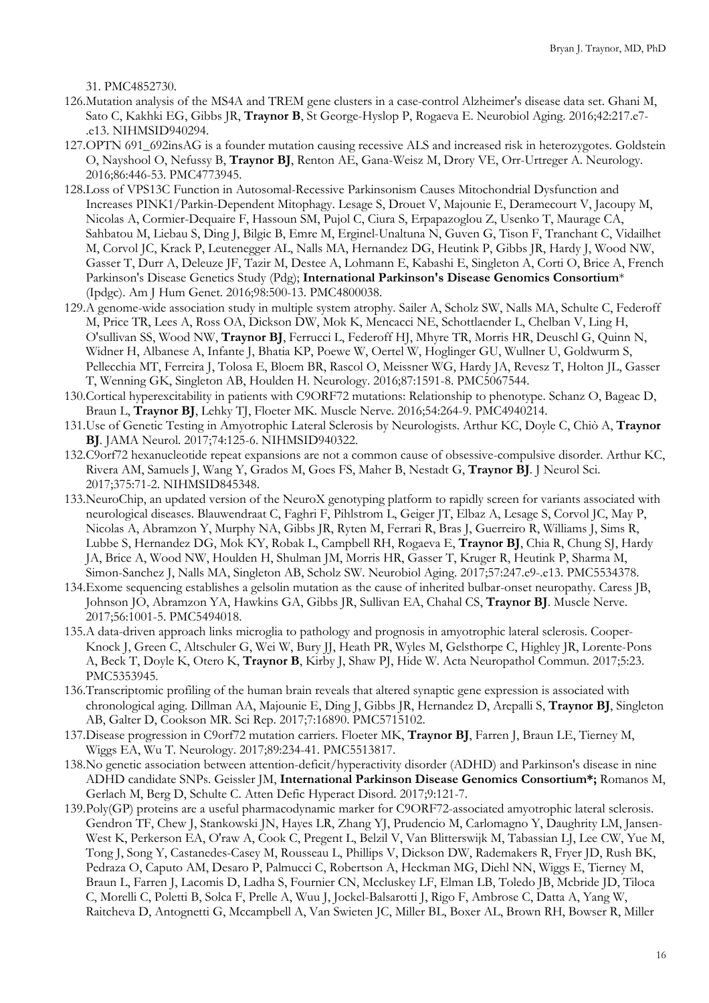31. PMC4852730.

- 126.Mutation analysis of the MS4A and TREM gene clusters in a case-control Alzheimer's disease data set. Ghani M, Sato C, Kakhki EG, Gibbs JR, **Traynor B**, St George-Hyslop P, Rogaeva E. Neurobiol Aging. 2016;42:217.e7- .e13. NIHMSID940294.
- 127.OPTN 691\_692insAG is a founder mutation causing recessive ALS and increased risk in heterozygotes. Goldstein O, Nayshool O, Nefussy B, **Traynor BJ**, Renton AE, Gana-Weisz M, Drory VE, Orr-Urtreger A. Neurology. 2016;86:446-53. PMC4773945.
- 128.Loss of VPS13C Function in Autosomal-Recessive Parkinsonism Causes Mitochondrial Dysfunction and Increases PINK1/Parkin-Dependent Mitophagy. Lesage S, Drouet V, Majounie E, Deramecourt V, Jacoupy M, Nicolas A, Cormier-Dequaire F, Hassoun SM, Pujol C, Ciura S, Erpapazoglou Z, Usenko T, Maurage CA, Sahbatou M, Liebau S, Ding J, Bilgic B, Emre M, Erginel-Unaltuna N, Guven G, Tison F, Tranchant C, Vidailhet M, Corvol JC, Krack P, Leutenegger AL, Nalls MA, Hernandez DG, Heutink P, Gibbs JR, Hardy J, Wood NW, Gasser T, Durr A, Deleuze JF, Tazir M, Destee A, Lohmann E, Kabashi E, Singleton A, Corti O, Brice A, French Parkinson's Disease Genetics Study (Pdg); **International Parkinson's Disease Genomics Consortium**\* (Ipdgc). Am J Hum Genet. 2016;98:500-13. PMC4800038.
- 129.A genome-wide association study in multiple system atrophy. Sailer A, Scholz SW, Nalls MA, Schulte C, Federoff M, Price TR, Lees A, Ross OA, Dickson DW, Mok K, Mencacci NE, Schottlaender L, Chelban V, Ling H, O'sullivan SS, Wood NW, **Traynor BJ**, Ferrucci L, Federoff HJ, Mhyre TR, Morris HR, Deuschl G, Quinn N, Widner H, Albanese A, Infante J, Bhatia KP, Poewe W, Oertel W, Hoglinger GU, Wullner U, Goldwurm S, Pellecchia MT, Ferreira J, Tolosa E, Bloem BR, Rascol O, Meissner WG, Hardy JA, Revesz T, Holton JL, Gasser T, Wenning GK, Singleton AB, Houlden H. Neurology. 2016;87:1591-8. PMC5067544.
- 130.Cortical hyperexcitability in patients with C9ORF72 mutations: Relationship to phenotype. Schanz O, Bageac D, Braun L, **Traynor BJ**, Lehky TJ, Floeter MK. Muscle Nerve. 2016;54:264-9. PMC4940214.
- 131.Use of Genetic Testing in Amyotrophic Lateral Sclerosis by Neurologists. Arthur KC, Doyle C, Chiò A, **Traynor BJ**. JAMA Neurol. 2017;74:125-6. NIHMSID940322.
- 132.C9orf72 hexanucleotide repeat expansions are not a common cause of obsessive-compulsive disorder. Arthur KC, Rivera AM, Samuels J, Wang Y, Grados M, Goes FS, Maher B, Nestadt G, **Traynor BJ**. J Neurol Sci. 2017;375:71-2. NIHMSID845348.
- 133.NeuroChip, an updated version of the NeuroX genotyping platform to rapidly screen for variants associated with neurological diseases. Blauwendraat C, Faghri F, Pihlstrom L, Geiger JT, Elbaz A, Lesage S, Corvol JC, May P, Nicolas A, Abramzon Y, Murphy NA, Gibbs JR, Ryten M, Ferrari R, Bras J, Guerreiro R, Williams J, Sims R, Lubbe S, Hernandez DG, Mok KY, Robak L, Campbell RH, Rogaeva E, **Traynor BJ**, Chia R, Chung SJ, Hardy JA, Brice A, Wood NW, Houlden H, Shulman JM, Morris HR, Gasser T, Kruger R, Heutink P, Sharma M, Simon-Sanchez J, Nalls MA, Singleton AB, Scholz SW. Neurobiol Aging. 2017;57:247.e9-.e13. PMC5534378.
- 134.Exome sequencing establishes a gelsolin mutation as the cause of inherited bulbar-onset neuropathy. Caress JB, Johnson JO, Abramzon YA, Hawkins GA, Gibbs JR, Sullivan EA, Chahal CS, **Traynor BJ**. Muscle Nerve. 2017;56:1001-5. PMC5494018.
- 135.A data-driven approach links microglia to pathology and prognosis in amyotrophic lateral sclerosis. Cooper-Knock J, Green C, Altschuler G, Wei W, Bury JJ, Heath PR, Wyles M, Gelsthorpe C, Highley JR, Lorente-Pons A, Beck T, Doyle K, Otero K, **Traynor B**, Kirby J, Shaw PJ, Hide W. Acta Neuropathol Commun. 2017;5:23. PMC5353945.
- 136.Transcriptomic profiling of the human brain reveals that altered synaptic gene expression is associated with chronological aging. Dillman AA, Majounie E, Ding J, Gibbs JR, Hernandez D, Arepalli S, **Traynor BJ**, Singleton AB, Galter D, Cookson MR. Sci Rep. 2017;7:16890. PMC5715102.
- 137.Disease progression in C9orf72 mutation carriers. Floeter MK, **Traynor BJ**, Farren J, Braun LE, Tierney M, Wiggs EA, Wu T. Neurology. 2017;89:234-41. PMC5513817.
- 138.No genetic association between attention-deficit/hyperactivity disorder (ADHD) and Parkinson's disease in nine ADHD candidate SNPs. Geissler JM, **International Parkinson Disease Genomics Consortium\*;** Romanos M, Gerlach M, Berg D, Schulte C. Atten Defic Hyperact Disord. 2017;9:121-7.
- 139.Poly(GP) proteins are a useful pharmacodynamic marker for C9ORF72-associated amyotrophic lateral sclerosis. Gendron TF, Chew J, Stankowski JN, Hayes LR, Zhang YJ, Prudencio M, Carlomagno Y, Daughrity LM, Jansen-West K, Perkerson EA, O'raw A, Cook C, Pregent L, Belzil V, Van Blitterswijk M, Tabassian LJ, Lee CW, Yue M, Tong J, Song Y, Castanedes-Casey M, Rousseau L, Phillips V, Dickson DW, Rademakers R, Fryer JD, Rush BK, Pedraza O, Caputo AM, Desaro P, Palmucci C, Robertson A, Heckman MG, Diehl NN, Wiggs E, Tierney M, Braun L, Farren J, Lacomis D, Ladha S, Fournier CN, Mccluskey LF, Elman LB, Toledo JB, Mcbride JD, Tiloca C, Morelli C, Poletti B, Solca F, Prelle A, Wuu J, Jockel-Balsarotti J, Rigo F, Ambrose C, Datta A, Yang W, Raitcheva D, Antognetti G, Mccampbell A, Van Swieten JC, Miller BL, Boxer AL, Brown RH, Bowser R, Miller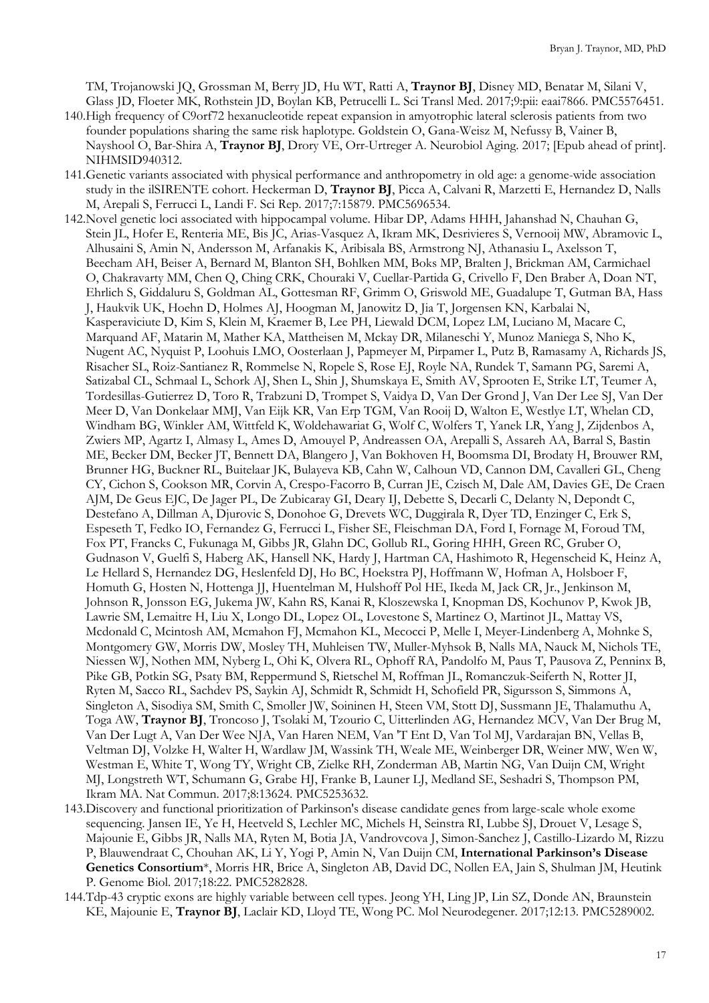TM, Trojanowski JQ, Grossman M, Berry JD, Hu WT, Ratti A, **Traynor BJ**, Disney MD, Benatar M, Silani V, Glass JD, Floeter MK, Rothstein JD, Boylan KB, Petrucelli L. Sci Transl Med. 2017;9:pii: eaai7866. PMC5576451.

- 140.High frequency of C9orf72 hexanucleotide repeat expansion in amyotrophic lateral sclerosis patients from two founder populations sharing the same risk haplotype. Goldstein O, Gana-Weisz M, Nefussy B, Vainer B, Nayshool O, Bar-Shira A, **Traynor BJ**, Drory VE, Orr-Urtreger A. Neurobiol Aging. 2017; [Epub ahead of print]. NIHMSID940312.
- 141.Genetic variants associated with physical performance and anthropometry in old age: a genome-wide association study in the ilSIRENTE cohort. Heckerman D, **Traynor BJ**, Picca A, Calvani R, Marzetti E, Hernandez D, Nalls M, Arepali S, Ferrucci L, Landi F. Sci Rep. 2017;7:15879. PMC5696534.
- 142.Novel genetic loci associated with hippocampal volume. Hibar DP, Adams HHH, Jahanshad N, Chauhan G, Stein JL, Hofer E, Renteria ME, Bis JC, Arias-Vasquez A, Ikram MK, Desrivieres S, Vernooij MW, Abramovic L, Alhusaini S, Amin N, Andersson M, Arfanakis K, Aribisala BS, Armstrong NJ, Athanasiu L, Axelsson T, Beecham AH, Beiser A, Bernard M, Blanton SH, Bohlken MM, Boks MP, Bralten J, Brickman AM, Carmichael O, Chakravarty MM, Chen Q, Ching CRK, Chouraki V, Cuellar-Partida G, Crivello F, Den Braber A, Doan NT, Ehrlich S, Giddaluru S, Goldman AL, Gottesman RF, Grimm O, Griswold ME, Guadalupe T, Gutman BA, Hass J, Haukvik UK, Hoehn D, Holmes AJ, Hoogman M, Janowitz D, Jia T, Jorgensen KN, Karbalai N, Kasperaviciute D, Kim S, Klein M, Kraemer B, Lee PH, Liewald DCM, Lopez LM, Luciano M, Macare C, Marquand AF, Matarin M, Mather KA, Mattheisen M, Mckay DR, Milaneschi Y, Munoz Maniega S, Nho K, Nugent AC, Nyquist P, Loohuis LMO, Oosterlaan J, Papmeyer M, Pirpamer L, Putz B, Ramasamy A, Richards JS, Risacher SL, Roiz-Santianez R, Rommelse N, Ropele S, Rose EJ, Royle NA, Rundek T, Samann PG, Saremi A, Satizabal CL, Schmaal L, Schork AJ, Shen L, Shin J, Shumskaya E, Smith AV, Sprooten E, Strike LT, Teumer A, Tordesillas-Gutierrez D, Toro R, Trabzuni D, Trompet S, Vaidya D, Van Der Grond J, Van Der Lee SJ, Van Der Meer D, Van Donkelaar MMJ, Van Eijk KR, Van Erp TGM, Van Rooij D, Walton E, Westlye LT, Whelan CD, Windham BG, Winkler AM, Wittfeld K, Woldehawariat G, Wolf C, Wolfers T, Yanek LR, Yang J, Zijdenbos A, Zwiers MP, Agartz I, Almasy L, Ames D, Amouyel P, Andreassen OA, Arepalli S, Assareh AA, Barral S, Bastin ME, Becker DM, Becker JT, Bennett DA, Blangero J, Van Bokhoven H, Boomsma DI, Brodaty H, Brouwer RM, Brunner HG, Buckner RL, Buitelaar JK, Bulayeva KB, Cahn W, Calhoun VD, Cannon DM, Cavalleri GL, Cheng CY, Cichon S, Cookson MR, Corvin A, Crespo-Facorro B, Curran JE, Czisch M, Dale AM, Davies GE, De Craen AJM, De Geus EJC, De Jager PL, De Zubicaray GI, Deary IJ, Debette S, Decarli C, Delanty N, Depondt C, Destefano A, Dillman A, Djurovic S, Donohoe G, Drevets WC, Duggirala R, Dyer TD, Enzinger C, Erk S, Espeseth T, Fedko IO, Fernandez G, Ferrucci L, Fisher SE, Fleischman DA, Ford I, Fornage M, Foroud TM, Fox PT, Francks C, Fukunaga M, Gibbs JR, Glahn DC, Gollub RL, Goring HHH, Green RC, Gruber O, Gudnason V, Guelfi S, Haberg AK, Hansell NK, Hardy J, Hartman CA, Hashimoto R, Hegenscheid K, Heinz A, Le Hellard S, Hernandez DG, Heslenfeld DJ, Ho BC, Hoekstra PJ, Hoffmann W, Hofman A, Holsboer F, Homuth G, Hosten N, Hottenga JJ, Huentelman M, Hulshoff Pol HE, Ikeda M, Jack CR, Jr., Jenkinson M, Johnson R, Jonsson EG, Jukema JW, Kahn RS, Kanai R, Kloszewska I, Knopman DS, Kochunov P, Kwok JB, Lawrie SM, Lemaitre H, Liu X, Longo DL, Lopez OL, Lovestone S, Martinez O, Martinot JL, Mattay VS, Mcdonald C, Mcintosh AM, Mcmahon FJ, Mcmahon KL, Mecocci P, Melle I, Meyer-Lindenberg A, Mohnke S, Montgomery GW, Morris DW, Mosley TH, Muhleisen TW, Muller-Myhsok B, Nalls MA, Nauck M, Nichols TE, Niessen WJ, Nothen MM, Nyberg L, Ohi K, Olvera RL, Ophoff RA, Pandolfo M, Paus T, Pausova Z, Penninx B, Pike GB, Potkin SG, Psaty BM, Reppermund S, Rietschel M, Roffman JL, Romanczuk-Seiferth N, Rotter JI, Ryten M, Sacco RL, Sachdev PS, Saykin AJ, Schmidt R, Schmidt H, Schofield PR, Sigursson S, Simmons A, Singleton A, Sisodiya SM, Smith C, Smoller JW, Soininen H, Steen VM, Stott DJ, Sussmann JE, Thalamuthu A, Toga AW, **Traynor BJ**, Troncoso J, Tsolaki M, Tzourio C, Uitterlinden AG, Hernandez MCV, Van Der Brug M, Van Der Lugt A, Van Der Wee NJA, Van Haren NEM, Van 'T Ent D, Van Tol MJ, Vardarajan BN, Vellas B, Veltman DJ, Volzke H, Walter H, Wardlaw JM, Wassink TH, Weale ME, Weinberger DR, Weiner MW, Wen W, Westman E, White T, Wong TY, Wright CB, Zielke RH, Zonderman AB, Martin NG, Van Duijn CM, Wright MJ, Longstreth WT, Schumann G, Grabe HJ, Franke B, Launer LJ, Medland SE, Seshadri S, Thompson PM, Ikram MA. Nat Commun. 2017;8:13624. PMC5253632.
- 143.Discovery and functional prioritization of Parkinson's disease candidate genes from large-scale whole exome sequencing. Jansen IE, Ye H, Heetveld S, Lechler MC, Michels H, Seinstra RI, Lubbe SJ, Drouet V, Lesage S, Majounie E, Gibbs JR, Nalls MA, Ryten M, Botia JA, Vandrovcova J, Simon-Sanchez J, Castillo-Lizardo M, Rizzu P, Blauwendraat C, Chouhan AK, Li Y, Yogi P, Amin N, Van Duijn CM, **International Parkinson's Disease Genetics Consortium**\*, Morris HR, Brice A, Singleton AB, David DC, Nollen EA, Jain S, Shulman JM, Heutink P. Genome Biol. 2017;18:22. PMC5282828.
- 144.Tdp-43 cryptic exons are highly variable between cell types. Jeong YH, Ling JP, Lin SZ, Donde AN, Braunstein KE, Majounie E, **Traynor BJ**, Laclair KD, Lloyd TE, Wong PC. Mol Neurodegener. 2017;12:13. PMC5289002.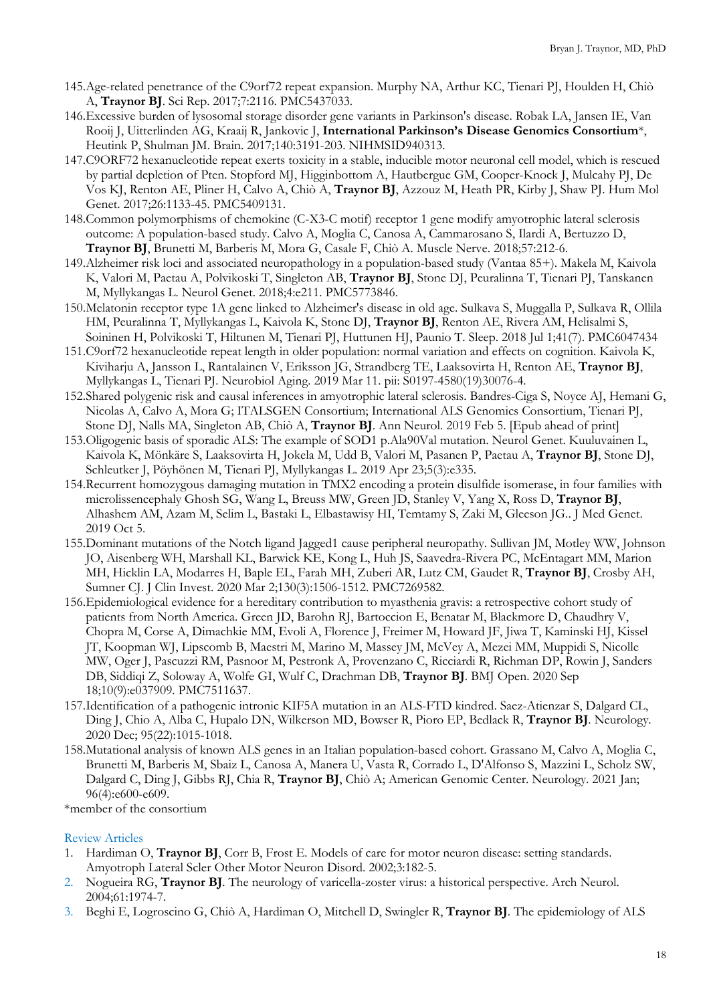- 145.Age-related penetrance of the C9orf72 repeat expansion. Murphy NA, Arthur KC, Tienari PJ, Houlden H, Chiò A, **Traynor BJ**. Sci Rep. 2017;7:2116. PMC5437033.
- 146.Excessive burden of lysosomal storage disorder gene variants in Parkinson's disease. Robak LA, Jansen IE, Van Rooij J, Uitterlinden AG, Kraaij R, Jankovic J, **International Parkinson's Disease Genomics Consortium**\*, Heutink P, Shulman JM. Brain. 2017;140:3191-203. NIHMSID940313.
- 147.C9ORF72 hexanucleotide repeat exerts toxicity in a stable, inducible motor neuronal cell model, which is rescued by partial depletion of Pten. Stopford MJ, Higginbottom A, Hautbergue GM, Cooper-Knock J, Mulcahy PJ, De Vos KJ, Renton AE, Pliner H, Calvo A, Chiò A, **Traynor BJ**, Azzouz M, Heath PR, Kirby J, Shaw PJ. Hum Mol Genet. 2017;26:1133-45. PMC5409131.
- 148.Common polymorphisms of chemokine (C-X3-C motif) receptor 1 gene modify amyotrophic lateral sclerosis outcome: A population-based study. Calvo A, Moglia C, Canosa A, Cammarosano S, Ilardi A, Bertuzzo D, **Traynor BJ**, Brunetti M, Barberis M, Mora G, Casale F, Chiò A. Muscle Nerve. 2018;57:212-6.
- 149.Alzheimer risk loci and associated neuropathology in a population-based study (Vantaa 85+). Makela M, Kaivola K, Valori M, Paetau A, Polvikoski T, Singleton AB, **Traynor BJ**, Stone DJ, Peuralinna T, Tienari PJ, Tanskanen M, Myllykangas L. Neurol Genet. 2018;4:e211. PMC5773846.
- 150.Melatonin receptor type 1A gene linked to Alzheimer's disease in old age. Sulkava S, Muggalla P, Sulkava R, Ollila HM, Peuralinna T, Myllykangas L, Kaivola K, Stone DJ, **Traynor BJ**, Renton AE, Rivera AM, Helisalmi S, Soininen H, Polvikoski T, Hiltunen M, Tienari PJ, Huttunen HJ, Paunio T. Sleep. 2018 Jul 1;41(7). PMC6047434
- 151.C9orf72 hexanucleotide repeat length in older population: normal variation and effects on cognition. Kaivola K, Kiviharju A, Jansson L, Rantalainen V, Eriksson JG, Strandberg TE, Laaksovirta H, Renton AE, **Traynor BJ**, Myllykangas L, Tienari PJ. Neurobiol Aging. 2019 Mar 11. pii: S0197-4580(19)30076-4.
- 152.Shared polygenic risk and causal inferences in amyotrophic lateral sclerosis. Bandres-Ciga S, Noyce AJ, Hemani G, Nicolas A, Calvo A, Mora G; ITALSGEN Consortium; International ALS Genomics Consortium, Tienari PJ, Stone DJ, Nalls MA, Singleton AB, Chiò A, **Traynor BJ**. Ann Neurol. 2019 Feb 5. [Epub ahead of print]
- 153.Oligogenic basis of sporadic ALS: The example of SOD1 p.Ala90Val mutation. Neurol Genet. Kuuluvainen L, Kaivola K, Mönkäre S, Laaksovirta H, Jokela M, Udd B, Valori M, Pasanen P, Paetau A, **Traynor BJ**, Stone DJ, Schleutker J, Pöyhönen M, Tienari PJ, Myllykangas L. 2019 Apr 23;5(3):e335.
- 154.Recurrent homozygous damaging mutation in TMX2 encoding a protein disulfide isomerase, in four families with microlissencephaly Ghosh SG, Wang L, Breuss MW, Green JD, Stanley V, Yang X, Ross D, **Traynor BJ**, Alhashem AM, Azam M, Selim L, Bastaki L, Elbastawisy HI, Temtamy S, Zaki M, Gleeson JG.. J Med Genet. 2019 Oct 5.
- 155.Dominant mutations of the Notch ligand Jagged1 cause peripheral neuropathy. Sullivan JM, Motley WW, Johnson JO, Aisenberg WH, Marshall KL, Barwick KE, Kong L, Huh JS, Saavedra-Rivera PC, McEntagart MM, Marion MH, Hicklin LA, Modarres H, Baple EL, Farah MH, Zuberi AR, Lutz CM, Gaudet R, **Traynor BJ**, Crosby AH, Sumner CJ. J Clin Invest. 2020 Mar 2;130(3):1506-1512. PMC7269582.
- 156.Epidemiological evidence for a hereditary contribution to myasthenia gravis: a retrospective cohort study of patients from North America. Green JD, Barohn RJ, Bartoccion E, Benatar M, Blackmore D, Chaudhry V, Chopra M, Corse A, Dimachkie MM, Evoli A, Florence J, Freimer M, Howard JF, Jiwa T, Kaminski HJ, Kissel JT, Koopman WJ, Lipscomb B, Maestri M, Marino M, Massey JM, McVey A, Mezei MM, Muppidi S, Nicolle MW, Oger J, Pascuzzi RM, Pasnoor M, Pestronk A, Provenzano C, Ricciardi R, Richman DP, Rowin J, Sanders DB, Siddiqi Z, Soloway A, Wolfe GI, Wulf C, Drachman DB, **Traynor BJ**. BMJ Open. 2020 Sep 18;10(9):e037909. PMC7511637.
- 157.Identification of a pathogenic intronic KIF5A mutation in an ALS-FTD kindred. Saez-Atienzar S, Dalgard CL, Ding J, Chio A, Alba C, Hupalo DN, Wilkerson MD, Bowser R, Pioro EP, Bedlack R, **Traynor BJ**. Neurology. 2020 Dec; 95(22):1015-1018.
- 158.Mutational analysis of known ALS genes in an Italian population-based cohort. Grassano M, Calvo A, Moglia C, Brunetti M, Barberis M, Sbaiz L, Canosa A, Manera U, Vasta R, Corrado L, D'Alfonso S, Mazzini L, Scholz SW, Dalgard C, Ding J, Gibbs RJ, Chia R, **Traynor BJ**, Chiò A; American Genomic Center. Neurology. 2021 Jan; 96(4):e600-e609.

\*member of the consortium

# Review Articles

- Hardiman O, **Traynor BJ**, Corr B, Frost E. Models of care for motor neuron disease: setting standards. Amyotroph Lateral Scler Other Motor Neuron Disord. 2002;3:182-5.
- 2. Nogueira RG, **Traynor BJ**. The neurology of varicella-zoster virus: a historical perspective. Arch Neurol. 2004;61:1974-7.
- 3. Beghi E, Logroscino G, Chiò A, Hardiman O, Mitchell D, Swingler R, **Traynor BJ**. The epidemiology of ALS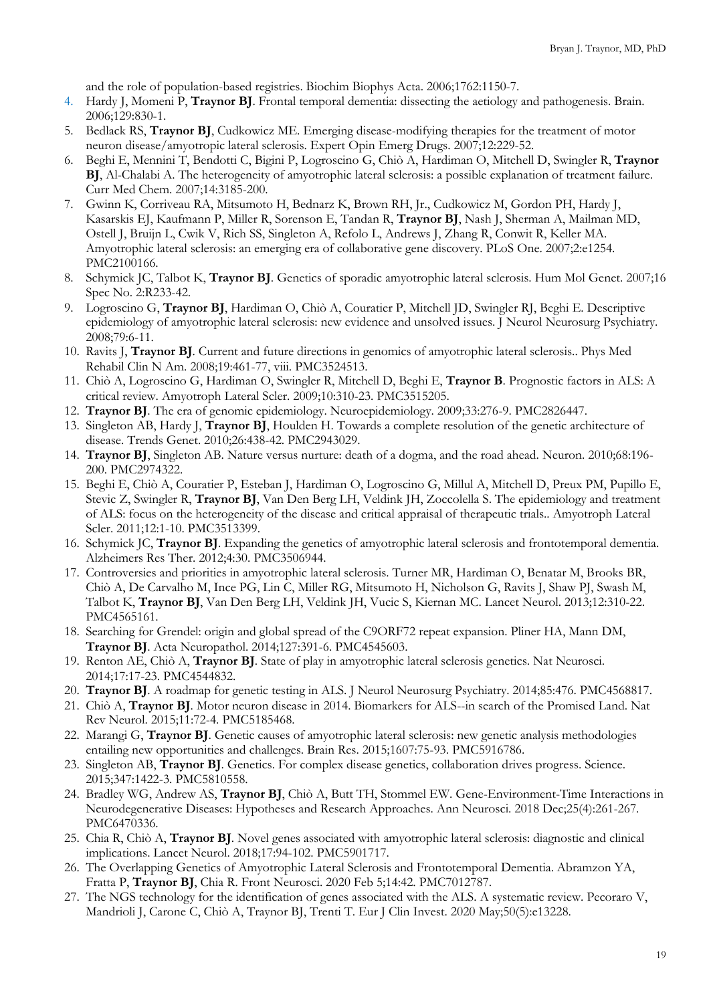and the role of population-based registries. Biochim Biophys Acta. 2006;1762:1150-7.

- 4. Hardy J, Momeni P, **Traynor BJ**. Frontal temporal dementia: dissecting the aetiology and pathogenesis. Brain. 2006;129:830-1.
- 5. Bedlack RS, **Traynor BJ**, Cudkowicz ME. Emerging disease-modifying therapies for the treatment of motor neuron disease/amyotropic lateral sclerosis. Expert Opin Emerg Drugs. 2007;12:229-52.
- 6. Beghi E, Mennini T, Bendotti C, Bigini P, Logroscino G, Chiò A, Hardiman O, Mitchell D, Swingler R, **Traynor BJ**, Al-Chalabi A. The heterogeneity of amyotrophic lateral sclerosis: a possible explanation of treatment failure. Curr Med Chem. 2007;14:3185-200.
- 7. Gwinn K, Corriveau RA, Mitsumoto H, Bednarz K, Brown RH, Jr., Cudkowicz M, Gordon PH, Hardy J, Kasarskis EJ, Kaufmann P, Miller R, Sorenson E, Tandan R, **Traynor BJ**, Nash J, Sherman A, Mailman MD, Ostell J, Bruijn L, Cwik V, Rich SS, Singleton A, Refolo L, Andrews J, Zhang R, Conwit R, Keller MA. Amyotrophic lateral sclerosis: an emerging era of collaborative gene discovery. PLoS One. 2007;2:e1254. PMC2100166.
- 8. Schymick JC, Talbot K, **Traynor BJ**. Genetics of sporadic amyotrophic lateral sclerosis. Hum Mol Genet. 2007;16 Spec No. 2:R233-42.
- 9. Logroscino G, **Traynor BJ**, Hardiman O, Chiò A, Couratier P, Mitchell JD, Swingler RJ, Beghi E. Descriptive epidemiology of amyotrophic lateral sclerosis: new evidence and unsolved issues. J Neurol Neurosurg Psychiatry. 2008;79:6-11.
- 10. Ravits J, **Traynor BJ**. Current and future directions in genomics of amyotrophic lateral sclerosis.. Phys Med Rehabil Clin N Am. 2008;19:461-77, viii. PMC3524513.
- 11. Chiò A, Logroscino G, Hardiman O, Swingler R, Mitchell D, Beghi E, **Traynor B**. Prognostic factors in ALS: A critical review. Amyotroph Lateral Scler. 2009;10:310-23. PMC3515205.
- 12. **Traynor BJ**. The era of genomic epidemiology. Neuroepidemiology. 2009;33:276-9. PMC2826447.
- 13. Singleton AB, Hardy J, **Traynor BJ**, Houlden H. Towards a complete resolution of the genetic architecture of disease. Trends Genet. 2010;26:438-42. PMC2943029.
- 14. **Traynor BJ**, Singleton AB. Nature versus nurture: death of a dogma, and the road ahead. Neuron. 2010;68:196- 200. PMC2974322.
- 15. Beghi E, Chiò A, Couratier P, Esteban J, Hardiman O, Logroscino G, Millul A, Mitchell D, Preux PM, Pupillo E, Stevic Z, Swingler R, **Traynor BJ**, Van Den Berg LH, Veldink JH, Zoccolella S. The epidemiology and treatment of ALS: focus on the heterogeneity of the disease and critical appraisal of therapeutic trials.. Amyotroph Lateral Scler. 2011;12:1-10. PMC3513399.
- 16. Schymick JC, **Traynor BJ**. Expanding the genetics of amyotrophic lateral sclerosis and frontotemporal dementia. Alzheimers Res Ther. 2012;4:30. PMC3506944.
- 17. Controversies and priorities in amyotrophic lateral sclerosis. Turner MR, Hardiman O, Benatar M, Brooks BR, Chiò A, De Carvalho M, Ince PG, Lin C, Miller RG, Mitsumoto H, Nicholson G, Ravits J, Shaw PJ, Swash M, Talbot K, **Traynor BJ**, Van Den Berg LH, Veldink JH, Vucic S, Kiernan MC. Lancet Neurol. 2013;12:310-22. PMC4565161.
- 18. Searching for Grendel: origin and global spread of the C9ORF72 repeat expansion. Pliner HA, Mann DM, **Traynor BJ**. Acta Neuropathol. 2014;127:391-6. PMC4545603.
- 19. Renton AE, Chiò A, **Traynor BJ**. State of play in amyotrophic lateral sclerosis genetics. Nat Neurosci. 2014;17:17-23. PMC4544832.
- 20. **Traynor BJ**. A roadmap for genetic testing in ALS. J Neurol Neurosurg Psychiatry. 2014;85:476. PMC4568817.
- 21. Chiò A, **Traynor BJ**. Motor neuron disease in 2014. Biomarkers for ALS--in search of the Promised Land. Nat Rev Neurol. 2015;11:72-4. PMC5185468.
- 22. Marangi G, **Traynor BJ**. Genetic causes of amyotrophic lateral sclerosis: new genetic analysis methodologies entailing new opportunities and challenges. Brain Res. 2015;1607:75-93. PMC5916786.
- 23. Singleton AB, **Traynor BJ**. Genetics. For complex disease genetics, collaboration drives progress. Science. 2015;347:1422-3. PMC5810558.
- 24. Bradley WG, Andrew AS, **Traynor BJ**, Chiò A, Butt TH, Stommel EW. Gene-Environment-Time Interactions in Neurodegenerative Diseases: Hypotheses and Research Approaches. Ann Neurosci. 2018 Dec;25(4):261-267. PMC6470336.
- 25. Chia R, Chiò A, **Traynor BJ**. Novel genes associated with amyotrophic lateral sclerosis: diagnostic and clinical implications. Lancet Neurol. 2018;17:94-102. PMC5901717.
- 26. The Overlapping Genetics of Amyotrophic Lateral Sclerosis and Frontotemporal Dementia. Abramzon YA, Fratta P, **Traynor BJ**, Chia R. Front Neurosci. 2020 Feb 5;14:42. PMC7012787.
- 27. The NGS technology for the identification of genes associated with the ALS. A systematic review. Pecoraro V, Mandrioli J, Carone C, Chiò A, Traynor BJ, Trenti T. Eur J Clin Invest. 2020 May;50(5):e13228.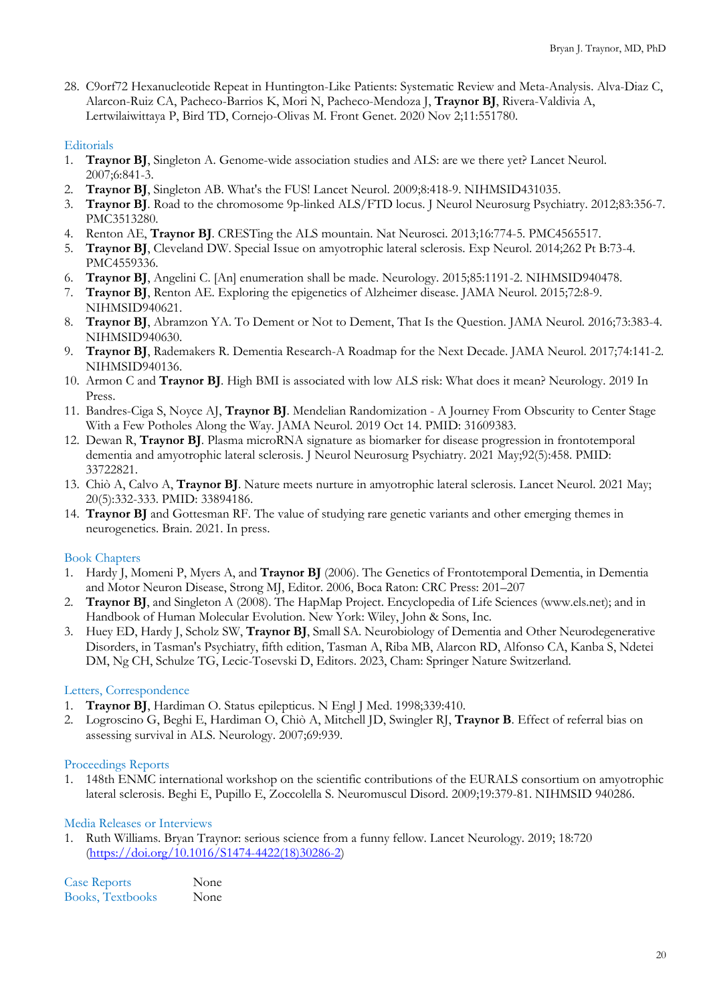28. C9orf72 Hexanucleotide Repeat in Huntington-Like Patients: Systematic Review and Meta-Analysis. Alva-Diaz C, Alarcon-Ruiz CA, Pacheco-Barrios K, Mori N, Pacheco-Mendoza J, **Traynor BJ**, Rivera-Valdivia A, Lertwilaiwittaya P, Bird TD, Cornejo-Olivas M. Front Genet. 2020 Nov 2;11:551780.

## **Editorials**

- 1. **Traynor BJ**, Singleton A. Genome-wide association studies and ALS: are we there yet? Lancet Neurol. 2007;6:841-3.
- 2. **Traynor BJ**, Singleton AB. What's the FUS! Lancet Neurol. 2009;8:418-9. NIHMSID431035.
- 3. **Traynor BJ**. Road to the chromosome 9p-linked ALS/FTD locus. J Neurol Neurosurg Psychiatry. 2012;83:356-7. PMC3513280.
- 4. Renton AE, **Traynor BJ**. CRESTing the ALS mountain. Nat Neurosci. 2013;16:774-5. PMC4565517.
- 5. **Traynor BJ**, Cleveland DW. Special Issue on amyotrophic lateral sclerosis. Exp Neurol. 2014;262 Pt B:73-4. PMC4559336.
- 6. **Traynor BJ**, Angelini C. [An] enumeration shall be made. Neurology. 2015;85:1191-2. NIHMSID940478.
- 7. **Traynor BJ**, Renton AE. Exploring the epigenetics of Alzheimer disease. JAMA Neurol. 2015;72:8-9. NIHMSID940621.
- 8. **Traynor BJ**, Abramzon YA. To Dement or Not to Dement, That Is the Question. JAMA Neurol. 2016;73:383-4. NIHMSID940630.
- 9. **Traynor BJ**, Rademakers R. Dementia Research-A Roadmap for the Next Decade. JAMA Neurol. 2017;74:141-2. NIHMSID940136.
- 10. Armon C and **Traynor BJ**. High BMI is associated with low ALS risk: What does it mean? Neurology. 2019 In Press.
- 11. Bandres-Ciga S, Noyce AJ, **Traynor BJ**. Mendelian Randomization A Journey From Obscurity to Center Stage With a Few Potholes Along the Way. JAMA Neurol. 2019 Oct 14. PMID: 31609383.
- 12. Dewan R, **Traynor BJ**. Plasma microRNA signature as biomarker for disease progression in frontotemporal dementia and amyotrophic lateral sclerosis. J Neurol Neurosurg Psychiatry. 2021 May;92(5):458. PMID: 33722821.
- 13. Chiò A, Calvo A, **Traynor BJ**. Nature meets nurture in amyotrophic lateral sclerosis. Lancet Neurol. 2021 May; 20(5):332-333. PMID: 33894186.
- 14. **Traynor BJ** and Gottesman RF. The value of studying rare genetic variants and other emerging themes in neurogenetics. Brain. 2021. In press.

# Book Chapters

- 1. Hardy J, Momeni P, Myers A, and **Traynor BJ** (2006). The Genetics of Frontotemporal Dementia, in Dementia and Motor Neuron Disease, Strong MJ, Editor. 2006, Boca Raton: CRC Press: 201–207
- 2. **Traynor BJ**, and Singleton A (2008). The HapMap Project. Encyclopedia of Life Sciences (www.els.net); and in Handbook of Human Molecular Evolution. New York: Wiley, John & Sons, Inc.
- 3. Huey ED, Hardy J, Scholz SW, **Traynor BJ**, Small SA. Neurobiology of Dementia and Other Neurodegenerative Disorders, in Tasman's Psychiatry, fifth edition, Tasman A, Riba MB, Alarcon RD, Alfonso CA, Kanba S, Ndetei DM, Ng CH, Schulze TG, Lecic-Tosevski D, Editors. 2023, Cham: Springer Nature Switzerland.

### Letters, Correspondence

- 1. **Traynor BJ**, Hardiman O. Status epilepticus. N Engl J Med. 1998;339:410.
- 2. Logroscino G, Beghi E, Hardiman O, Chiò A, Mitchell JD, Swingler RJ, **Traynor B**. Effect of referral bias on assessing survival in ALS. Neurology. 2007;69:939.

### Proceedings Reports

1. 148th ENMC international workshop on the scientific contributions of the EURALS consortium on amyotrophic lateral sclerosis. Beghi E, Pupillo E, Zoccolella S. Neuromuscul Disord. 2009;19:379-81. NIHMSID 940286.

### Media Releases or Interviews

1. Ruth Williams. Bryan Traynor: serious science from a funny fellow. Lancet Neurology. 2019; 18:720 (https://doi.org/10.1016/S1474-4422(18)30286-2)

| <b>Case Reports</b>     | None |
|-------------------------|------|
| <b>Books, Textbooks</b> | None |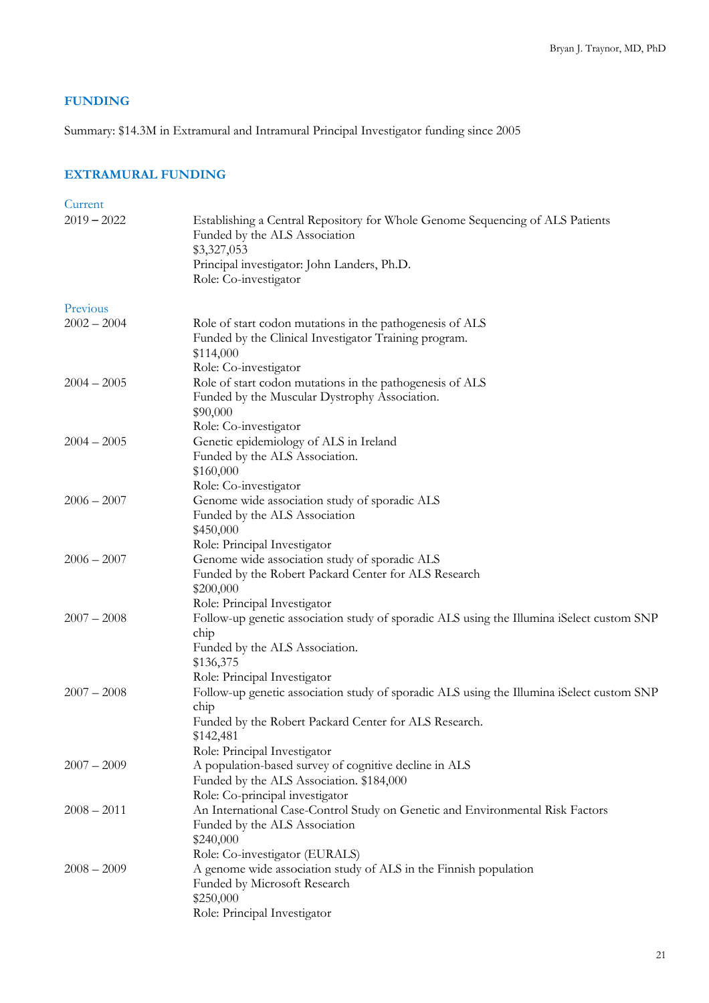# **FUNDING**

Summary: \$14.3M in Extramural and Intramural Principal Investigator funding since 2005

# **EXTRAMURAL FUNDING**

| Current       |                                                                                                                                                                                 |
|---------------|---------------------------------------------------------------------------------------------------------------------------------------------------------------------------------|
| $2019 - 2022$ | Establishing a Central Repository for Whole Genome Sequencing of ALS Patients<br>Funded by the ALS Association<br>\$3,327,053                                                   |
|               | Principal investigator: John Landers, Ph.D.<br>Role: Co-investigator                                                                                                            |
| Previous      |                                                                                                                                                                                 |
| $2002 - 2004$ | Role of start codon mutations in the pathogenesis of ALS<br>Funded by the Clinical Investigator Training program.<br>\$114,000                                                  |
| $2004 - 2005$ | Role: Co-investigator<br>Role of start codon mutations in the pathogenesis of ALS<br>Funded by the Muscular Dystrophy Association.<br>\$90,000                                  |
| $2004 - 2005$ | Role: Co-investigator<br>Genetic epidemiology of ALS in Ireland<br>Funded by the ALS Association.                                                                               |
| $2006 - 2007$ | \$160,000<br>Role: Co-investigator<br>Genome wide association study of sporadic ALS<br>Funded by the ALS Association                                                            |
| $2006 - 2007$ | \$450,000<br>Role: Principal Investigator<br>Genome wide association study of sporadic ALS<br>Funded by the Robert Packard Center for ALS Research                              |
| $2007 - 2008$ | \$200,000<br>Role: Principal Investigator<br>Follow-up genetic association study of sporadic ALS using the Illumina iSelect custom SNP<br>chip                                  |
|               | Funded by the ALS Association.<br>\$136,375<br>Role: Principal Investigator                                                                                                     |
| $2007 - 2008$ | Follow-up genetic association study of sporadic ALS using the Illumina iSelect custom SNP<br>chip<br>Funded by the Robert Packard Center for ALS Research.<br>\$142,481         |
| $2007 - 2009$ | Role: Principal Investigator<br>A population-based survey of cognitive decline in ALS<br>Funded by the ALS Association. \$184,000<br>Role: Co-principal investigator            |
| $2008 - 2011$ | An International Case-Control Study on Genetic and Environmental Risk Factors<br>Funded by the ALS Association<br>\$240,000                                                     |
| $2008 - 2009$ | Role: Co-investigator (EURALS)<br>A genome wide association study of ALS in the Finnish population<br>Funded by Microsoft Research<br>\$250,000<br>Role: Principal Investigator |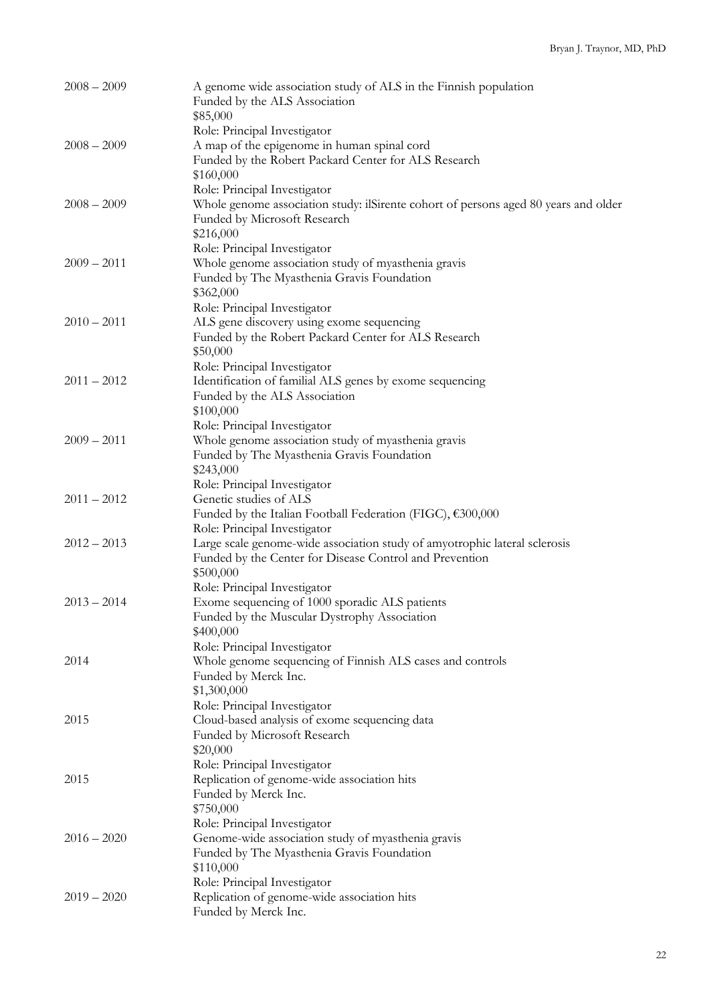| $2008 - 2009$ | A genome wide association study of ALS in the Finnish population<br>Funded by the ALS Association<br>\$85,000 |
|---------------|---------------------------------------------------------------------------------------------------------------|
|               | Role: Principal Investigator                                                                                  |
| $2008 - 2009$ | A map of the epigenome in human spinal cord                                                                   |
|               | Funded by the Robert Packard Center for ALS Research                                                          |
|               | \$160,000                                                                                                     |
|               | Role: Principal Investigator                                                                                  |
| $2008 - 2009$ | Whole genome association study: ilSirente cohort of persons aged 80 years and older                           |
|               | Funded by Microsoft Research                                                                                  |
|               | \$216,000                                                                                                     |
|               | Role: Principal Investigator                                                                                  |
| $2009 - 2011$ | Whole genome association study of myasthenia gravis                                                           |
|               | Funded by The Myasthenia Gravis Foundation                                                                    |
|               | \$362,000                                                                                                     |
|               | Role: Principal Investigator                                                                                  |
| $2010 - 2011$ | ALS gene discovery using exome sequencing                                                                     |
|               | Funded by the Robert Packard Center for ALS Research                                                          |
|               | \$50,000                                                                                                      |
|               | Role: Principal Investigator                                                                                  |
| $2011 - 2012$ | Identification of familial ALS genes by exome sequencing                                                      |
|               | Funded by the ALS Association                                                                                 |
|               | \$100,000                                                                                                     |
|               | Role: Principal Investigator                                                                                  |
| $2009 - 2011$ | Whole genome association study of myasthenia gravis                                                           |
|               | Funded by The Myasthenia Gravis Foundation                                                                    |
|               | \$243,000                                                                                                     |
|               | Role: Principal Investigator                                                                                  |
| $2011 - 2012$ | Genetic studies of ALS                                                                                        |
|               | Funded by the Italian Football Federation (FIGC), €300,000                                                    |
|               | Role: Principal Investigator                                                                                  |
| $2012 - 2013$ | Large scale genome-wide association study of amyotrophic lateral sclerosis                                    |
|               | Funded by the Center for Disease Control and Prevention                                                       |
|               | \$500,000                                                                                                     |
|               | Role: Principal Investigator                                                                                  |
| $2013 - 2014$ | Exome sequencing of 1000 sporadic ALS patients                                                                |
|               | Funded by the Muscular Dystrophy Association                                                                  |
|               | \$400,000                                                                                                     |
|               | Role: Principal Investigator                                                                                  |
| 2014          | Whole genome sequencing of Finnish ALS cases and controls                                                     |
|               | Funded by Merck Inc.                                                                                          |
|               | \$1,300,000                                                                                                   |
|               | Role: Principal Investigator                                                                                  |
| 2015          | Cloud-based analysis of exome sequencing data                                                                 |
|               | Funded by Microsoft Research                                                                                  |
|               | \$20,000                                                                                                      |
|               | Role: Principal Investigator                                                                                  |
| 2015          | Replication of genome-wide association hits                                                                   |
|               | Funded by Merck Inc.                                                                                          |
|               | \$750,000                                                                                                     |
|               | Role: Principal Investigator                                                                                  |
| $2016 - 2020$ | Genome-wide association study of myasthenia gravis                                                            |
|               | Funded by The Myasthenia Gravis Foundation                                                                    |
|               | \$110,000                                                                                                     |
|               | Role: Principal Investigator                                                                                  |
| $2019 - 2020$ | Replication of genome-wide association hits                                                                   |
|               | Funded by Merck Inc.                                                                                          |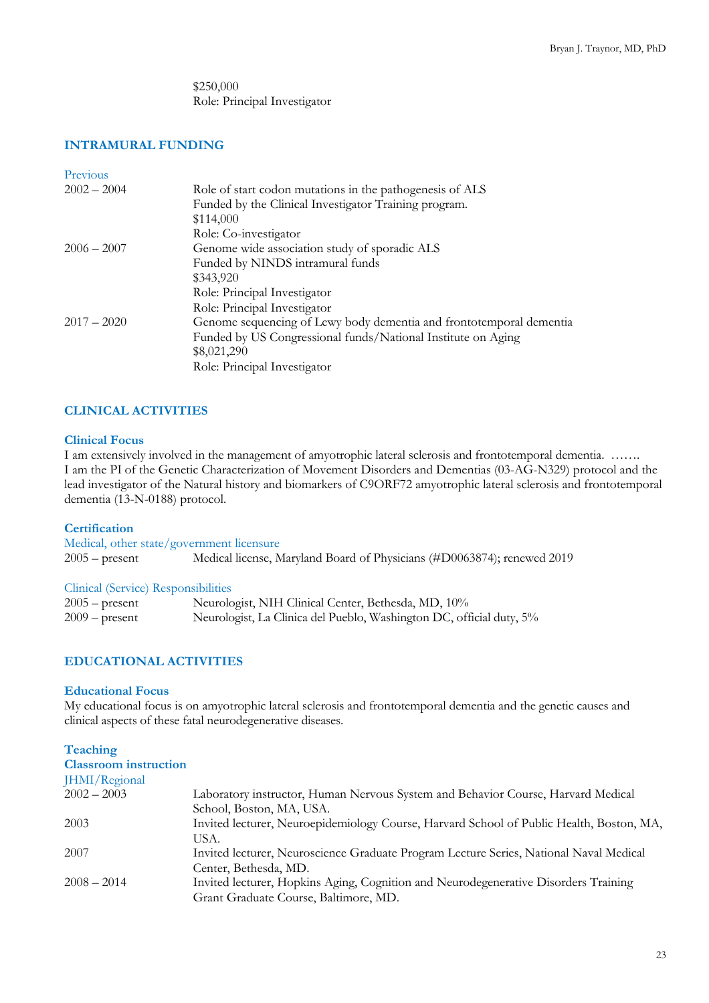\$250,000 Role: Principal Investigator

### **INTRAMURAL FUNDING**

| Previous      |                                                                     |
|---------------|---------------------------------------------------------------------|
| $2002 - 2004$ | Role of start codon mutations in the pathogenesis of ALS            |
|               | Funded by the Clinical Investigator Training program.               |
|               | \$114,000                                                           |
|               | Role: Co-investigator                                               |
| $2006 - 2007$ | Genome wide association study of sporadic ALS                       |
|               | Funded by NINDS intramural funds                                    |
|               | \$343,920                                                           |
|               | Role: Principal Investigator                                        |
|               | Role: Principal Investigator                                        |
| $2017 - 2020$ | Genome sequencing of Lewy body dementia and frontotemporal dementia |
|               | Funded by US Congressional funds/National Institute on Aging        |
|               | \$8,021,290                                                         |
|               | Role: Principal Investigator                                        |

### **CLINICAL ACTIVITIES**

#### **Clinical Focus**

I am extensively involved in the management of amyotrophic lateral sclerosis and frontotemporal dementia. ……. I am the PI of the Genetic Characterization of Movement Disorders and Dementias (03-AG-N329) protocol and the lead investigator of the Natural history and biomarkers of C9ORF72 amyotrophic lateral sclerosis and frontotemporal dementia (13-N-0188) protocol.

### **Certification**

Medical, other state/government licensure 2005 – present Medical license, Maryland Board of Physicians (#D0063874); renewed 2019

#### Clinical (Service) Responsibilities

| $2005$ – present | Neurologist, NIH Clinical Center, Bethesda, MD, 10%                  |
|------------------|----------------------------------------------------------------------|
| $2009$ – present | Neurologist, La Clinica del Pueblo, Washington DC, official duty, 5% |

# **EDUCATIONAL ACTIVITIES**

#### **Educational Focus**

My educational focus is on amyotrophic lateral sclerosis and frontotemporal dementia and the genetic causes and clinical aspects of these fatal neurodegenerative diseases.

| <b>Teaching</b>              |                                                                                          |
|------------------------------|------------------------------------------------------------------------------------------|
| <b>Classroom</b> instruction |                                                                                          |
| JHMI/Regional                |                                                                                          |
| $2002 - 2003$                | Laboratory instructor, Human Nervous System and Behavior Course, Harvard Medical         |
|                              | School, Boston, MA, USA.                                                                 |
| 2003                         | Invited lecturer, Neuroepidemiology Course, Harvard School of Public Health, Boston, MA, |
|                              | USA.                                                                                     |
| 2007                         | Invited lecturer, Neuroscience Graduate Program Lecture Series, National Naval Medical   |
|                              | Center, Bethesda, MD.                                                                    |
| $2008 - 2014$                | Invited lecturer, Hopkins Aging, Cognition and Neurodegenerative Disorders Training      |
|                              | Grant Graduate Course, Baltimore, MD.                                                    |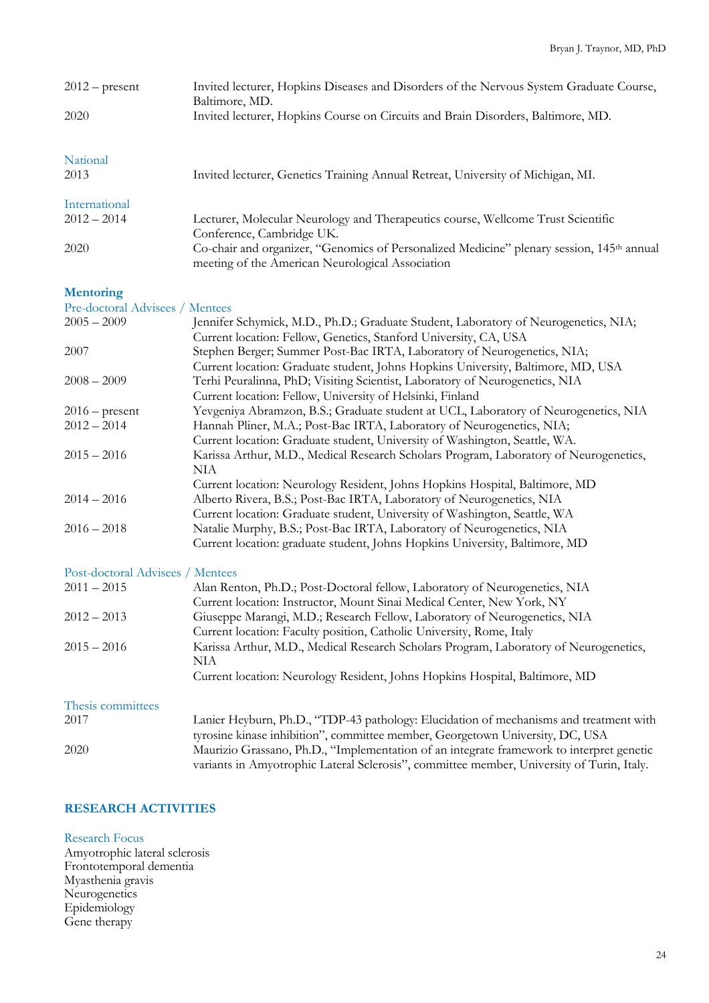| $2012$ – present<br>2020                            | Invited lecturer, Hopkins Diseases and Disorders of the Nervous System Graduate Course,<br>Baltimore, MD.<br>Invited lecturer, Hopkins Course on Circuits and Brain Disorders, Baltimore, MD.                                                                              |
|-----------------------------------------------------|----------------------------------------------------------------------------------------------------------------------------------------------------------------------------------------------------------------------------------------------------------------------------|
| National<br>2013                                    | Invited lecturer, Genetics Training Annual Retreat, University of Michigan, MI.                                                                                                                                                                                            |
| International<br>$2012 - 2014$<br>2020              | Lecturer, Molecular Neurology and Therapeutics course, Wellcome Trust Scientific<br>Conference, Cambridge UK.<br>Co-chair and organizer, "Genomics of Personalized Medicine" plenary session, 145 <sup>th</sup> annual<br>meeting of the American Neurological Association |
| <b>Mentoring</b><br>Pre-doctoral Advisees / Mentees |                                                                                                                                                                                                                                                                            |
| $2005 - 2009$                                       | Jennifer Schymick, M.D., Ph.D.; Graduate Student, Laboratory of Neurogenetics, NIA;<br>Current location: Fellow, Genetics, Stanford University, CA, USA                                                                                                                    |
| 2007                                                | Stephen Berger; Summer Post-Bac IRTA, Laboratory of Neurogenetics, NIA;<br>Current location: Graduate student, Johns Hopkins University, Baltimore, MD, USA                                                                                                                |
| $2008 - 2009$                                       | Terhi Peuralinna, PhD; Visiting Scientist, Laboratory of Neurogenetics, NIA<br>Current location: Fellow, University of Helsinki, Finland                                                                                                                                   |
| $2016$ – present                                    | Yevgeniya Abramzon, B.S.; Graduate student at UCL, Laboratory of Neurogenetics, NIA                                                                                                                                                                                        |
| $2012 - 2014$                                       | Hannah Pliner, M.A.; Post-Bac IRTA, Laboratory of Neurogenetics, NIA;                                                                                                                                                                                                      |
|                                                     | Current location: Graduate student, University of Washington, Seattle, WA.                                                                                                                                                                                                 |
| $2015 - 2016$                                       | Karissa Arthur, M.D., Medical Research Scholars Program, Laboratory of Neurogenetics,<br><b>NIA</b>                                                                                                                                                                        |
|                                                     | Current location: Neurology Resident, Johns Hopkins Hospital, Baltimore, MD                                                                                                                                                                                                |
| $2014 - 2016$                                       | Alberto Rivera, B.S.; Post-Bac IRTA, Laboratory of Neurogenetics, NIA                                                                                                                                                                                                      |
|                                                     | Current location: Graduate student, University of Washington, Seattle, WA                                                                                                                                                                                                  |

# Post-doctoral Advisees / Mentees

| $2011 - 2015$     | Alan Renton, Ph.D.; Post-Doctoral fellow, Laboratory of Neurogenetics, NIA                                                                                              |
|-------------------|-------------------------------------------------------------------------------------------------------------------------------------------------------------------------|
| $2012 - 2013$     | Current location: Instructor, Mount Sinai Medical Center, New York, NY<br>Giuseppe Marangi, M.D.; Research Fellow, Laboratory of Neurogenetics, NIA                     |
|                   | Current location: Faculty position, Catholic University, Rome, Italy                                                                                                    |
| $2015 - 2016$     | Karissa Arthur, M.D., Medical Research Scholars Program, Laboratory of Neurogenetics,                                                                                   |
|                   | NIA                                                                                                                                                                     |
|                   | Current location: Neurology Resident, Johns Hopkins Hospital, Baltimore, MD                                                                                             |
| Thesis committees |                                                                                                                                                                         |
| 2017              | Lanier Heyburn, Ph.D., "TDP-43 pathology: Elucidation of mechanisms and treatment with<br>tyrosine kinase inhibition", committee member, Georgetown University, DC, USA |
| 2020              | Maurizio Grassano, Ph.D., "Implementation of an integrate framework to interpret genetic                                                                                |

Current location: graduate student, Johns Hopkins University, Baltimore, MD

variants in Amyotrophic Lateral Sclerosis", committee member, University of Turin, Italy.

2016 – 2018 Natalie Murphy, B.S.; Post-Bac IRTA, Laboratory of Neurogenetics, NIA

# **RESEARCH ACTIVITIES**

# Research Focus

Amyotrophic lateral sclerosis Frontotemporal dementia Myasthenia gravis Neurogenetics Epidemiology Gene therapy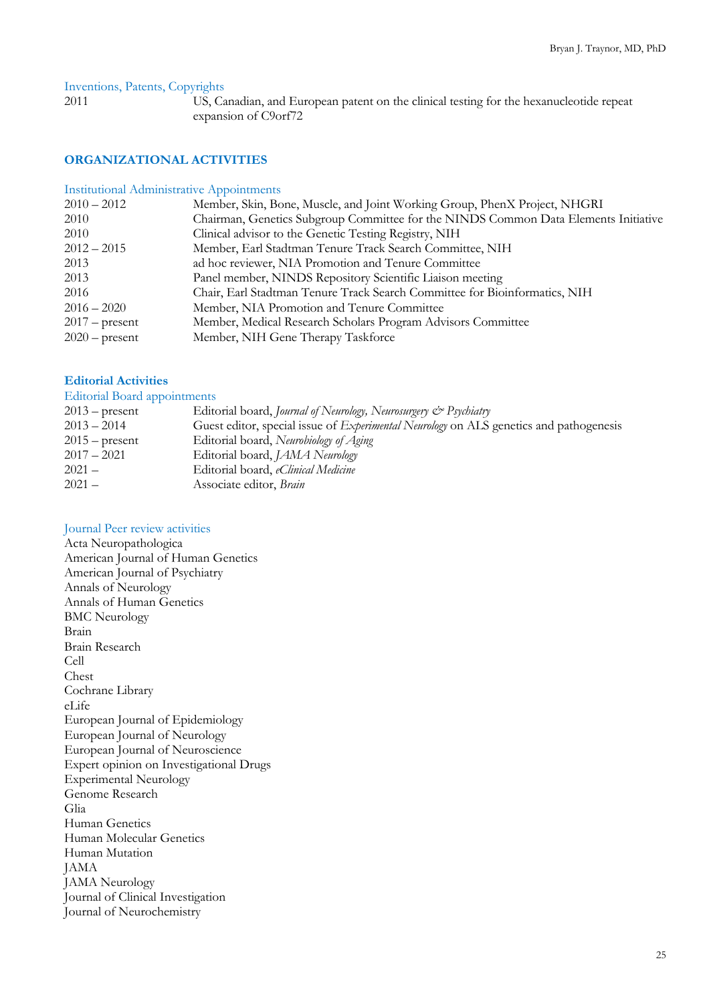#### Inventions, Patents, Copyrights

2011 US, Canadian, and European patent on the clinical testing for the hexanucleotide repeat expansion of C9orf72

#### **ORGANIZATIONAL ACTIVITIES**

#### Institutional Administrative Appointments

| $2010 - 2012$    | Member, Skin, Bone, Muscle, and Joint Working Group, PhenX Project, NHGRI           |
|------------------|-------------------------------------------------------------------------------------|
| 2010             | Chairman, Genetics Subgroup Committee for the NINDS Common Data Elements Initiative |
| 2010             | Clinical advisor to the Genetic Testing Registry, NIH                               |
| $2012 - 2015$    | Member, Earl Stadtman Tenure Track Search Committee, NIH                            |
| 2013             | ad hoc reviewer, NIA Promotion and Tenure Committee                                 |
| 2013             | Panel member, NINDS Repository Scientific Liaison meeting                           |
| 2016             | Chair, Earl Stadtman Tenure Track Search Committee for Bioinformatics, NIH          |
| $2016 - 2020$    | Member, NIA Promotion and Tenure Committee                                          |
| $2017$ – present | Member, Medical Research Scholars Program Advisors Committee                        |
| $2020$ – present | Member, NIH Gene Therapy Taskforce                                                  |
|                  |                                                                                     |

### **Editorial Activities**

Editorial Board appointments

| $2013$ – present | Editorial board, Journal of Neurology, Neurosurgery & Psychiatry                              |
|------------------|-----------------------------------------------------------------------------------------------|
| $2013 - 2014$    | Guest editor, special issue of <i>Experimental Neurology</i> on ALS genetics and pathogenesis |
| $2015$ – present | Editorial board, Neurobiology of Aging                                                        |
| $2017 - 2021$    | Editorial board, <i>JAMA Neurology</i>                                                        |
| $2021 -$         | Editorial board, <i>eClinical Medicine</i>                                                    |
| $2021 -$         | Associate editor, Brain                                                                       |

#### Journal Peer review activities

Acta Neuropathologica American Journal of Human Genetics American Journal of Psychiatry Annals of Neurology Annals of Human Genetics BMC Neurology Brain Brain Research Cell Chest Cochrane Library eLife European Journal of Epidemiology European Journal of Neurology European Journal of Neuroscience Expert opinion on Investigational Drugs Experimental Neurology Genome Research Glia Human Genetics Human Molecular Genetics Human Mutation JAMA JAMA Neurology Journal of Clinical Investigation Journal of Neurochemistry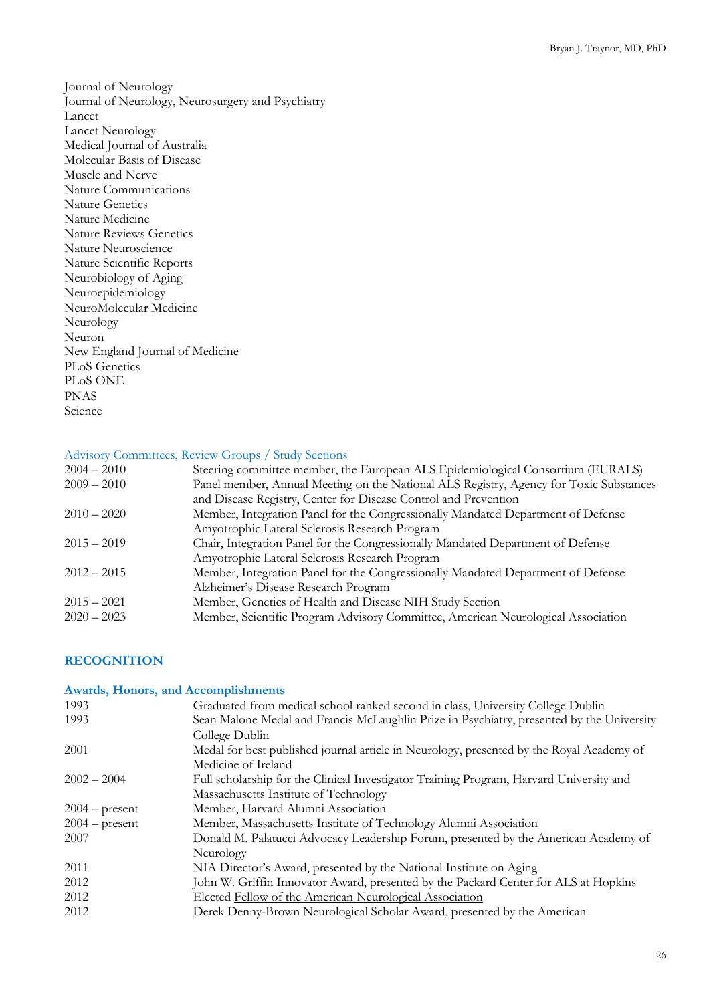Journal of Neurology Journal of Neurology, Neurosurgery and Psychiatry **Lancet** Lancet Neurology Medical Journal of Australia Molecular Basis of Disease Muscle and Nerve Nature Communications Nature Genetics Nature Medicine Nature Reviews Genetics Nature Neuroscience Nature Scientific Reports Neurobiology of Aging Neuroepidemiology NeuroMolecular Medicine Neurology Neuron New England Journal of Medicine PLoS Genetics PLoS ONE PNAS Science

### Advisory Committees, Review Groups / Study Sections

|               | $\ldots$                                                                               |
|---------------|----------------------------------------------------------------------------------------|
| $2004 - 2010$ | Steering committee member, the European ALS Epidemiological Consortium (EURALS)        |
| $2009 - 2010$ | Panel member, Annual Meeting on the National ALS Registry, Agency for Toxic Substances |
|               | and Disease Registry, Center for Disease Control and Prevention                        |
| $2010 - 2020$ | Member, Integration Panel for the Congressionally Mandated Department of Defense       |
|               | Amyotrophic Lateral Sclerosis Research Program                                         |
| $2015 - 2019$ | Chair, Integration Panel for the Congressionally Mandated Department of Defense        |
|               | Amyotrophic Lateral Sclerosis Research Program                                         |
| $2012 - 2015$ | Member, Integration Panel for the Congressionally Mandated Department of Defense       |
|               | Alzheimer's Disease Research Program                                                   |
| $2015 - 2021$ | Member, Genetics of Health and Disease NIH Study Section                               |
| $2020 - 2023$ | Member, Scientific Program Advisory Committee, American Neurological Association       |
|               |                                                                                        |

# **RECOGNITION**

| <b>Awards, Honors, and Accomplishments</b> |                                                                                           |
|--------------------------------------------|-------------------------------------------------------------------------------------------|
| 1993                                       | Graduated from medical school ranked second in class, University College Dublin           |
| 1993                                       | Sean Malone Medal and Francis McLaughlin Prize in Psychiatry, presented by the University |
|                                            | College Dublin                                                                            |
| 2001                                       | Medal for best published journal article in Neurology, presented by the Royal Academy of  |
|                                            | Medicine of Ireland                                                                       |
| $2002 - 2004$                              | Full scholarship for the Clinical Investigator Training Program, Harvard University and   |
|                                            | Massachusetts Institute of Technology                                                     |
| $2004$ – present                           | Member, Harvard Alumni Association                                                        |
| $2004$ – present                           | Member, Massachusetts Institute of Technology Alumni Association                          |
| 2007                                       | Donald M. Palatucci Advocacy Leadership Forum, presented by the American Academy of       |
|                                            | Neurology                                                                                 |
| 2011                                       | NIA Director's Award, presented by the National Institute on Aging                        |
| 2012                                       | John W. Griffin Innovator Award, presented by the Packard Center for ALS at Hopkins       |
| 2012                                       | Elected Fellow of the American Neurological Association                                   |
| 2012                                       | Derek Denny-Brown Neurological Scholar Award, presented by the American                   |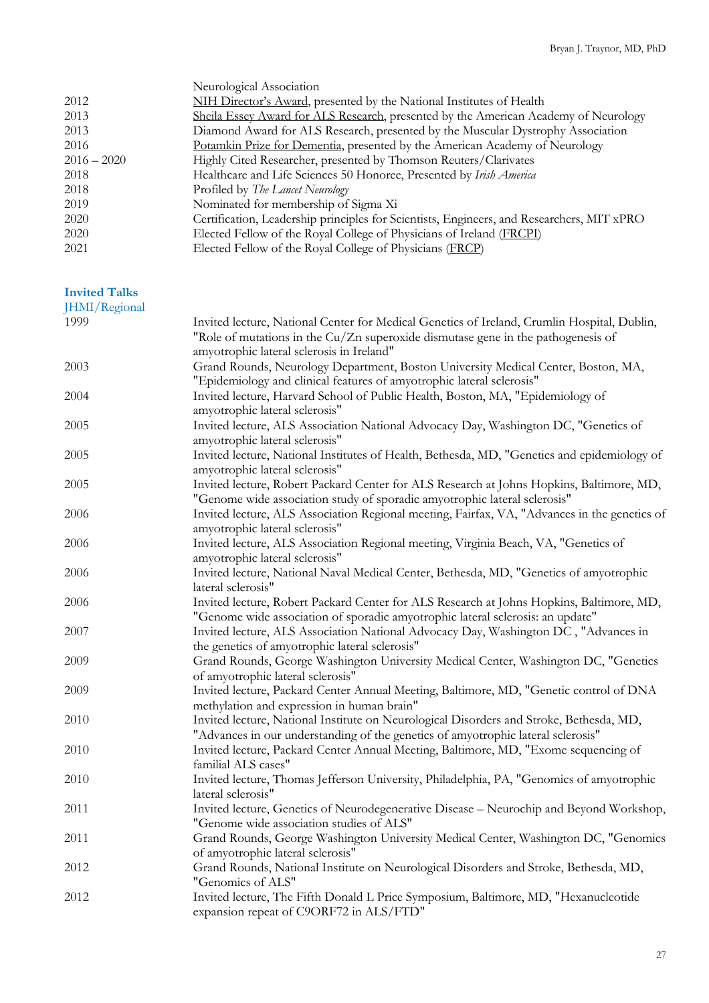| Neurological Association                                                                  |
|-------------------------------------------------------------------------------------------|
| NIH Director's Award, presented by the National Institutes of Health                      |
| Sheila Essey Award for ALS Research, presented by the American Academy of Neurology       |
| Diamond Award for ALS Research, presented by the Muscular Dystrophy Association           |
| Potamkin Prize for Dementia, presented by the American Academy of Neurology               |
| Highly Cited Researcher, presented by Thomson Reuters/Clarivates                          |
| Healthcare and Life Sciences 50 Honoree, Presented by Irish America                       |
| Profiled by <i>The Lancet Neurology</i>                                                   |
| Nominated for membership of Sigma Xi                                                      |
| Certification, Leadership principles for Scientists, Engineers, and Researchers, MIT xPRO |
| Elected Fellow of the Royal College of Physicians of Ireland (FRCPI)                      |
| Elected Fellow of the Royal College of Physicians (FRCP)                                  |
|                                                                                           |

**Invited Talks**

| JHMI/Regional |                                                                                                                                                                                                                              |
|---------------|------------------------------------------------------------------------------------------------------------------------------------------------------------------------------------------------------------------------------|
| 1999          | Invited lecture, National Center for Medical Genetics of Ireland, Crumlin Hospital, Dublin,<br>"Role of mutations in the Cu/Zn superoxide dismutase gene in the pathogenesis of<br>amyotrophic lateral sclerosis in Ireland" |
| 2003          | Grand Rounds, Neurology Department, Boston University Medical Center, Boston, MA,<br>"Epidemiology and clinical features of amyotrophic lateral sclerosis"                                                                   |
| 2004          | Invited lecture, Harvard School of Public Health, Boston, MA, "Epidemiology of<br>amyotrophic lateral sclerosis"                                                                                                             |
| 2005          | Invited lecture, ALS Association National Advocacy Day, Washington DC, "Genetics of<br>amyotrophic lateral sclerosis"                                                                                                        |
| 2005          | Invited lecture, National Institutes of Health, Bethesda, MD, "Genetics and epidemiology of<br>amyotrophic lateral sclerosis"                                                                                                |
| 2005          | Invited lecture, Robert Packard Center for ALS Research at Johns Hopkins, Baltimore, MD,<br>"Genome wide association study of sporadic amyotrophic lateral sclerosis"                                                        |
| 2006          | Invited lecture, ALS Association Regional meeting, Fairfax, VA, "Advances in the genetics of<br>amyotrophic lateral sclerosis"                                                                                               |
| 2006          | Invited lecture, ALS Association Regional meeting, Virginia Beach, VA, "Genetics of<br>amyotrophic lateral sclerosis"                                                                                                        |
| 2006          | Invited lecture, National Naval Medical Center, Bethesda, MD, "Genetics of amyotrophic<br>lateral sclerosis"                                                                                                                 |
| 2006          | Invited lecture, Robert Packard Center for ALS Research at Johns Hopkins, Baltimore, MD,<br>"Genome wide association of sporadic amyotrophic lateral sclerosis: an update"                                                   |
| 2007          | Invited lecture, ALS Association National Advocacy Day, Washington DC, "Advances in<br>the genetics of amyotrophic lateral sclerosis"                                                                                        |
| 2009          | Grand Rounds, George Washington University Medical Center, Washington DC, "Genetics<br>of amyotrophic lateral sclerosis"                                                                                                     |
| 2009          | Invited lecture, Packard Center Annual Meeting, Baltimore, MD, "Genetic control of DNA<br>methylation and expression in human brain"                                                                                         |
| 2010          | Invited lecture, National Institute on Neurological Disorders and Stroke, Bethesda, MD,<br>"Advances in our understanding of the genetics of amyotrophic lateral sclerosis"                                                  |
| 2010          | Invited lecture, Packard Center Annual Meeting, Baltimore, MD, "Exome sequencing of<br>familial ALS cases"                                                                                                                   |
| 2010          | Invited lecture, Thomas Jefferson University, Philadelphia, PA, "Genomics of amyotrophic<br>lateral sclerosis"                                                                                                               |
| 2011          | Invited lecture, Genetics of Neurodegenerative Disease - Neurochip and Beyond Workshop,<br>"Genome wide association studies of ALS"                                                                                          |
| 2011          | Grand Rounds, George Washington University Medical Center, Washington DC, "Genomics<br>of amyotrophic lateral sclerosis"                                                                                                     |
| 2012          | Grand Rounds, National Institute on Neurological Disorders and Stroke, Bethesda, MD,<br>"Genomics of ALS"                                                                                                                    |
| 2012          | Invited lecture, The Fifth Donald L Price Symposium, Baltimore, MD, "Hexanucleotide<br>expansion repeat of C9ORF72 in ALS/FTD"                                                                                               |
|               |                                                                                                                                                                                                                              |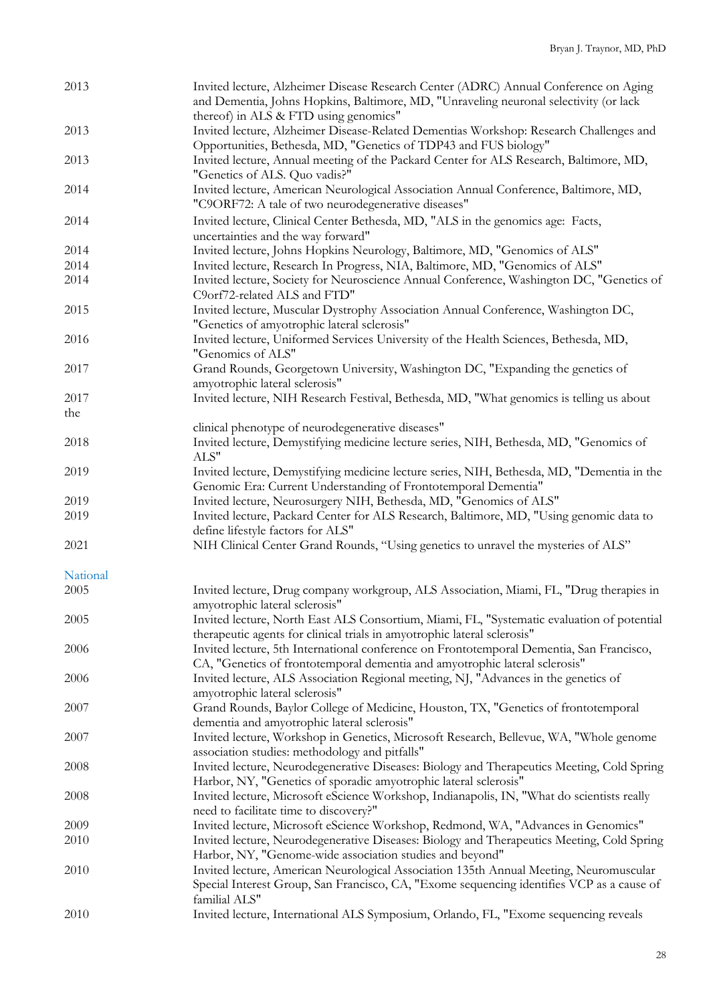| 2013     | Invited lecture, Alzheimer Disease Research Center (ADRC) Annual Conference on Aging<br>and Dementia, Johns Hopkins, Baltimore, MD, "Unraveling neuronal selectivity (or lack |
|----------|-------------------------------------------------------------------------------------------------------------------------------------------------------------------------------|
|          | thereof) in ALS & FTD using genomics"                                                                                                                                         |
| 2013     | Invited lecture, Alzheimer Disease-Related Dementias Workshop: Research Challenges and                                                                                        |
|          | Opportunities, Bethesda, MD, "Genetics of TDP43 and FUS biology"                                                                                                              |
| 2013     | Invited lecture, Annual meeting of the Packard Center for ALS Research, Baltimore, MD,<br>"Genetics of ALS. Quo vadis?"                                                       |
| 2014     | Invited lecture, American Neurological Association Annual Conference, Baltimore, MD,                                                                                          |
|          | "C9ORF72: A tale of two neurodegenerative diseases"                                                                                                                           |
| 2014     | Invited lecture, Clinical Center Bethesda, MD, "ALS in the genomics age: Facts,                                                                                               |
|          | uncertainties and the way forward"                                                                                                                                            |
| 2014     | Invited lecture, Johns Hopkins Neurology, Baltimore, MD, "Genomics of ALS"                                                                                                    |
| 2014     | Invited lecture, Research In Progress, NIA, Baltimore, MD, "Genomics of ALS"                                                                                                  |
| 2014     | Invited lecture, Society for Neuroscience Annual Conference, Washington DC, "Genetics of                                                                                      |
|          | C9orf72-related ALS and FTD"                                                                                                                                                  |
| 2015     | Invited lecture, Muscular Dystrophy Association Annual Conference, Washington DC,                                                                                             |
|          | "Genetics of amyotrophic lateral sclerosis"                                                                                                                                   |
| 2016     | Invited lecture, Uniformed Services University of the Health Sciences, Bethesda, MD,                                                                                          |
|          | "Genomics of ALS"                                                                                                                                                             |
|          |                                                                                                                                                                               |
| 2017     | Grand Rounds, Georgetown University, Washington DC, "Expanding the genetics of                                                                                                |
|          | amyotrophic lateral sclerosis"                                                                                                                                                |
| 2017     | Invited lecture, NIH Research Festival, Bethesda, MD, "What genomics is telling us about                                                                                      |
| the      |                                                                                                                                                                               |
|          | clinical phenotype of neurodegenerative diseases"                                                                                                                             |
| 2018     | Invited lecture, Demystifying medicine lecture series, NIH, Bethesda, MD, "Genomics of<br>ALS"                                                                                |
| 2019     | Invited lecture, Demystifying medicine lecture series, NIH, Bethesda, MD, "Dementia in the                                                                                    |
|          | Genomic Era: Current Understanding of Frontotemporal Dementia"                                                                                                                |
| 2019     | Invited lecture, Neurosurgery NIH, Bethesda, MD, "Genomics of ALS"                                                                                                            |
| 2019     | Invited lecture, Packard Center for ALS Research, Baltimore, MD, "Using genomic data to                                                                                       |
|          | define lifestyle factors for ALS"                                                                                                                                             |
| 2021     | NIH Clinical Center Grand Rounds, "Using genetics to unravel the mysteries of ALS"                                                                                            |
|          |                                                                                                                                                                               |
| National |                                                                                                                                                                               |
| 2005     | Invited lecture, Drug company workgroup, ALS Association, Miami, FL, "Drug therapies in                                                                                       |
|          | amyotrophic lateral sclerosis"                                                                                                                                                |
| 2005     | Invited lecture, North East ALS Consortium, Miami, FL, "Systematic evaluation of potential                                                                                    |
|          | therapeutic agents for clinical trials in amyotrophic lateral sclerosis"                                                                                                      |
| 2006     | Invited lecture, 5th International conference on Frontotemporal Dementia, San Francisco,                                                                                      |
|          | CA, "Genetics of frontotemporal dementia and amyotrophic lateral sclerosis"                                                                                                   |
| 2006     | Invited lecture, ALS Association Regional meeting, NJ, "Advances in the genetics of                                                                                           |
|          | amyotrophic lateral sclerosis"                                                                                                                                                |
| 2007     | Grand Rounds, Baylor College of Medicine, Houston, TX, "Genetics of frontotemporal                                                                                            |
|          | dementia and amyotrophic lateral sclerosis"                                                                                                                                   |
| 2007     | Invited lecture, Workshop in Genetics, Microsoft Research, Bellevue, WA, "Whole genome                                                                                        |
|          | association studies: methodology and pitfalls"                                                                                                                                |
| 2008     | Invited lecture, Neurodegenerative Diseases: Biology and Therapeutics Meeting, Cold Spring                                                                                    |
|          | Harbor, NY, "Genetics of sporadic amyotrophic lateral sclerosis"                                                                                                              |
| 2008     | Invited lecture, Microsoft eScience Workshop, Indianapolis, IN, "What do scientists really                                                                                    |
|          | need to facilitate time to discovery?"                                                                                                                                        |
|          |                                                                                                                                                                               |
| 2009     | Invited lecture, Microsoft eScience Workshop, Redmond, WA, "Advances in Genomics"                                                                                             |
| 2010     | Invited lecture, Neurodegenerative Diseases: Biology and Therapeutics Meeting, Cold Spring                                                                                    |
|          | Harbor, NY, "Genome-wide association studies and beyond"                                                                                                                      |
| 2010     | Invited lecture, American Neurological Association 135th Annual Meeting, Neuromuscular                                                                                        |
|          | Special Interest Group, San Francisco, CA, "Exome sequencing identifies VCP as a cause of                                                                                     |
|          | familial ALS"                                                                                                                                                                 |
| 2010     | Invited lecture, International ALS Symposium, Orlando, FL, "Exome sequencing reveals                                                                                          |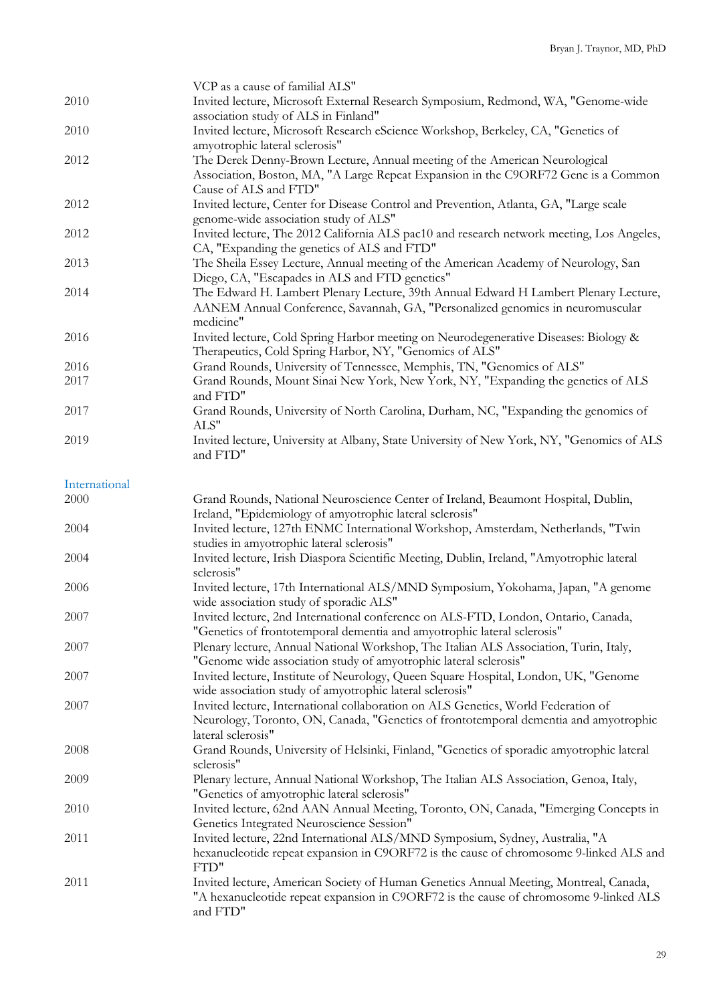|               | VCP as a cause of familial ALS"                                                                                                                                                                 |
|---------------|-------------------------------------------------------------------------------------------------------------------------------------------------------------------------------------------------|
| 2010          | Invited lecture, Microsoft External Research Symposium, Redmond, WA, "Genome-wide<br>association study of ALS in Finland"                                                                       |
| 2010          | Invited lecture, Microsoft Research eScience Workshop, Berkeley, CA, "Genetics of<br>amyotrophic lateral sclerosis"                                                                             |
| 2012          | The Derek Denny-Brown Lecture, Annual meeting of the American Neurological<br>Association, Boston, MA, "A Large Repeat Expansion in the C9ORF72 Gene is a Common<br>Cause of ALS and FTD"       |
| 2012          | Invited lecture, Center for Disease Control and Prevention, Atlanta, GA, "Large scale<br>genome-wide association study of ALS"                                                                  |
| 2012          | Invited lecture, The 2012 California ALS pac10 and research network meeting, Los Angeles,<br>CA, "Expanding the genetics of ALS and FTD"                                                        |
| 2013          | The Sheila Essey Lecture, Annual meeting of the American Academy of Neurology, San<br>Diego, CA, "Escapades in ALS and FTD genetics"                                                            |
| 2014          | The Edward H. Lambert Plenary Lecture, 39th Annual Edward H Lambert Plenary Lecture,<br>AANEM Annual Conference, Savannah, GA, "Personalized genomics in neuromuscular<br>medicine"             |
| 2016          | Invited lecture, Cold Spring Harbor meeting on Neurodegenerative Diseases: Biology &<br>Therapeutics, Cold Spring Harbor, NY, "Genomics of ALS"                                                 |
| 2016<br>2017  | Grand Rounds, University of Tennessee, Memphis, TN, "Genomics of ALS"<br>Grand Rounds, Mount Sinai New York, New York, NY, "Expanding the genetics of ALS<br>and FTD"                           |
| 2017          | Grand Rounds, University of North Carolina, Durham, NC, "Expanding the genomics of<br>ALS"                                                                                                      |
| 2019          | Invited lecture, University at Albany, State University of New York, NY, "Genomics of ALS<br>and FTD"                                                                                           |
| International |                                                                                                                                                                                                 |
| 2000          | Grand Rounds, National Neuroscience Center of Ireland, Beaumont Hospital, Dublin,<br>Ireland, "Epidemiology of amyotrophic lateral sclerosis"                                                   |
| 2004          | Invited lecture, 127th ENMC International Workshop, Amsterdam, Netherlands, "Twin<br>studies in amyotrophic lateral sclerosis"                                                                  |
| 2004          | Invited lecture, Irish Diaspora Scientific Meeting, Dublin, Ireland, "Amyotrophic lateral<br>sclerosis"                                                                                         |
| 2006          | Invited lecture, 17th International ALS/MND Symposium, Yokohama, Japan, "A genome<br>wide association study of sporadic ALS"                                                                    |
| 2007          | Invited lecture, 2nd International conference on ALS-FTD, London, Ontario, Canada,<br>"Genetics of frontotemporal dementia and amyotrophic lateral sclerosis"                                   |
| 2007          | Plenary lecture, Annual National Workshop, The Italian ALS Association, Turin, Italy,<br>"Genome wide association study of amyotrophic lateral sclerosis"                                       |
| 2007          | Invited lecture, Institute of Neurology, Queen Square Hospital, London, UK, "Genome<br>wide association study of amyotrophic lateral sclerosis"                                                 |
| 2007          | Invited lecture, International collaboration on ALS Genetics, World Federation of<br>Neurology, Toronto, ON, Canada, "Genetics of frontotemporal dementia and amyotrophic<br>lateral sclerosis" |
| 2008          | Grand Rounds, University of Helsinki, Finland, "Genetics of sporadic amyotrophic lateral<br>sclerosis"                                                                                          |
| 2009          | Plenary lecture, Annual National Workshop, The Italian ALS Association, Genoa, Italy,<br>"Genetics of amyotrophic lateral sclerosis"                                                            |
| 2010          | Invited lecture, 62nd AAN Annual Meeting, Toronto, ON, Canada, "Emerging Concepts in<br>Genetics Integrated Neuroscience Session"                                                               |
| 2011          | Invited lecture, 22nd International ALS/MND Symposium, Sydney, Australia, "A<br>hexanucleotide repeat expansion in C9ORF72 is the cause of chromosome 9-linked ALS and<br>FTD"                  |
| 2011          | Invited lecture, American Society of Human Genetics Annual Meeting, Montreal, Canada,<br>"A hexanucleotide repeat expansion in C9ORF72 is the cause of chromosome 9-linked ALS<br>and FTD"      |